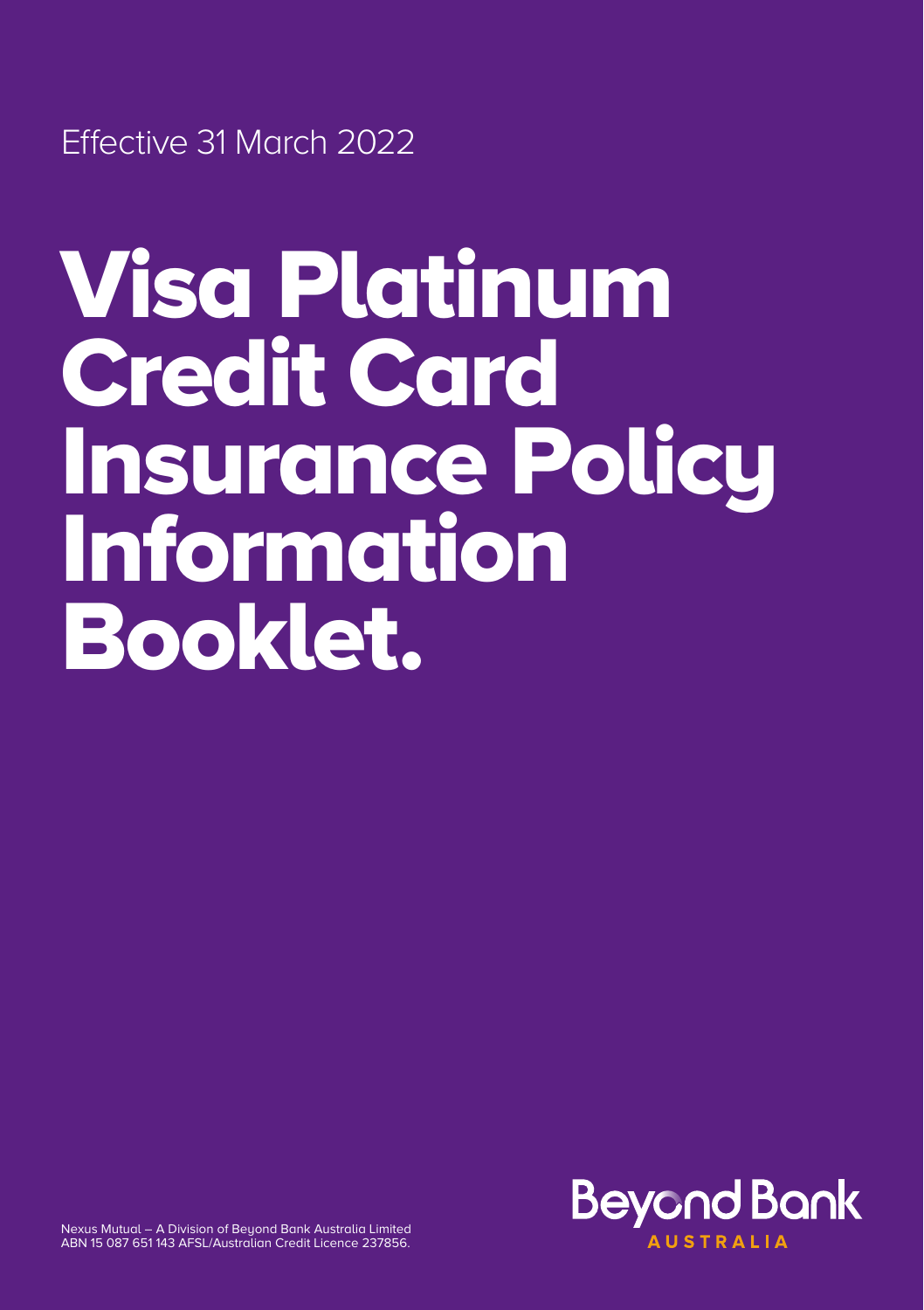Effective 31 March 2022

# Visa Platinum Credit Card Insurance Policy Information Booklet.



Nexus Mutual – A Division of Beyond Bank Australia Limited ABN 15 087 651 143 AFSL/Australian Credit Licence 237856.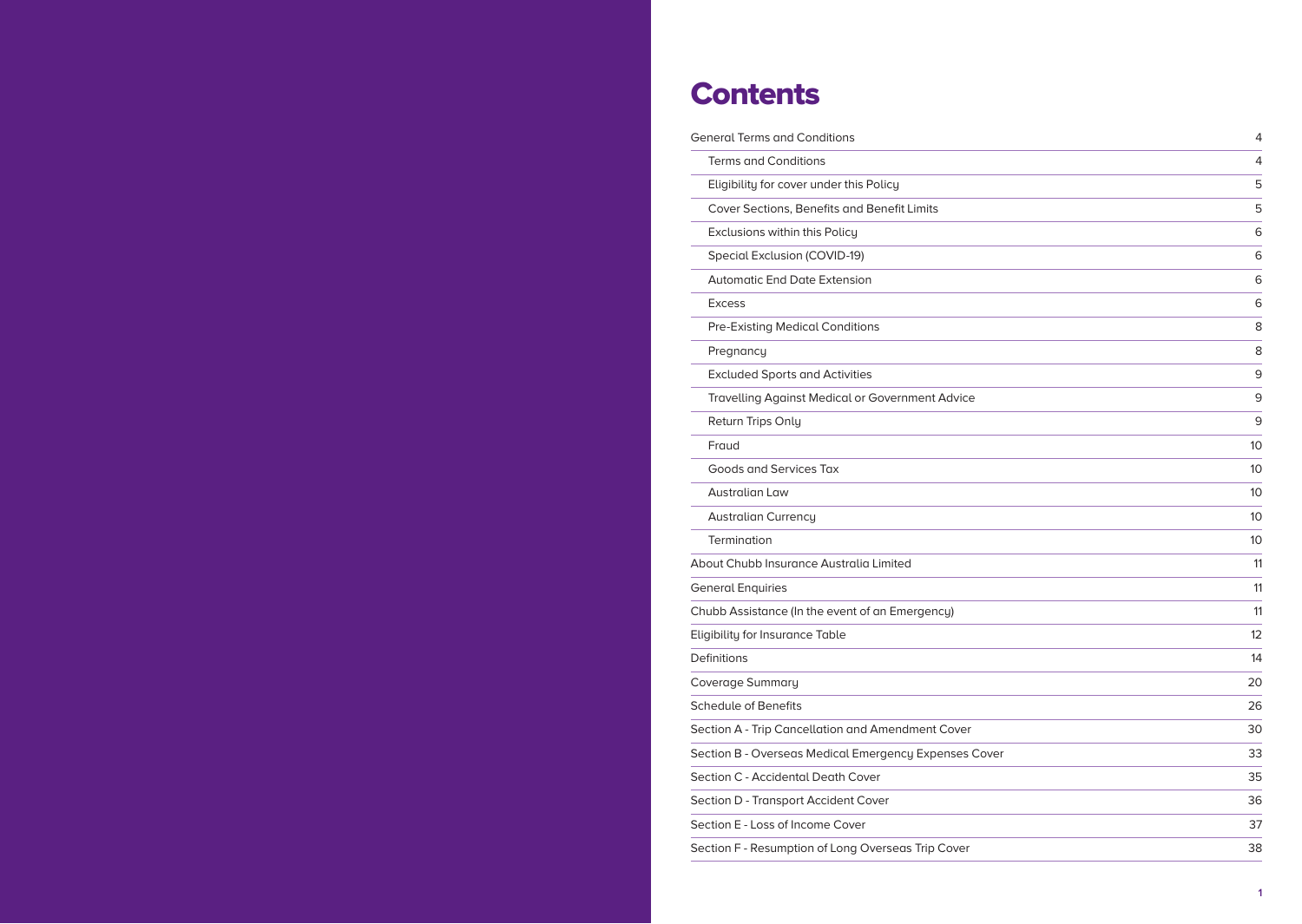# **Contents**

| <b>General Terms and Conditions</b>                    | 4  |
|--------------------------------------------------------|----|
| <b>Terms and Conditions</b>                            | 4  |
| Eligibility for cover under this Policy                | 5  |
| Cover Sections, Benefits and Benefit Limits            | 5  |
| Exclusions within this Policy                          | 6  |
| Special Exclusion (COVID-19)                           | 6  |
| <b>Automatic End Date Extension</b>                    | 6  |
| <b>Excess</b>                                          | 6  |
| <b>Pre-Existing Medical Conditions</b>                 | 8  |
| Pregnancy                                              | 8  |
| <b>Excluded Sports and Activities</b>                  | 9  |
| <b>Travelling Against Medical or Government Advice</b> | 9  |
| Return Trips Only                                      | 9  |
| Fraud                                                  | 10 |
| Goods and Services Tax                                 | 10 |
| Australian Law                                         | 10 |
| <b>Australian Currency</b>                             | 10 |
| Termination                                            | 10 |
| About Chubb Insurance Australia Limited                | 11 |
| <b>General Enquiries</b>                               | 11 |
| Chubb Assistance (In the event of an Emergency)        | 11 |
| <b>Eligibility for Insurance Table</b>                 | 12 |
| Definitions                                            | 14 |
| Coverage Summary                                       | 20 |
| <b>Schedule of Benefits</b>                            | 26 |
| Section A - Trip Cancellation and Amendment Cover      | 30 |
| Section B - Overseas Medical Emergency Expenses Cover  | 33 |
| Section C - Accidental Death Cover                     | 35 |
| Section D - Transport Accident Cover                   | 36 |
| Section E - Loss of Income Cover                       | 37 |
| Section F - Resumption of Long Overseas Trip Cover     | 38 |
|                                                        |    |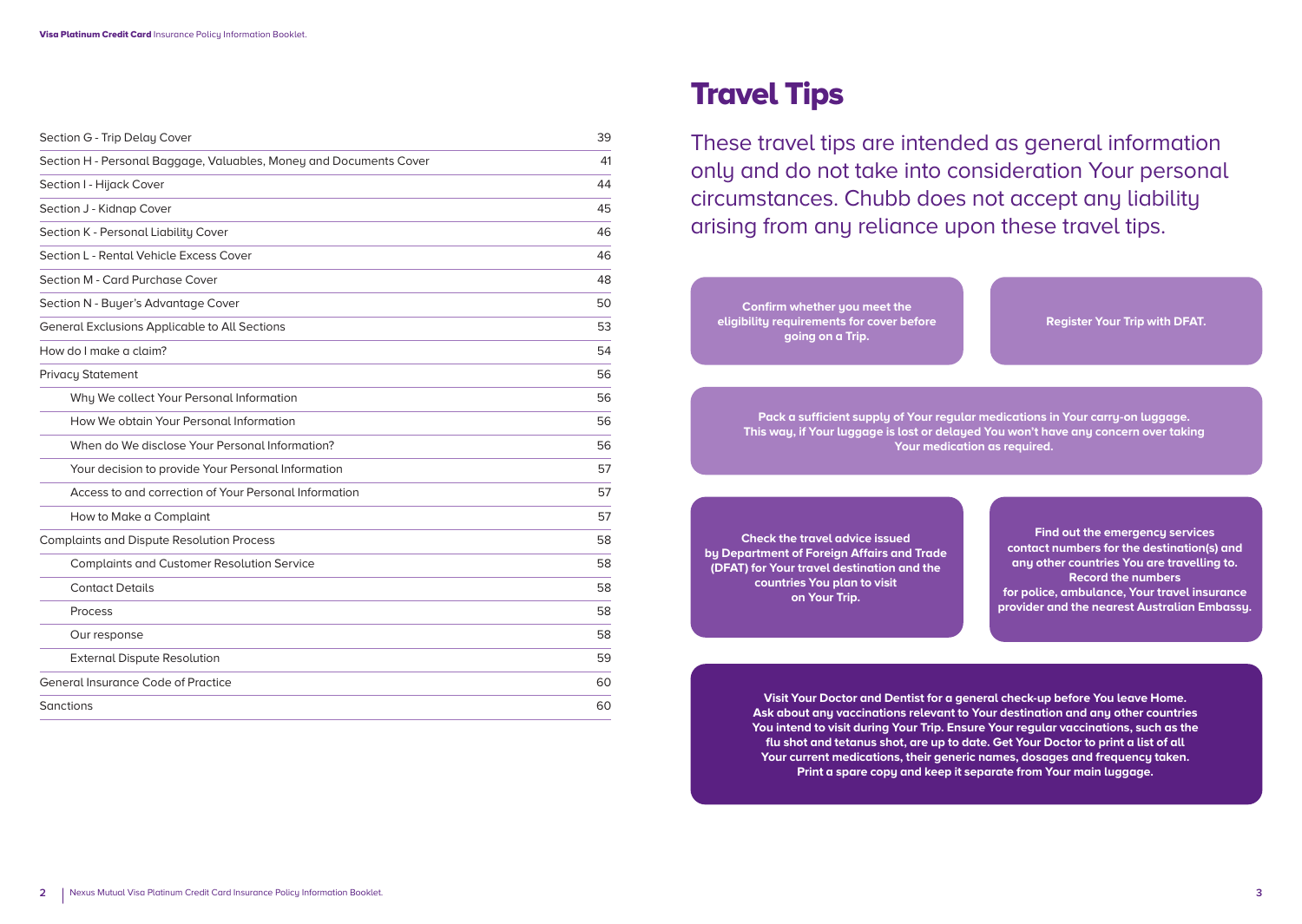| Section G - Trip Delay Cover                                       | 39 |
|--------------------------------------------------------------------|----|
| Section H - Personal Baggage, Valuables, Money and Documents Cover | 41 |
| Section I - Hijack Cover                                           | 44 |
| Section J - Kidnap Cover                                           | 45 |
| Section K - Personal Liability Cover                               | 46 |
| Section L - Rental Vehicle Excess Cover                            | 46 |
| Section M - Card Purchase Cover                                    | 48 |
| Section N - Buyer's Advantage Cover                                | 50 |
| <b>General Exclusions Applicable to All Sections</b>               | 53 |
| How do I make a claim?                                             | 54 |
| <b>Privacy Statement</b>                                           | 56 |
| Why We collect Your Personal Information                           | 56 |
| How We obtain Your Personal Information                            | 56 |
| When do We disclose Your Personal Information?                     | 56 |
| Your decision to provide Your Personal Information                 | 57 |
| Access to and correction of Your Personal Information              | 57 |
| How to Make a Complaint                                            | 57 |
| <b>Complaints and Dispute Resolution Process</b>                   | 58 |
| <b>Complaints and Customer Resolution Service</b>                  | 58 |
| <b>Contact Details</b>                                             | 58 |
| Process                                                            | 58 |
| Our response                                                       | 58 |
| <b>External Dispute Resolution</b>                                 | 59 |
| <b>General Insurance Code of Practice</b>                          | 60 |
| Sanctions                                                          | 60 |

# Travel Tips

These travel tips are intended as general information only and do not take into consideration Your personal circumstances. Chubb does not accept any liability arising from any reliance upon these travel tips.

**Confirm whether you meet the eligibility requirements for cover before going on a Trip.**

**Register Your Trip with DFAT.**

**Pack a sufficient supply of Your regular medications in Your carry-on luggage. This way, if Your luggage is lost or delayed You won't have any concern over taking Your medication as required.**

**Check the travel advice issued by Department of Foreign Affairs and Trade (DFAT) for Your travel destination and the countries You plan to visit on Your Trip.**

**Find out the emergency services contact numbers for the destination(s) and any other countries You are travelling to. Record the numbers for police, ambulance, Your travel insurance provider and the nearest Australian Embassy.**

**Visit Your Doctor and Dentist for a general check-up before You leave Home. Ask about any vaccinations relevant to Your destination and any other countries You intend to visit during Your Trip. Ensure Your regular vaccinations, such as the flu shot and tetanus shot, are up to date. Get Your Doctor to print a list of all Your current medications, their generic names, dosages and frequency taken. Print a spare copy and keep it separate from Your main luggage.**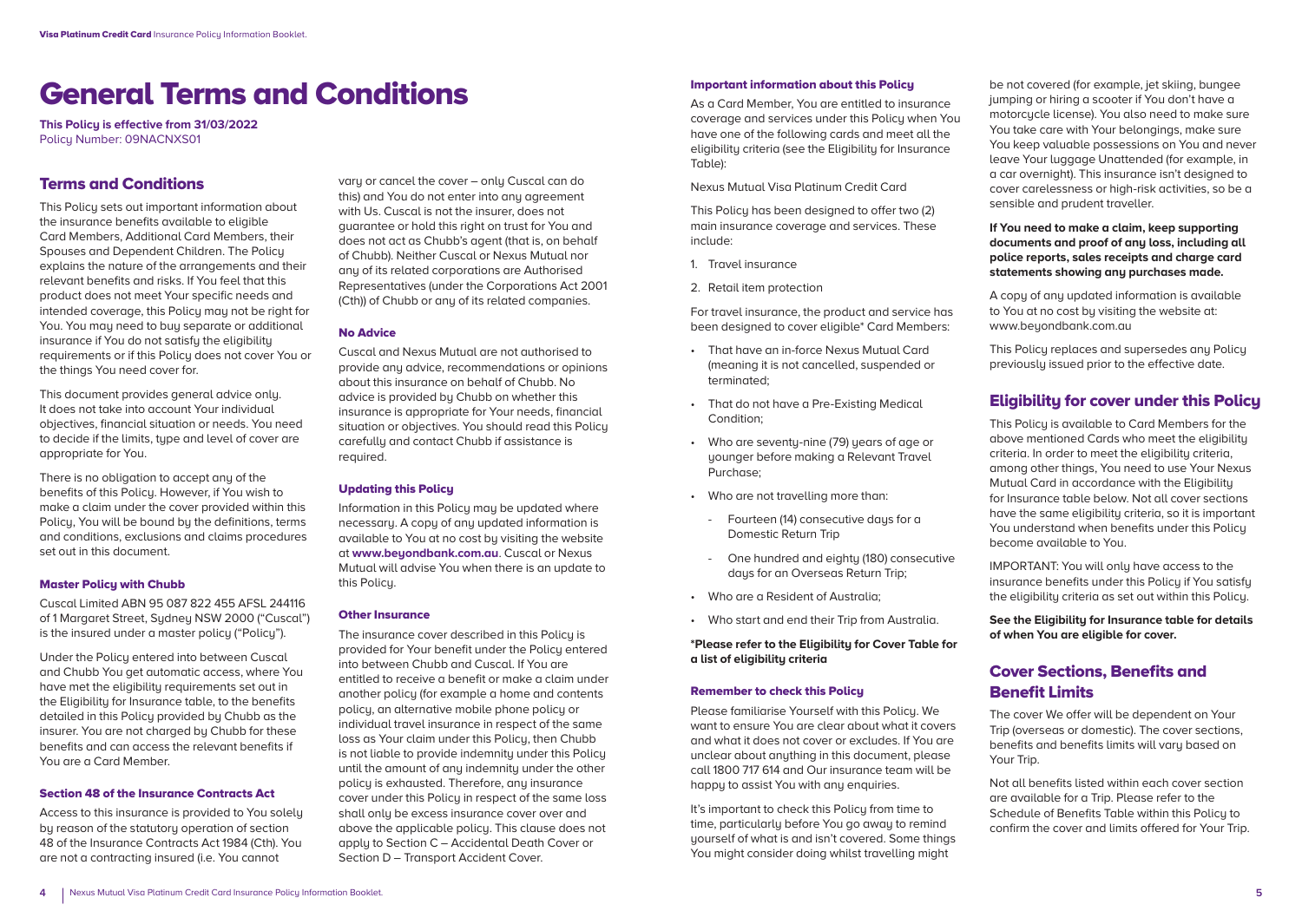# General Terms and Conditions

**This Policy is effective from 31/03/2022**  Policy Number: 09NACNXS01

### Terms and Conditions

This Policu sets out important information about the insurance benefits available to eligible Card Members, Additional Card Members, their Spouses and Dependent Children. The Policy explains the nature of the arrangements and their relevant benefits and risks. If You feel that this product does not meet Your specific needs and intended coverage, this Policu may not be right for You. You may need to buy separate or additional insurance if You do not satisfy the eligibility requirements or if this Policu does not cover You or the things You need cover for.

This document provides general advice only. It does not take into account Your individual objectives, financial situation or needs. You need to decide if the limits, type and level of cover are appropriate for You.

There is no obligation to accept any of the benefits of this Policy. However, if You wish to make a claim under the cover provided within this Policy, You will be bound by the definitions, terms and conditions, exclusions and claims procedures set out in this document.

#### **Master Policu with Chubb**

Cuscal Limited ABN 95 087 822 455 AFSL 244116 of 1 Margaret Street, Sudney NSW 2000 ("Cuscal") is the insured under a master policy ("Policy").

Under the Policy entered into between Cuscal and Chubb You get automatic access, where You have met the eligibility requirements set out in the Eligibility for Insurance table, to the benefits detailed in this Policy provided by Chubb as the insurer. You are not charged by Chubb for these benefits and can access the relevant benefits if You are a Card Member.

#### Section 48 of the Insurance Contracts Act

Access to this insurance is provided to You solely bu reason of the statutoru operation of section 48 of the Insurance Contracts Act 1984 (Cth). You are not a contracting insured (i.e. You cannot

varu or cancel the cover – only Cuscal can do this) and You do not enter into any agreement with Us. Cuscal is not the insurer, does not guarantee or hold this right on trust for You and does not act as Chubb's agent (that is, on behalf of Chubb). Neither Cuscal or Nexus Mutual nor any of its related corporations are Authorised Representatives (under the Corporations Act 2001 (Cth)) of Chubb or any of its related companies.

#### No Advice

Cuscal and Nexus Mutual are not authorised to provide any advice, recommendations or opinions about this insurance on behalf of Chubb. No advice is provided by Chubb on whether this insurance is appropriate for Your needs, financial situation or objectives. You should read this Policu carefully and contact Chubb if assistance is required.

#### Updating this Policy

Information in this Policy may be updated where necessary. A copy of any updated information is available to You at no cost bu visiting the website at **www.beyondbank.com.au**. Cuscal or Nexus Mutual will advise You when there is an update to this Policy.

#### Other Insurance

The insurance cover described in this Policu is provided for Your benefit under the Policy entered into between Chubb and Cuscal. If You are entitled to receive a benefit or make a claim under another policy (for example a home and contents policy, an alternative mobile phone policy or individual travel insurance in respect of the same loss as Your claim under this Policy, then Chubb is not liable to provide indemnity under this Policy until the amount of any indemnity under the other policy is exhausted. Therefore, any insurance cover under this Policy in respect of the same loss shall only be excess insurance cover over and above the applicable policy. This clause does not apply to Section C – Accidental Death Cover or Section D – Transport Accident Cover.

#### Important information about this Policy

As a Card Member, You are entitled to insurance coverage and services under this Policy when You have one of the following cards and meet all the eligibility criteria (see the Eligibility for Insurance Table):

#### Nexus Mutual Visa Platinum Credit Card

This Policy has been designed to offer two (2) main insurance coverage and services. These include:

- 1. Travel insurance
- 2. Retail item protection

For travel insurance, the product and service has been designed to cover eligible\* Card Members:

- That have an in-force Nexus Mutual Card (meaning it is not cancelled, suspended or terminated;
- That do not have a Pre-Existing Medical Condition;
- Who are seventy-nine (79) years of age or younger before making a Relevant Travel Purchase;
- Who are not travelling more than:
	- Fourteen (14) consecutive days for a Domestic Return Trip
	- One hundred and eighty (180) consecutive days for an Overseas Return Trip;
- Who are a Resident of Australia;
- Who start and end their Trip from Australia.

**\*Please refer to the Eligibility for Cover Table for a list of eligibility criteria**

#### Remember to check this Policy

Please familiarise Yourself with this Policy. We want to ensure You are clear about what it covers and what it does not cover or excludes. If You are unclear about anuthing in this document, please call 1800 717 614 and Our insurance team will be happy to assist You with any enquiries.

It's important to check this Policy from time to time, particularly before You go away to remind yourself of what is and isn't covered. Some things You might consider doing whilst travelling might

be not covered (for example, jet skiing, bungee jumping or hiring a scooter if You don't have a motorcycle license). You also need to make sure You take care with Your belongings, make sure You keep valuable possessions on You and never leave Your luggage Unattended (for example, in a car overnight). This insurance isn't designed to cover carelessness or high-risk activities, so be a sensible and prudent traveller.

**If You need to make a claim, keep supporting documents and proof of any loss, including all police reports, sales receipts and charge card statements showing any purchases made.**

A copy of any updated information is available to You at no cost by visiting the website at: www.beuondbank.com.au

This Policy replaces and supersedes any Policy previously issued prior to the effective date.

### Eligibility for cover under this Policy

This Policy is available to Card Members for the above mentioned Cards who meet the eligibility criteria. In order to meet the eligibility criteria, among other things, You need to use Your Nexus Mutual Card in accordance with the Eligibility for Insurance table below. Not all cover sections have the same eligibility criteria, so it is important You understand when benefits under this Policy become available to You.

IMPORTANT: You will only have access to the insurance benefits under this Policu if You satisfu the eligibility criteria as set out within this Policy.

**See the Eligibility for Insurance table for details of when You are eligible for cover.**

# Cover Sections, Benefits and Benefit Limits

The cover We offer will be dependent on Your Trip (overseas or domestic). The cover sections, benefits and benefits limits will vary based on Your Trip.

Not all benefits listed within each cover section are available for a Trip. Please refer to the Schedule of Benefits Table within this Policy to confirm the cover and limits offered for Your Trip.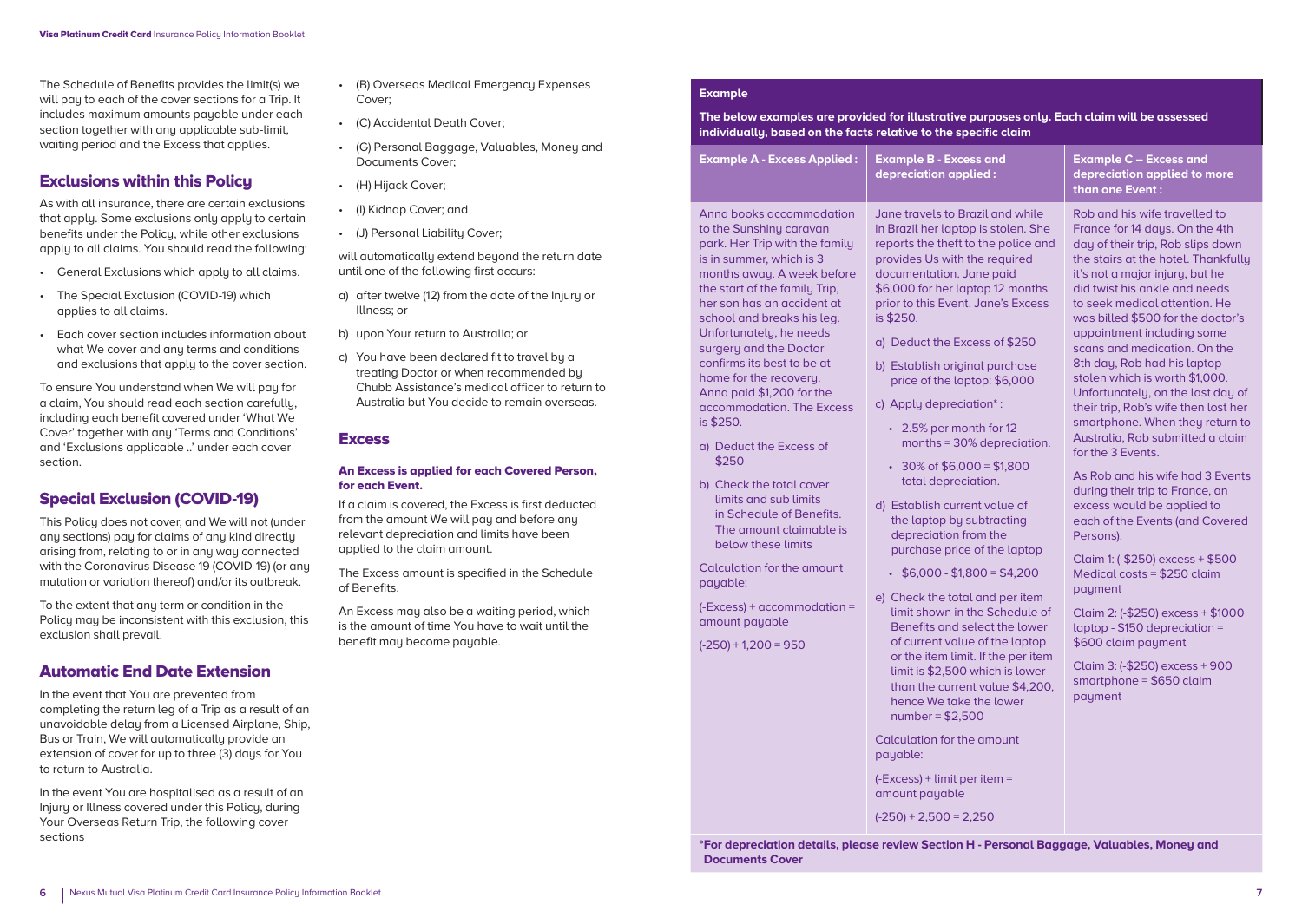The Schedule of Benefits provides the limit(s) we will pay to each of the cover sections for a Trip. It includes maximum amounts payable under each section together with any applicable sub-limit, waiting period and the Excess that applies.

### Exclusions within this Policy

As with all insurance, there are certain exclusions that apply. Some exclusions only apply to certain benefits under the Policy, while other exclusions apply to all claims. You should read the following:

- General Exclusions which apply to all claims.
- The Special Exclusion (COVID-19) which applies to all claims.
- Each cover section includes information about what We cover and any terms and conditions and exclusions that apply to the cover section.

To ensure You understand when We will pay for a claim, You should read each section carefully, including each benefit covered under 'What We Cover' together with any 'Terms and Conditions' and 'Exclusions applicable ..' under each cover section.

### Special Exclusion (COVID-19)

This Policy does not cover, and We will not (under any sections) pay for claims of any kind directly arising from, relating to or in any way connected with the Coronavirus Disease 19 (COVID-19) (or any mutation or variation thereof) and/or its outbreak.

To the extent that any term or condition in the Policy may be inconsistent with this exclusion, this exclusion shall prevail.

### Automatic End Date Extension

In the event that You are prevented from completing the return leg of a Trip as a result of an unavoidable delay from a Licensed Airplane, Ship, Bus or Train, We will automatically provide an extension of cover for up to three (3) days for You to return to Australia.

In the event You are hospitalised as a result of an Injury or Illness covered under this Policy, during Your Overseas Return Trip, the following cover sections

- (B) Overseas Medical Emergency Expenses Cover;
- (C) Accidental Death Cover;
- (G) Personal Baggage, Valuables, Money and Documents Cover;
- (H) Hijack Cover;
- (I) Kidnap Cover; and
- (J) Personal Liability Cover;

will automatically extend beyond the return date until one of the following first occurs:

- a) after twelve (12) from the date of the Injury or Illness; or
- b) upon Your return to Australia; or
- c) You have been declared fit to travel by a treating Doctor or when recommended by Chubb Assistance's medical officer to return to Australia but You decide to remain overseas.

#### **Excess**

#### An Excess is applied for each Covered Person, for each Event.

If a claim is covered, the Excess is first deducted from the amount We will pay and before any relevant depreciation and limits have been applied to the claim amount.

The Excess amount is specified in the Schedule of Benefits.

An Excess may also be a waiting period, which is the amount of time You have to wait until the benefit may become payable.

#### **Example**

**The below examples are provided for illustrative purposes only. Each claim will be assessed individually, based on the facts relative to the specific claim**

| <b>Example A - Excess Applied:</b>                                                                                                                                                                                                                                                                                                                                                                                                                                                                                                                                                                                                                                                                                           | <b>Example B - Excess and</b><br>depreciation applied:                                                                                                                                                                                                                                                                                                                                                                                                                                                                                                                                                                                                                                                                                                                                                                                                                                                                                                                                                                                                                                            | <b>Example C - Excess and</b><br>depreciation applied to more<br>than one Event:                                                                                                                                                                                                                                                                                                                                                                                                                                                                                                                                                                                                                                                                                                                                                                                                                                                                                                                         |
|------------------------------------------------------------------------------------------------------------------------------------------------------------------------------------------------------------------------------------------------------------------------------------------------------------------------------------------------------------------------------------------------------------------------------------------------------------------------------------------------------------------------------------------------------------------------------------------------------------------------------------------------------------------------------------------------------------------------------|---------------------------------------------------------------------------------------------------------------------------------------------------------------------------------------------------------------------------------------------------------------------------------------------------------------------------------------------------------------------------------------------------------------------------------------------------------------------------------------------------------------------------------------------------------------------------------------------------------------------------------------------------------------------------------------------------------------------------------------------------------------------------------------------------------------------------------------------------------------------------------------------------------------------------------------------------------------------------------------------------------------------------------------------------------------------------------------------------|----------------------------------------------------------------------------------------------------------------------------------------------------------------------------------------------------------------------------------------------------------------------------------------------------------------------------------------------------------------------------------------------------------------------------------------------------------------------------------------------------------------------------------------------------------------------------------------------------------------------------------------------------------------------------------------------------------------------------------------------------------------------------------------------------------------------------------------------------------------------------------------------------------------------------------------------------------------------------------------------------------|
| Anna books accommodation<br>to the Sunshiny caravan<br>park. Her Trip with the family<br>is in summer, which is 3<br>months away. A week before<br>the start of the family Trip,<br>her son has an accident at<br>school and breaks his leg.<br>Unfortunately, he needs<br>surgery and the Doctor<br>confirms its best to be at<br>home for the recovery.<br>Anna paid \$1,200 for the<br>accommodation. The Excess<br>is \$250.<br>a) Deduct the Excess of<br>\$250<br>b) Check the total cover<br>limits and sub limits<br>in Schedule of Benefits.<br>The amount claimable is<br>below these limits<br>Calculation for the amount<br>payable:<br>$(-Excess) +accommodation =$<br>amount payable<br>$(-250) + 1,200 = 950$ | Jane travels to Brazil and while<br>in Brazil her laptop is stolen. She<br>reports the theft to the police and<br>provides Us with the required<br>documentation. Jane paid<br>\$6,000 for her laptop 12 months<br>prior to this Event. Jane's Excess<br>is \$250.<br>a) Deduct the Excess of \$250<br>b) Establish original purchase<br>price of the laptop: \$6,000<br>c) Apply depreciation <sup>*</sup> :<br>• 2.5% per month for 12<br>months = 30% depreciation.<br>$\cdot$ 30% of \$6,000 = \$1,800<br>total depreciation.<br>d) Establish current value of<br>the laptop by subtracting<br>depreciation from the<br>purchase price of the laptop<br>$\cdot$ \$6,000 - \$1,800 = \$4,200<br>e) Check the total and per item<br>limit shown in the Schedule of<br>Benefits and select the lower<br>of current value of the laptop<br>or the item limit. If the per item<br>limit is \$2,500 which is lower<br>than the current value \$4,200,<br>hence We take the lower<br>$number = $2,500$<br>Calculation for the amount<br>payable:<br>$(-Excess) +$ limit per item =<br>amount payable | Rob and his wife travelled to<br>France for 14 days. On the 4th<br>day of their trip, Rob slips down<br>the stairs at the hotel. Thankfully<br>it's not a major injury, but he<br>did twist his ankle and needs<br>to seek medical attention. He<br>was billed \$500 for the doctor's<br>appointment including some<br>scans and medication. On the<br>8th day, Rob had his laptop<br>stolen which is worth \$1,000.<br>Unfortunately, on the last day of<br>their trip, Rob's wife then lost her<br>smartphone. When they return to<br>Australia. Rob submitted a claim<br>for the 3 Events.<br>As Rob and his wife had 3 Events<br>during their trip to France, an<br>excess would be applied to<br>each of the Events (and Covered<br>Persons).<br>Claim 1: (-\$250) excess + \$500<br>Medical costs = \$250 claim<br>payment<br>Claim 2: (-\$250) excess + \$1000<br>laptop - $$150$ depreciation =<br>\$600 claim payment<br>Claim 3: (-\$250) excess + 900<br>smartphone = $$650$ claim<br>payment |

**\*For depreciation details, please review Section H - Personal Baggage, Valuables, Money and Documents Cover**

 $(-250) + 2,500 = 2,250$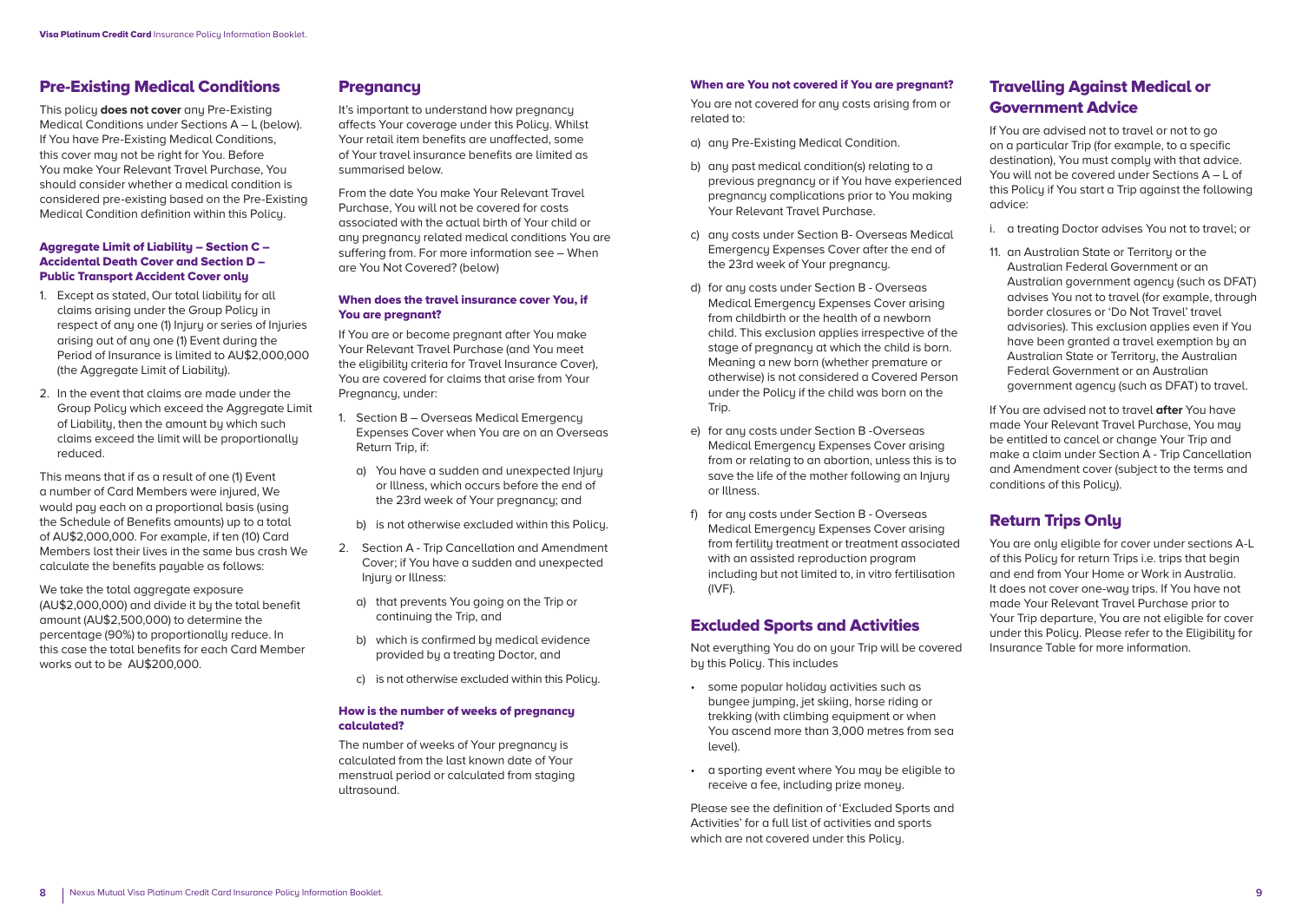### Pre-Existing Medical Conditions

This policy **does not cover** any Pre-Existing Medical Conditions under Sections A – L (below). If You have Pre-Existing Medical Conditions, this cover may not be right for You. Before You make Your Relevant Travel Purchase, You should consider whether a medical condition is considered pre-existing based on the Pre-Existing Medical Condition definition within this Policy.

#### Aggregate Limit of Liability – Section C – Accidental Death Cover and Section D – Public Transport Accident Cover only

- 1. Except as stated, Our total liability for all claims arising under the Group Policy in respect of any one (1) Injury or series of Injuries arising out of any one (1) Event during the Period of Insurance is limited to AU\$2,000,000 (the Aggregate Limit of Liability).
- 2. In the event that claims are made under the Group Policy which exceed the Aggregate Limit of Liability, then the amount by which such claims exceed the limit will be proportionally reduced.

This means that if as a result of one (1) Event a number of Card Members were injured, We would pay each on a proportional basis (using the Schedule of Benefits amounts) up to a total of AU\$2,000,000. For example, if ten (10) Card Members lost their lives in the same bus crash We calculate the benefits payable as follows:

We take the total aggregate exposure (AU\$2,000,000) and divide it by the total benefit amount (AU\$2,500,000) to determine the percentage (90%) to proportionally reduce. In this case the total benefits for each Card Member works out to be AU\$200,000.

### **Pregnancy**

It's important to understand how pregnancy affects Your coverage under this Policy. Whilst Your retail item benefits are unaffected, some of Your travel insurance benefits are limited as summarised below.

From the date You make Your Relevant Travel Purchase, You will not be covered for costs associated with the actual birth of Your child or any pregnancy related medical conditions You are suffering from. For more information see – When are You Not Covered? (below)

#### When does the travel insurance cover You, if You are pregnant?

If You are or become pregnant after You make Your Relevant Travel Purchase (and You meet the eligibility criteria for Travel Insurance Cover), You are covered for claims that arise from Your Pregnancy, under:

- 1. Section B Overseas Medical Emergency Expenses Cover when You are on an Overseas Return Trip, if:
	- a) You have a sudden and unexpected Injury or Illness, which occurs before the end of the 23rd week of Your pregnancy; and
	- b) is not otherwise excluded within this Policy.
- 2. Section A Trip Cancellation and Amendment Cover; if You have a sudden and unexpected Injuru or Illness:
	- a) that prevents You going on the Trip or continuing the Trip, and
	- b) which is confirmed by medical evidence provided by a treating Doctor, and
	- c) is not otherwise excluded within this Policy.

#### How is the number of weeks of pregnancy calculated?

The number of weeks of Your pregnancy is calculated from the last known date of Your menstrual period or calculated from staging ultrasound.

#### When are You not covered if You are pregnant?

You are not covered for any costs arising from or related to:

- a) any Pre-Existing Medical Condition.
- b) any past medical condition(s) relating to a previous pregnancy or if You have experienced pregnancy complications prior to You making Your Relevant Travel Purchase.
- c) any costs under Section B- Overseas Medical Emergency Expenses Cover after the end of the 23rd week of Your pregnancy.
- d) for any costs under Section B Overseas Medical Emergency Expenses Cover arising from childbirth or the health of a newborn child. This exclusion applies irrespective of the stage of pregnancy at which the child is born. Meaning a new born (whether premature or otherwise) is not considered a Covered Person under the Policy if the child was born on the Trip.
- e) for any costs under Section B -Overseas Medical Emergency Expenses Cover arising from or relating to an abortion, unless this is to save the life of the mother following an Injury or Illness.
- f) for any costs under Section B Overseas Medical Emergency Expenses Cover arising from fertility treatment or treatment associated with an assisted reproduction program including but not limited to, in vitro fertilisation (IVF).

#### Excluded Sports and Activities

Not everything You do on your Trip will be covered by this Policy. This includes

- some popular holiday activities such as bungee jumping, jet skiing, horse riding or trekking (with climbing equipment or when You ascend more than 3,000 metres from sea level).
- a sporting event where You may be eligible to receive a fee, including prize money.

Please see the definition of 'Excluded Sports and Activities' for a full list of activities and sports which are not covered under this Policu.

# Travelling Against Medical or Government Advice

If You are advised not to travel or not to go on a particular Trip (for example, to a specific destination), You must comply with that advice. You will not be covered under Sections A – L of this Policu if You start a Trip against the following advice:

- i. a treating Doctor advises You not to travel; or
- 11. an Australian State or Territory or the Australian Federal Government or an Australian government agency (such as DFAT) advises You not to travel (for example, through border closures or 'Do Not Travel' travel advisories). This exclusion applies even if You have been granted a travel exemption by an Australian State or Territory, the Australian Federal Government or an Australian government agency (such as DFAT) to travel.

If You are advised not to travel **after** You have made Your Relevant Travel Purchase, You may be entitled to cancel or change Your Trip and make a claim under Section A - Trip Cancellation and Amendment cover (subject to the terms and conditions of this Policu).

# Return Trips Only

You are only eligible for cover under sections A-L of this Policy for return Trips i.e. trips that begin and end from Your Home or Work in Australia. It does not cover one-way trips. If You have not made Your Relevant Travel Purchase prior to Your Trip departure, You are not eligible for cover under this Policy. Please refer to the Eligibility for Insurance Table for more information.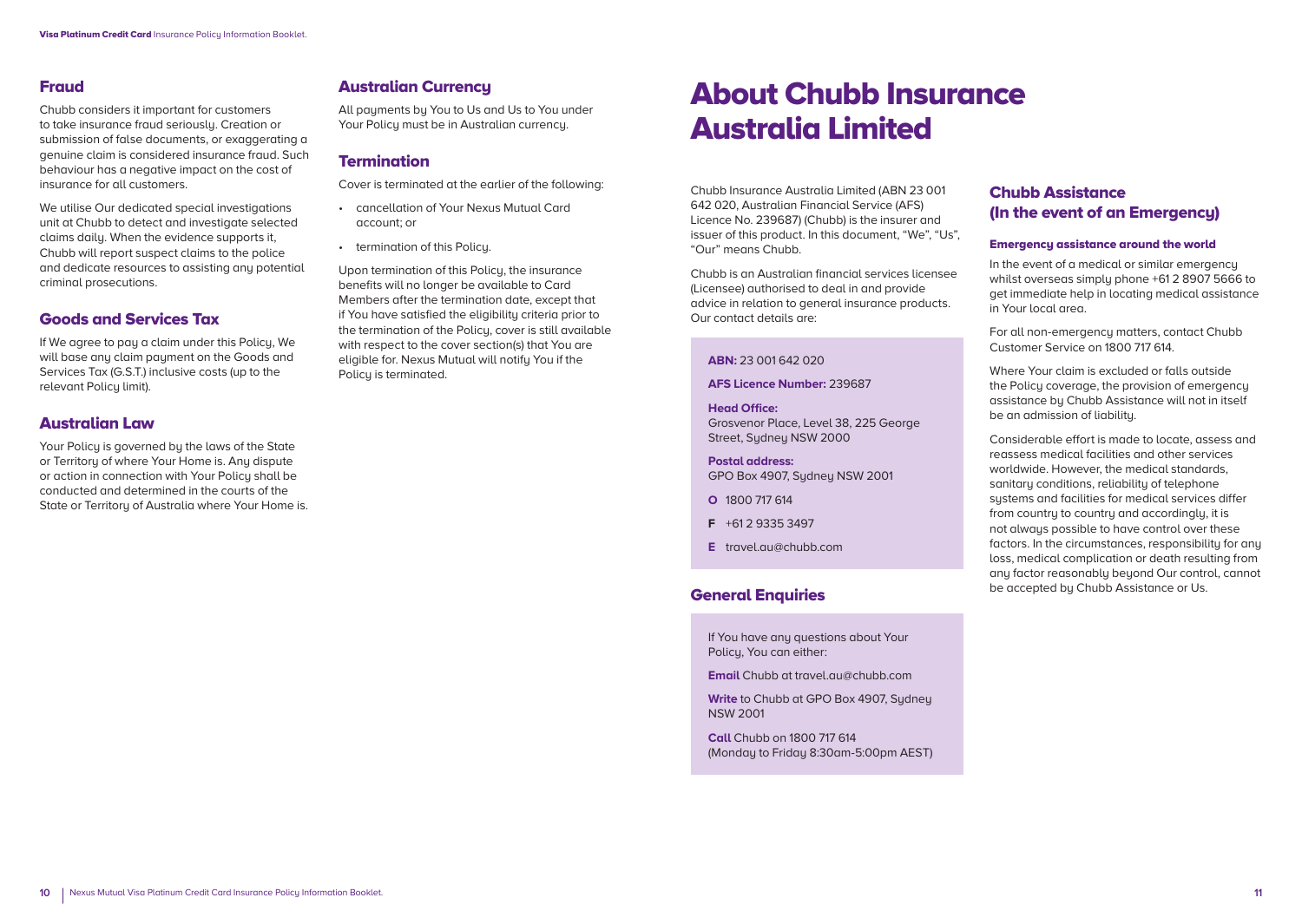# Fraud

Chubb considers it important for customers to take insurance fraud seriously. Creation or submission of false documents, or exaggerating a genuine claim is considered insurance fraud. Such behaviour has a negative impact on the cost of insurance for all customers.

We utilise Our dedicated special investigations unit at Chubb to detect and investigate selected claims daily. When the evidence supports it, Chubb will report suspect claims to the police and dedicate resources to assisting any potential criminal prosecutions.

### Goods and Services Tax

If We agree to pay a claim under this Policy, We will base any claim payment on the Goods and Services Tax (G.S.T.) inclusive costs (up to the relevant Policy limit).

### Australian Law

Your Policu is governed bu the laws of the State or Territoru of where Your Home is. Any dispute or action in connection with Your Policy shall be conducted and determined in the courts of the State or Territory of Australia where Your Home is.

# Australian Currency

All payments by You to Us and Us to You under Your Policy must be in Australian currency.

### **Termination**

Cover is terminated at the earlier of the following:

- cancellation of Your Nexus Mutual Card account; or
- termination of this Policy.

Upon termination of this Policu, the insurance benefits will no longer be available to Card Members after the termination date, except that if You have satisfied the eligibility criteria prior to the termination of the Policu, cover is still available with respect to the cover section(s) that You are eligible for. Nexus Mutual will notify You if the Policu is terminated.

# About Chubb Insurance Australia Limited

Chubb Insurance Australia Limited (ABN 23 001 642 020, Australian Financial Service (AFS) Licence No. 239687) (Chubb) is the insurer and issuer of this product. In this document, "We", "Us", "Our" means Chubb.

Chubb is an Australian financial services licensee (Licensee) authorised to deal in and provide advice in relation to general insurance products. Our contact details are:

#### **ABN:** 23 001 642 020

**AFS Licence Number:** 239687

**Head Office:** Grosvenor Place, Level 38, 225 George Street, Sydney NSW 2000

**Postal address:**  GPO Box 4907, Sydney NSW 2001

**O** 1800 717 614

- **F** +61 2 9335 3497
- **E** travel.au@chubb.com

# General Enquiries

If You have any questions about Your Policy, You can either:

**Email** Chubb at travel.au@chubb.com

**Write** to Chubb at GPO Box 4907, Sydney NSW 2001

**Call** Chubb on 1800 717 614 (Monday to Friday 8:30am-5:00pm AEST)

# Chubb Assistance (In the event of an Emergency)

#### Emergency assistance around the world

In the event of a medical or similar emergency whilst overseas simply phone +61 2 8907 5666 to get immediate help in locating medical assistance in Your local area.

For all non-emergency matters, contact Chubb Customer Service on 1800 717 614.

Where Your claim is excluded or falls outside the Policu coverage, the provision of emergency assistance by Chubb Assistance will not in itself be an admission of liability.

Considerable effort is made to locate, assess and reassess medical facilities and other services worldwide. However, the medical standards, sanitary conditions, reliability of telephone systems and facilities for medical services differ from countru to countru and accordingly, it is not always possible to have control over these factors. In the circumstances, responsibility for any loss, medical complication or death resulting from any factor reasonably beyond Our control, cannot be accepted by Chubb Assistance or Us.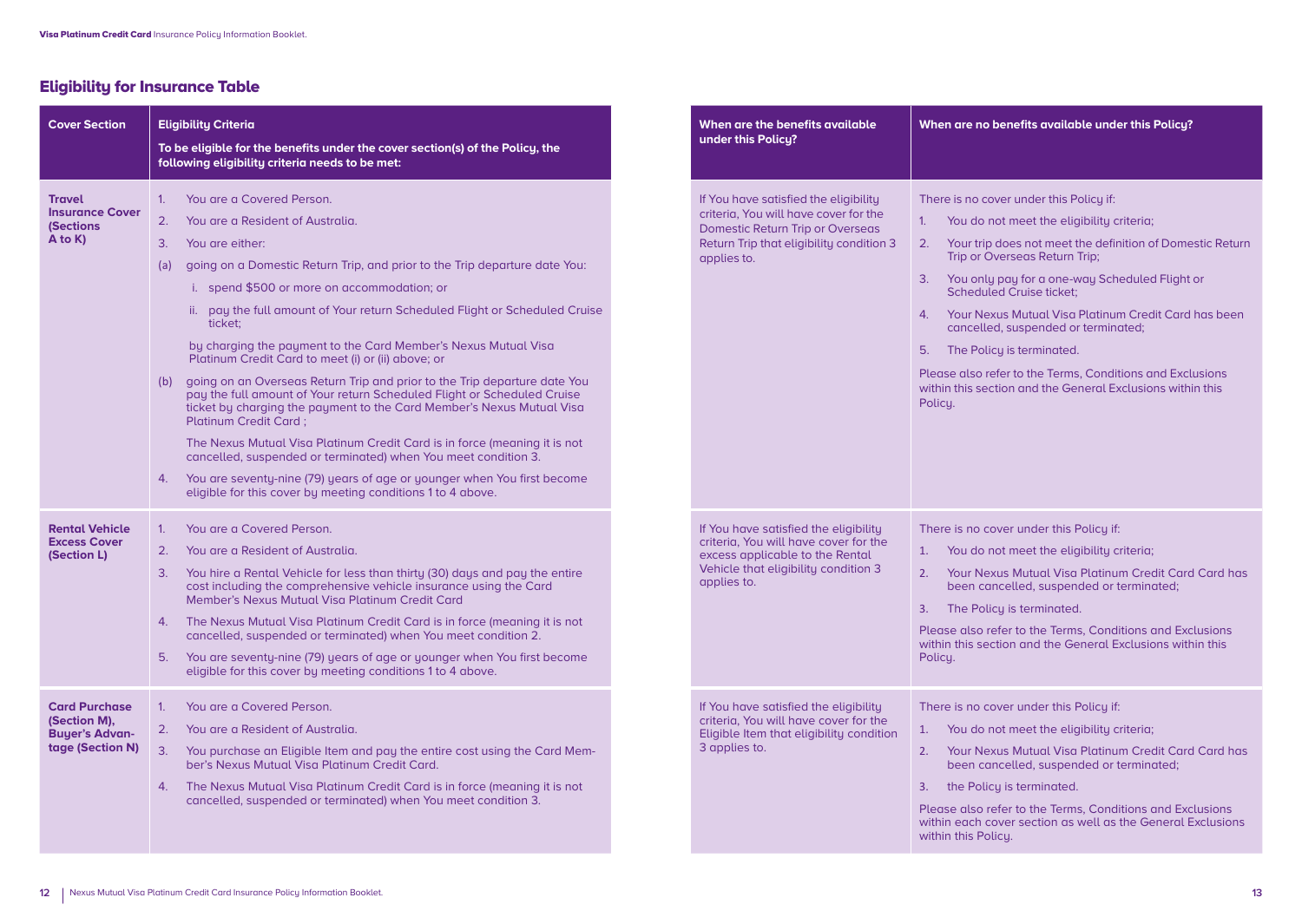# Eligibility for Insurance Table

| <b>Cover Section</b>                                                              | <b>Eligibility Criteria</b><br>To be eligible for the benefits under the cover section(s) of the Policy, the<br>following eligibility criteria needs to be met:                                                                                                                                                                                                                                                                                                                                                                                                                                                                                                                                                                                                                                                                                                                                                                                                                                                           | When are the benefits available<br>under this Policy?                                                                                                                                | When are no benefits available under this Policy?                                                                                                                                                                                                                                                                                                                                                                                                                                                                                                                                         |
|-----------------------------------------------------------------------------------|---------------------------------------------------------------------------------------------------------------------------------------------------------------------------------------------------------------------------------------------------------------------------------------------------------------------------------------------------------------------------------------------------------------------------------------------------------------------------------------------------------------------------------------------------------------------------------------------------------------------------------------------------------------------------------------------------------------------------------------------------------------------------------------------------------------------------------------------------------------------------------------------------------------------------------------------------------------------------------------------------------------------------|--------------------------------------------------------------------------------------------------------------------------------------------------------------------------------------|-------------------------------------------------------------------------------------------------------------------------------------------------------------------------------------------------------------------------------------------------------------------------------------------------------------------------------------------------------------------------------------------------------------------------------------------------------------------------------------------------------------------------------------------------------------------------------------------|
| <b>Travel</b><br><b>Insurance Cover</b><br><b>(Sections</b><br>$A$ to $K$ )       | 1. You are a Covered Person.<br>2.<br>You are a Resident of Australia.<br>3.<br>You are either:<br>going on a Domestic Return Trip, and prior to the Trip departure date You:<br>(a)<br>i. spend \$500 or more on accommodation; or<br>ii. pay the full amount of Your return Scheduled Flight or Scheduled Cruise<br>ticket:<br>by charging the payment to the Card Member's Nexus Mutual Visa<br>Platinum Credit Card to meet (i) or (ii) above; or<br>(b) going on an Overseas Return Trip and prior to the Trip departure date You<br>pay the full amount of Your return Scheduled Flight or Scheduled Cruise<br>ticket by charging the payment to the Card Member's Nexus Mutual Visa<br><b>Platinum Credit Card:</b><br>The Nexus Mutual Visa Platinum Credit Card is in force (meaning it is not<br>cancelled, suspended or terminated) when You meet condition 3.<br>You are seventy-nine (79) years of age or younger when You first become<br>4.<br>eligible for this cover by meeting conditions 1 to 4 above. | If You have satisfied the eligibility<br>criteria, You will have cover for the<br><b>Domestic Return Trip or Overseas</b><br>Return Trip that eligibility condition 3<br>applies to. | There is no cover under this Policy if:<br>You do not meet the eligibility criteria;<br>1 <sub>1</sub><br>Your trip does not meet the definition of Domestic Return<br>2.<br>Trip or Overseas Return Trip;<br>3. You only pay for a one-way Scheduled Flight or<br><b>Scheduled Cruise ticket:</b><br>Your Nexus Mutual Visa Platinum Credit Card has been<br>$\mathbf{4}$ .<br>cancelled, suspended or terminated;<br>5. The Policy is terminated.<br>Please also refer to the Terms, Conditions and Exclusions<br>within this section and the General Exclusions within this<br>Policy. |
| <b>Rental Vehicle</b><br><b>Excess Cover</b><br>(Section L)                       | You are a Covered Person.<br>1 <sup>1</sup><br>2.<br>You are a Resident of Australia.<br>3.<br>You hire a Rental Vehicle for less than thirty (30) days and pay the entire<br>cost including the comprehensive vehicle insurance using the Card<br>Member's Nexus Mutual Visa Platinum Credit Card<br>4. The Nexus Mutual Visa Platinum Credit Card is in force (meaning it is not<br>cancelled, suspended or terminated) when You meet condition 2.<br>5.<br>You are seventy-nine (79) years of age or younger when You first become<br>eligible for this cover by meeting conditions 1 to 4 above.                                                                                                                                                                                                                                                                                                                                                                                                                      | If You have satisfied the eligibility<br>criteria, You will have cover for the<br>excess applicable to the Rental<br>Vehicle that eligibility condition 3<br>applies to.             | There is no cover under this Policy if:<br>1. You do not meet the eligibility criteria;<br>2. Your Nexus Mutual Visa Platinum Credit Card Card has<br>been cancelled, suspended or terminated;<br>3. The Policy is terminated.<br>Please also refer to the Terms, Conditions and Exclusions<br>within this section and the General Exclusions within this<br>Policy.                                                                                                                                                                                                                      |
| <b>Card Purchase</b><br>(Section M),<br><b>Buyer's Advan-</b><br>tage (Section N) | You are a Covered Person.<br>1 <sup>1</sup><br>2.<br>You are a Resident of Australia.<br>3.<br>You purchase an Eligible Item and pay the entire cost using the Card Mem-<br>ber's Nexus Mutual Visa Platinum Credit Card.<br>4. The Nexus Mutual Visa Platinum Credit Card is in force (meaning it is not<br>cancelled, suspended or terminated) when You meet condition 3.                                                                                                                                                                                                                                                                                                                                                                                                                                                                                                                                                                                                                                               | If You have satisfied the eligibility<br>criteria, You will have cover for the<br>Eligible Item that eligibility condition<br>3 applies to.                                          | There is no cover under this Policy if:<br>1. You do not meet the eligibility criteria;<br>2. Your Nexus Mutual Visa Platinum Credit Card Card has<br>been cancelled, suspended or terminated;<br>3. the Policy is terminated.<br>Please also refer to the Terms, Conditions and Exclusions<br>within each cover section as well as the General Exclusions<br>within this Policy.                                                                                                                                                                                                         |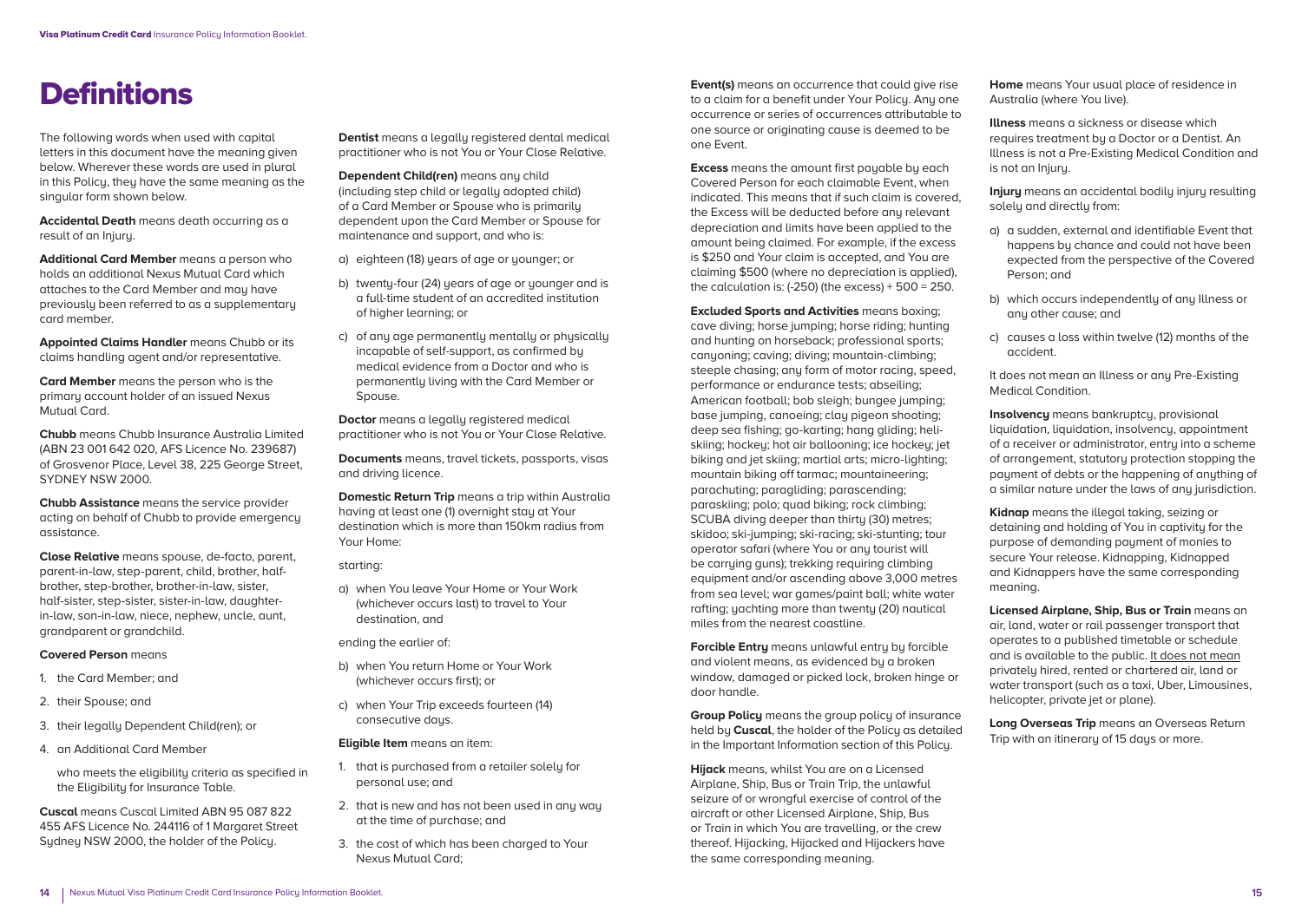The following words when used with capital letters in this document have the meaning given below. Wherever these words are used in plural in this Policu, they have the same meaning as the singular form shown below.

**Accidental Death** means death occurring as a result of an Injury.

**Additional Card Member** means a person who holds an additional Nexus Mutual Card which attaches to the Card Member and may have previously been referred to as a supplementary card member.

**Appointed Claims Handler** means Chubb or its claims handling agent and/or representative.

**Card Member** means the person who is the primary account holder of an issued Nexus Mutual Card.

**Chubb** means Chubb Insurance Australia Limited (ABN 23 001 642 020, AFS Licence No. 239687) of Grosvenor Place, Level 38, 225 George Street, SYDNEY NSW 2000.

**Chubb Assistance** means the service provider acting on behalf of Chubb to provide emergency assistance.

**Close Relative** means spouse, de-facto, parent, parent-in-law, step-parent, child, brother, halfbrother, step-brother, brother-in-law, sister, half-sister, step-sister, sister-in-law, daughterin-law, son-in-law, niece, nephew, uncle, aunt, grandparent or grandchild.

#### **Covered Person** means

- 1. the Card Member; and
- 2. their Spouse; and
- 3. their legally Dependent Child(ren); or
- 4. an Additional Card Member

who meets the eligibility criteria as specified in the Eligibility for Insurance Table.

**Cuscal** means Cuscal Limited ABN 95 087 822 455 AFS Licence No. 244116 of 1 Margaret Street Sydney NSW 2000, the holder of the Policy.

**Dentist** means a legally registered dental medical practitioner who is not You or Your Close Relative.

**Dependent Child(ren)** means any child (including step child or legally adopted child) of a Card Member or Spouse who is primarily dependent upon the Card Member or Spouse for maintenance and support, and who is:

- a) eighteen (18) years of age or younger; or
- b) twenty-four (24) years of age or younger and is a full-time student of an accredited institution of higher learning; or
- c) of any age permanently mentally or physically incapable of self-support, as confirmed by medical evidence from a Doctor and who is permanently living with the Card Member or Spouse.

**Doctor** means a legally registered medical practitioner who is not You or Your Close Relative.

**Documents** means, travel tickets, passports, visas and driving licence.

**Domestic Return Trip** means a trip within Australia having at least one (1) overnight stay at Your destination which is more than 150km radius from Your Home:

#### starting:

a) when You leave Your Home or Your Work (whichever occurs last) to travel to Your destination, and

ending the earlier of:

- b) when You return Home or Your Work (whichever occurs first); or
- c) when Your Trip exceeds fourteen (14) consecutive days.

#### **Eligible Item** means an item:

- 1. that is purchased from a retailer solely for personal use; and
- 2. that is new and has not been used in any way at the time of purchase; and
- 3. the cost of which has been charged to Your Nexus Mutual Card;

**Definitions**<br>**Event(s)** means an occurrence that could give rise to a claim for a benefit under Your Policy. Any one occurrence or series of occurrences attributable to one source or originating cause is deemed to be one Event.

> **Excess** means the amount first payable by each Covered Person for each claimable Event, when indicated. This means that if such claim is covered, the Excess will be deducted before any relevant depreciation and limits have been applied to the amount being claimed. For example, if the excess is \$250 and Your claim is accepted, and You are claiming \$500 (where no depreciation is applied), the calculation is:  $(-250)$  (the excess) +  $500 = 250$ .

**Excluded Sports and Activities** means boxing; cave diving; horse jumping; horse riding; hunting and hunting on horseback; professional sports; canuoning; caving; diving; mountain-climbing; steeple chasing; any form of motor racing, speed, performance or endurance tests; abseiling; American football; bob sleigh; bungee jumping; base jumping, canoeing; clay pigeon shooting; deep sea fishing; go-karting; hang gliding; heliskiing; hockey; hot air ballooning; ice hockey; jet biking and jet skiing; martial arts; micro-lighting; mountain biking off tarmac; mountaineering; parachuting; paragliding; parascending; paraskiing; polo; quad biking; rock climbing; SCUBA diving deeper than thirty (30) metres; skidoo; ski-jumping; ski-racing; ski-stunting; tour operator safari (where You or any tourist will be carrying guns); trekking requiring climbing equipment and/or ascending above 3,000 metres from sea level; war games/paint ball; white water rafting; yachting more than twenty (20) nautical miles from the nearest coastline.

**Forcible Entry** means unlawful entry by forcible and violent means, as evidenced by a broken window, damaged or picked lock, broken hinge or door handle.

**Group Policy** means the group policy of insurance held by **Cuscal**, the holder of the Policy as detailed in the Important Information section of this Policy.

**Hijack** means, whilst You are on a Licensed Airplane, Ship, Bus or Train Trip, the unlawful seizure of or wrongful exercise of control of the aircraft or other Licensed Airplane, Ship, Bus or Train in which You are travelling, or the crew thereof. Hijacking, Hijacked and Hijackers have the same corresponding meaning.

**Home** means Your usual place of residence in Australia (where You live).

**Illness** means a sickness or disease which requires treatment by a Doctor or a Dentist. An Illness is not a Pre-Existing Medical Condition and is not an Injury.

**Injury** means an accidental bodily injury resulting solely and directly from:

- a) a sudden, external and identifiable Event that happens by chance and could not have been expected from the perspective of the Covered Person; and
- b) which occurs independently of any Illness or any other cause; and
- c) causes a loss within twelve (12) months of the accident.

It does not mean an Illness or any Pre-Existing Medical Condition.

**Insolvency** means bankruptcy, provisional liquidation, liquidation, insolvency, appointment of a receiver or administrator, entry into a scheme of arrangement, statutory protection stopping the payment of debts or the happening of anything of a similar nature under the laws of any jurisdiction.

**Kidnap** means the illegal taking, seizing or detaining and holding of You in captivity for the purpose of demanding payment of monies to secure Your release. Kidnapping, Kidnapped and Kidnappers have the same corresponding meaning.

**Licensed Airplane, Ship, Bus or Train** means an air, land, water or rail passenger transport that operates to a published timetable or schedule and is available to the public. It does not mean privately hired, rented or chartered air, land or water transport (such as a taxi, Uber, Limousines, helicopter, private jet or plane).

**Long Overseas Trip** means an Overseas Return Trip with an itinerary of 15 days or more.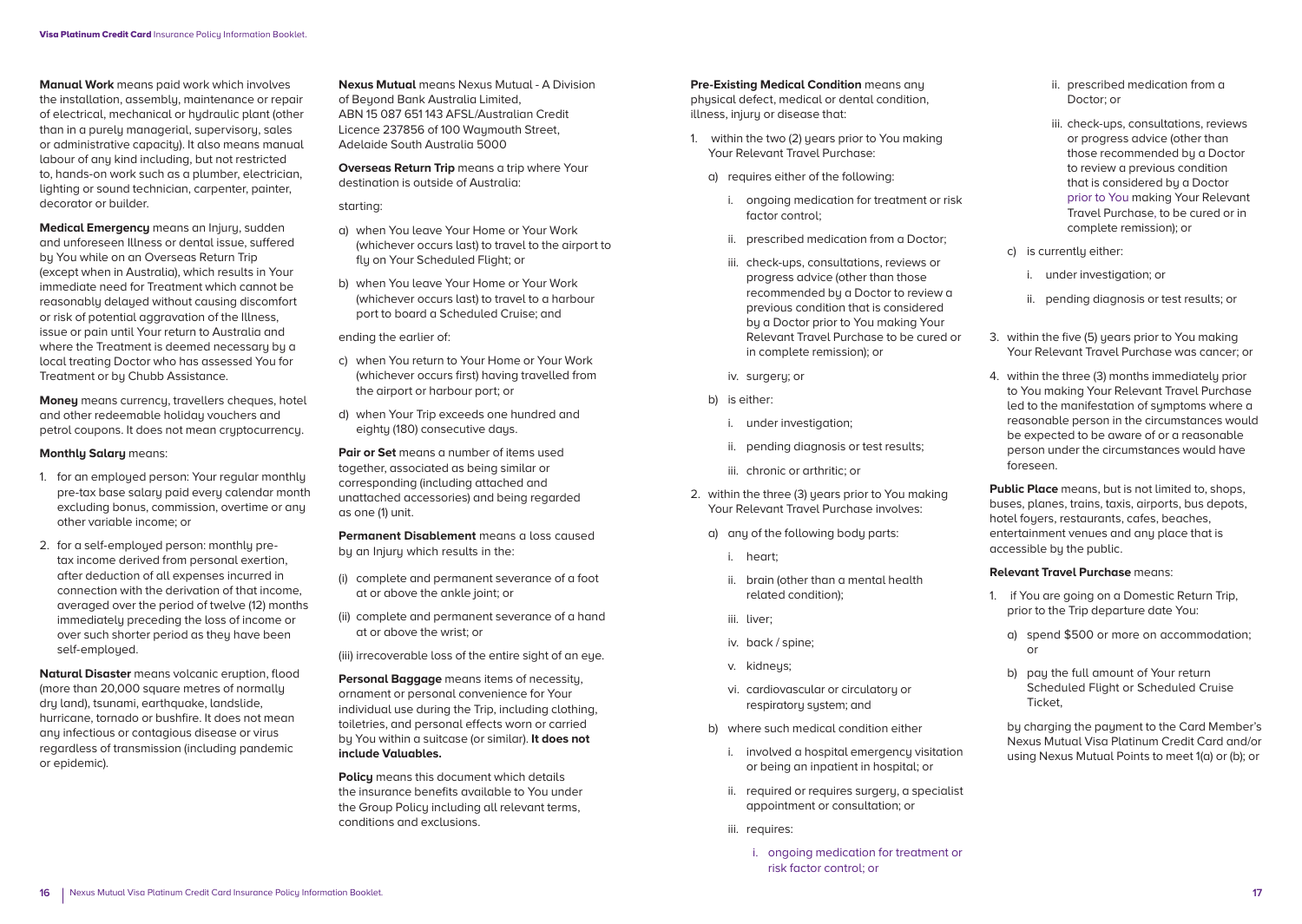**Manual Work** means paid work which involves the installation, assembly, maintenance or repair of electrical, mechanical or hydraulic plant (other than in a purely managerial, supervisory, sales or administrative capacity). It also means manual labour of any kind including, but not restricted to, hands-on work such as a plumber, electrician, lighting or sound technician, carpenter, painter, decorator or builder.

**Medical Emergency** means an Injury, sudden and unforeseen Illness or dental issue, suffered by You while on an Overseas Return Trip (except when in Australia), which results in Your immediate need for Treatment which cannot be reasonably delayed without causing discomfort or risk of potential aggravation of the Illness, issue or pain until Your return to Australia and where the Treatment is deemed necessary by a local treating Doctor who has assessed You for Treatment or by Chubb Assistance.

**Money** means currency, travellers cheques, hotel and other redeemable holiday vouchers and petrol coupons. It does not mean cruptocurrency.

#### **Monthly Salary** means:

- 1. for an employed person: Your regular monthly pre-tax base salary paid every calendar month excluding bonus, commission, overtime or any other variable income; or
- 2. for a self-employed person: monthly pretax income derived from personal exertion, after deduction of all expenses incurred in connection with the derivation of that income, averaged over the period of twelve (12) months immediately preceding the loss of income or over such shorter period as they have been self-emploued.

**Natural Disaster** means volcanic eruption, flood (more than 20,000 square metres of normally dry land), tsunami, earthquake, landslide, hurricane, tornado or bushfire. It does not mean any infectious or contagious disease or virus regardless of transmission (including pandemic or epidemic).

**Nexus Mutual** means Nexus Mutual - A Division of Beyond Bank Australia Limited, ABN 15 087 651 143 AFSL/Australian Credit Licence 237856 of 100 Waymouth Street. Adelaide South Australia 5000

**Overseas Return Trip means a trip where Your** destination is outside of Australia:

#### starting:

- a) when You leave Your Home or Your Work (whichever occurs last) to travel to the airport to flu on Your Scheduled Flight; or
- b) when You leave Your Home or Your Work (whichever occurs last) to travel to a harbour port to board a Scheduled Cruise; and

ending the earlier of:

- c) when You return to Your Home or Your Work (whichever occurs first) having travelled from the airport or harbour port; or
- d) when Your Trip exceeds one hundred and eighty (180) consecutive days.

**Pair or Set** means a number of items used together, associated as being similar or corresponding (including attached and unattached accessories) and being regarded as one (1) unit.

**Permanent Disablement** means a loss caused by an Injury which results in the:

- (i) complete and permanent severance of a foot at or above the ankle joint; or
- (ii) complete and permanent severance of a hand at or above the wrist; or

(iii) irrecoverable loss of the entire sight of an eue.

**Personal Baggage** means items of necessity, ornament or personal convenience for Your individual use during the Trip, including clothing, toiletries, and personal effects worn or carried by You within a suitcase (or similar). **It does not include Valuables.**

**Policy** means this document which details the insurance benefits available to You under the Group Policy including all relevant terms, conditions and exclusions.

**Pre-Existing Medical Condition** means any physical defect, medical or dental condition, illness, injury or disease that:

- 1. within the two (2) years prior to You making Your Relevant Travel Purchase:
	- a) requires either of the following:
		- i. ongoing medication for treatment or risk factor control;
		- ii. prescribed medication from a Doctor;
		- iii. check-ups, consultations, reviews or progress advice (other than those recommended by a Doctor to review a previous condition that is considered by a Doctor prior to You making Your Relevant Travel Purchase to be cured or in complete remission); or
		- iv. surgery; or
	- b) is either:
		- i. under investigation;
		- ii. pending diagnosis or test results;
		- iii. chronic or arthritic; or
- 2. within the three (3) years prior to You making Your Relevant Travel Purchase involves:
	- a) any of the following body parts:
		- i. heart;
		- ii. brain (other than a mental health related condition);
		- iii. liver;
		- iv. back / spine;
		- v. kidneys;
		- vi. cardiovascular or circulatory or respiratory system; and
	- b) where such medical condition either
		- i. involved a hospital emergency visitation or being an inpatient in hospital; or
		- ii. required or requires surgery, a specialist appointment or consultation; or
		- iii. requires:
			- i. ongoing medication for treatment or risk factor control; or
- ii. prescribed medication from a Doctor; or
- iii. check-ups, consultations, reviews or progress advice (other than those recommended by a Doctor to review a previous condition that is considered by a Doctor prior to You making Your Relevant Travel Purchase, to be cured or in complete remission); or
- c) is currentlu either:
	- i. under investigation; or
	- ii. pending diagnosis or test results; or
- 3. within the five (5) years prior to You making Your Relevant Travel Purchase was cancer; or
- 4. within the three (3) months immediately prior to You making Your Relevant Travel Purchase led to the manifestation of symptoms where a reasonable person in the circumstances would be expected to be aware of or a reasonable person under the circumstances would have foreseen.

**Public Place** means, but is not limited to, shops, buses, planes, trains, taxis, airports, bus depots, hotel foyers, restaurants, cafes, beaches, entertainment venues and any place that is accessible by the public.

#### **Relevant Travel Purchase** means:

- 1. if You are going on a Domestic Return Trip, prior to the Trip departure date You:
	- a) spend \$500 or more on accommodation; or
	- b) pay the full amount of Your return Scheduled Flight or Scheduled Cruise Ticket,

 by charging the payment to the Card Member's Nexus Mutual Visa Platinum Credit Card and/or using Nexus Mutual Points to meet 1(a) or (b); or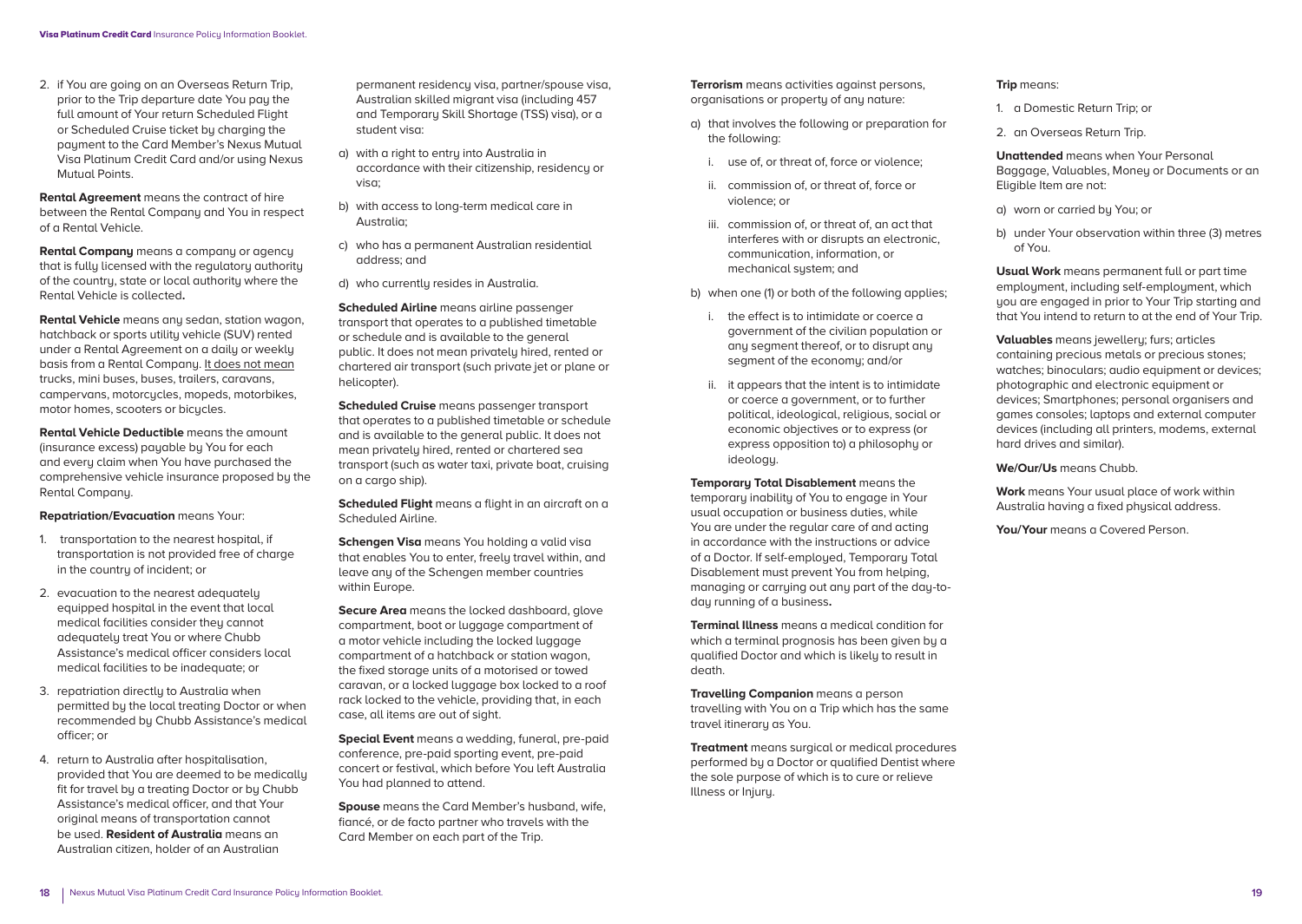2. if You are going on an Overseas Return Trip, prior to the Trip departure date You pay the full amount of Your return Scheduled Flight or Scheduled Cruise ticket by charging the payment to the Card Member's Nexus Mutual Visa Platinum Credit Card and/or using Nexus Mutual Points.

**Rental Agreement** means the contract of hire between the Rental Company and You in respect of a Rental Vehicle.

**Rental Company** means a company or agency that is fully licensed with the regulatory authority of the country, state or local authority where the Rental Vehicle is collected**.** 

**Rental Vehicle** means any sedan, station wagon, hatchback or sports utility vehicle (SUV) rented under a Rental Agreement on a daily or weekly basis from a Rental Company. It does not mean trucks, mini buses, buses, trailers, caravans, campervans, motorcucles, mopeds, motorbikes, motor homes, scooters or bicucles.

**Rental Vehicle Deductible** means the amount (insurance excess) payable by You for each and every claim when You have purchased the comprehensive vehicle insurance proposed by the Rental Company.

**Repatriation/Evacuation** means Your:

- 1. transportation to the nearest hospital, if transportation is not provided free of charge in the country of incident; or
- 2. evacuation to the nearest adequately equipped hospital in the event that local medical facilities consider they cannot adequately treat You or where Chubb Assistance's medical officer considers local medical facilities to be inadequate; or
- 3. repatriation directly to Australia when permitted by the local treating Doctor or when recommended by Chubb Assistance's medical officer; or
- 4. return to Australia after hospitalisation, provided that You are deemed to be medically fit for travel bu a treating Doctor or bu Chubb Assistance's medical officer, and that Your original means of transportation cannot be used. **Resident of Australia** means an Australian citizen, holder of an Australian

permanent residency visa, partner/spouse visa, Australian skilled migrant visa (including 457 and Temporary Skill Shortage (TSS) visa), or a student visa:

- a) with a right to entru into Australia in accordance with their citizenship, residency or visa;
- b) with access to long-term medical care in Australia;
- c) who has a permanent Australian residential address; and
- d) who currently resides in Australia.

**Scheduled Airline** means airline passenger transport that operates to a published timetable or schedule and is available to the general public. It does not mean privately hired, rented or chartered air transport (such private jet or plane or helicopter).

**Scheduled Cruise** means passenger transport that operates to a published timetable or schedule and is available to the general public. It does not mean privately hired, rented or chartered sea transport (such as water taxi, private boat, cruising on a cargo ship).

**Scheduled Flight** means a flight in an aircraft on a Scheduled Airline.

**Schengen Visa** means You holding a valid visa that enables You to enter, freely travel within, and leave any of the Schengen member countries within Furope.

**Secure Area** means the locked dashboard, alove compartment, boot or luggage compartment of a motor vehicle including the locked luggage compartment of a hatchback or station wagon, the fixed storage units of a motorised or towed caravan, or a locked luggage box locked to a roof rack locked to the vehicle, providing that, in each case, all items are out of sight.

**Special Event** means a wedding, funeral, pre-paid conference, pre-paid sporting event, pre-paid concert or festival, which before You left Australia You had planned to attend.

**Spouse** means the Card Member's husband, wife, fiancé, or de facto partner who travels with the Card Member on each part of the Trip.

**Terrorism** means activities against persons, organisations or property of any nature:

- a) that involves the following or preparation for the following:
	- i. use of, or threat of, force or violence;
	- ii. commission of, or threat of, force or violence; or
	- iii. commission of, or threat of, an act that interferes with or disrupts an electronic, communication, information, or mechanical system; and
- b) when one (1) or both of the following applies;
	- i. the effect is to intimidate or coerce a government of the civilian population or any segment thereof, or to disrupt any segment of the economy; and/or
	- ii. it appears that the intent is to intimidate or coerce a government, or to further political, ideological, religious, social or economic objectives or to express (or express opposition to) a philosophy or ideology.

**Temporary Total Disablement** means the temporary inability of You to engage in Your usual occupation or business duties, while You are under the regular care of and acting in accordance with the instructions or advice of a Doctor. If self-employed, Temporary Total Disablement must prevent You from helping, managing or carrying out any part of the day-today running of a business**.**

**Terminal Illness** means a medical condition for which a terminal prognosis has been given by a qualified Doctor and which is likely to result in death.

**Travelling Companion** means a person travelling with You on a Trip which has the same travel itinerary as You.

**Treatment** means surgical or medical procedures performed by a Doctor or qualified Dentist where the sole purpose of which is to cure or relieve Illness or Injury.

#### **Trip** means:

- 1. a Domestic Return Trip; or
- 2. an Overseas Return Trip.

**Unattended** means when Your Personal Baggage, Valuables, Money or Documents or an Eligible Item are not:

- a) worn or carried by You; or
- b) under Your observation within three (3) metres of You.

**Usual Work** means permanent full or part time employment, including self-employment, which you are engaged in prior to Your Trip starting and that You intend to return to at the end of Your Trip.

**Valuables** means jewellery; furs; articles containing precious metals or precious stones; watches: binoculars; audio equipment or devices; photographic and electronic equipment or devices; Smartphones; personal organisers and games consoles; laptops and external computer devices (including all printers, modems, external hard drives and similar).

**We/Our/Us** means Chubb.

**Work** means Your usual place of work within Australia having a fixed physical address.

**You/Your** means a Covered Person.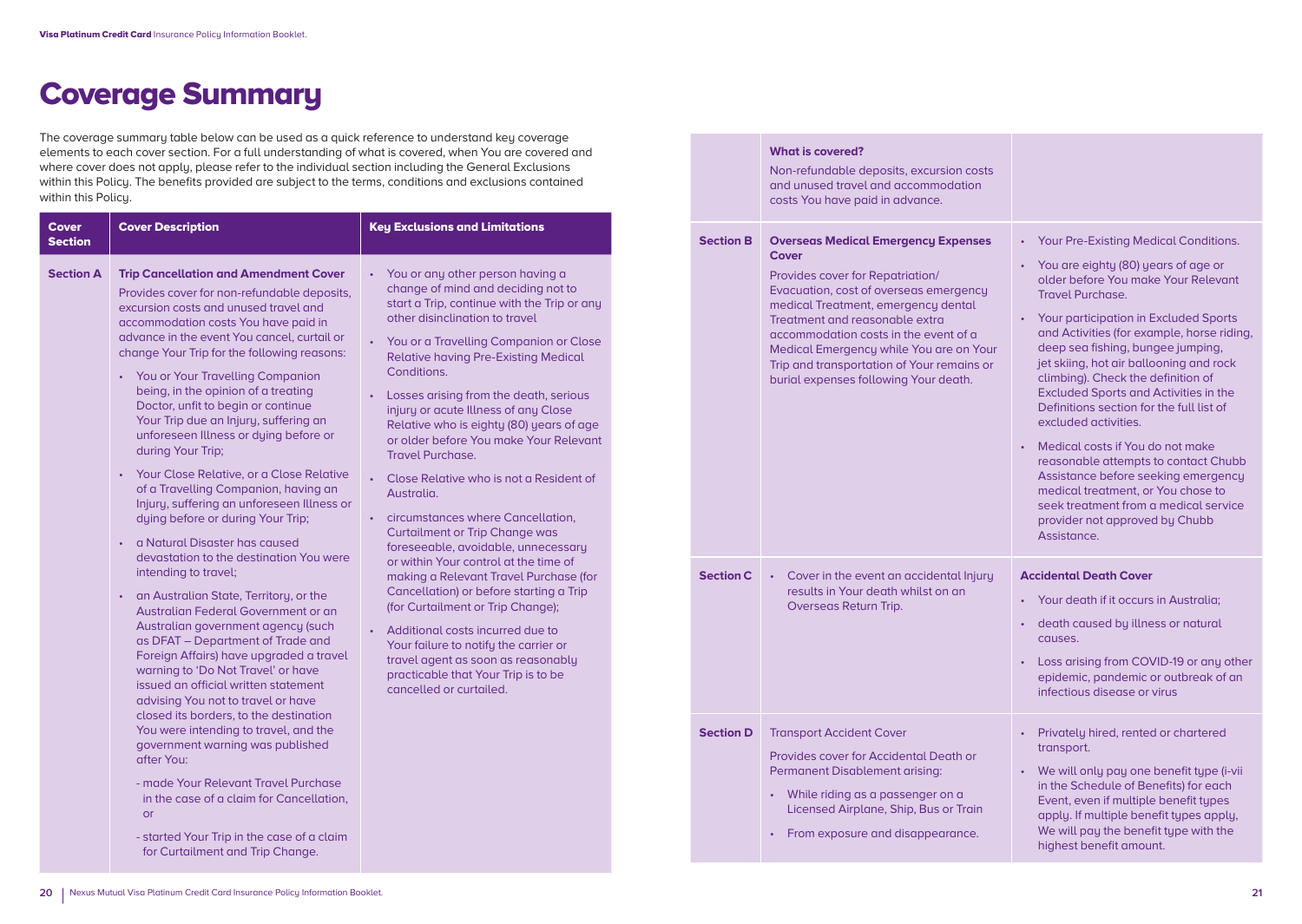# Coverage Summary

The coverage summary table below can be used as a quick reference to understand key coverage elements to each cover section. For a full understanding of what is covered, when You are covered and where cover does not apply, please refer to the individual section including the General Exclusions within this Policy. The benefits provided are subject to the terms, conditions and exclusions contained within this Policy.

| <b>Section A</b><br>You or any other person having a<br><b>Trip Cancellation and Amendment Cover</b><br>change of mind and deciding not to<br>Provides cover for non-refundable deposits,<br>start a Trip, continue with the Trip or any<br>excursion costs and unused travel and<br>other disinclination to travel<br>accommodation costs You have paid in                                                                                                                                                                                                                                                                                                                                                                                                                                                                                                                                                                                                                                                                                                                                                                                                                                                                                                                                                                                                                                                                                                                                                                                                                                                                                                                                                                                                                                                                                                                                                                                                                                                                                                                                                                                                                    |  |
|--------------------------------------------------------------------------------------------------------------------------------------------------------------------------------------------------------------------------------------------------------------------------------------------------------------------------------------------------------------------------------------------------------------------------------------------------------------------------------------------------------------------------------------------------------------------------------------------------------------------------------------------------------------------------------------------------------------------------------------------------------------------------------------------------------------------------------------------------------------------------------------------------------------------------------------------------------------------------------------------------------------------------------------------------------------------------------------------------------------------------------------------------------------------------------------------------------------------------------------------------------------------------------------------------------------------------------------------------------------------------------------------------------------------------------------------------------------------------------------------------------------------------------------------------------------------------------------------------------------------------------------------------------------------------------------------------------------------------------------------------------------------------------------------------------------------------------------------------------------------------------------------------------------------------------------------------------------------------------------------------------------------------------------------------------------------------------------------------------------------------------------------------------------------------------|--|
| advance in the event You cancel, curtail or<br>You or a Travelling Companion or Close<br>$\bullet$<br>change Your Trip for the following reasons:<br><b>Relative having Pre-Existing Medical</b><br>Conditions.<br><b>You or Your Travelling Companion</b><br>$\bullet$<br>being, in the opinion of a treating<br>Losses arising from the death, serious<br>Doctor, unfit to begin or continue<br>injury or acute Illness of any Close<br>Your Trip due an Injury, suffering an<br>Relative who is eighty (80) years of age<br>unforeseen Illness or dying before or<br>or older before You make Your Relevant<br>during Your Trip;<br>Travel Purchase<br>Your Close Relative, or a Close Relative<br>$\bullet$<br>Close Relative who is not a Resident of<br>of a Travelling Companion, having an<br>Australia.<br>Injury, suffering an unforeseen Illness or<br>circumstances where Cancellation,<br>dying before or during Your Trip;<br>$\bullet$<br><b>Curtailment or Trip Change was</b><br>a Natural Disaster has caused<br>$\bullet$<br>foreseeable, avoidable, unnecessary<br>devastation to the destination You were<br>or within Your control at the time of<br>intending to travel;<br>making a Relevant Travel Purchase (for<br>Cancellation) or before starting a Trip<br>an Australian State, Territory, or the<br>$\bullet$<br>(for Curtailment or Trip Change);<br>Australian Federal Government or an<br>Australian government agency (such<br>Additional costs incurred due to<br>as DFAT - Department of Trade and<br>Your failure to notify the carrier or<br>Foreign Affairs) have upgraded a travel<br>travel agent as soon as reasonably<br>warning to 'Do Not Travel' or have<br>practicable that Your Trip is to be<br>issued an official written statement<br>cancelled or curtailed.<br>advising You not to travel or have<br>closed its borders, to the destination<br>You were intending to travel, and the<br>government warning was published<br>after You:<br>- made Your Relevant Travel Purchase<br>in the case of a claim for Cancellation,<br><b>or</b><br>- started Your Trip in the case of a claim<br>for Curtailment and Trip Change. |  |

|                  | <b>What is covered?</b><br>Non-refundable deposits, excursion costs<br>and unused travel and accommodation<br>costs You have paid in advance.                                                                                                                                                                                                                                         |                                                                                                                                                                                                                                                                                                                                                                                                                                                                                                                                                                                                                                                                                                                                                   |
|------------------|---------------------------------------------------------------------------------------------------------------------------------------------------------------------------------------------------------------------------------------------------------------------------------------------------------------------------------------------------------------------------------------|---------------------------------------------------------------------------------------------------------------------------------------------------------------------------------------------------------------------------------------------------------------------------------------------------------------------------------------------------------------------------------------------------------------------------------------------------------------------------------------------------------------------------------------------------------------------------------------------------------------------------------------------------------------------------------------------------------------------------------------------------|
| <b>Section B</b> | <b>Overseas Medical Emergency Expenses</b><br>Cover<br>Provides cover for Repatriation/<br>Evacuation, cost of overseas emergency<br>medical Treatment, emergency dental<br>Treatment and reasonable extra<br>accommodation costs in the event of a<br>Medical Emergency while You are on Your<br>Trip and transportation of Your remains or<br>burial expenses following Your death. | Your Pre-Existing Medical Conditions.<br>$\bullet$<br>• You are eighty (80) years of age or<br>older before You make Your Relevant<br><b>Travel Purchase.</b><br>Your participation in Excluded Sports<br>and Activities (for example, horse riding,<br>deep sea fishing, bungee jumping,<br>jet skiing, hot air ballooning and rock<br>climbing). Check the definition of<br><b>Excluded Sports and Activities in the</b><br>Definitions section for the full list of<br>excluded activities.<br>Medical costs if You do not make<br>reasonable attempts to contact Chubb<br>Assistance before seeking emergency<br>medical treatment, or You chose to<br>seek treatment from a medical service<br>provider not approved by Chubb<br>Assistance. |
| <b>Section C</b> | Cover in the event an accidental Injury<br>$\bullet$ .<br>results in Your death whilst on an<br>Overseas Return Trip.                                                                                                                                                                                                                                                                 | <b>Accidental Death Cover</b><br>Your death if it occurs in Australia;<br>death caused by illness or natural<br>$\bullet$<br>causes.<br>Loss arising from COVID-19 or any other<br>$\bullet$<br>epidemic, pandemic or outbreak of an<br>infectious disease or virus                                                                                                                                                                                                                                                                                                                                                                                                                                                                               |
| <b>Section D</b> | <b>Transport Accident Cover</b><br>Provides cover for Accidental Death or<br>Permanent Disablement arising:<br>While riding as a passenger on a<br>$\bullet$<br>Licensed Airplane, Ship, Bus or Train<br>From exposure and disappearance.                                                                                                                                             | Privately hired, rented or chartered<br>transport.<br>We will only pay one benefit type (i-vii<br>in the Schedule of Benefits) for each<br>Event, even if multiple benefit types<br>apply. If multiple benefit types apply,<br>We will pay the benefit type with the<br>highest benefit amount.                                                                                                                                                                                                                                                                                                                                                                                                                                                   |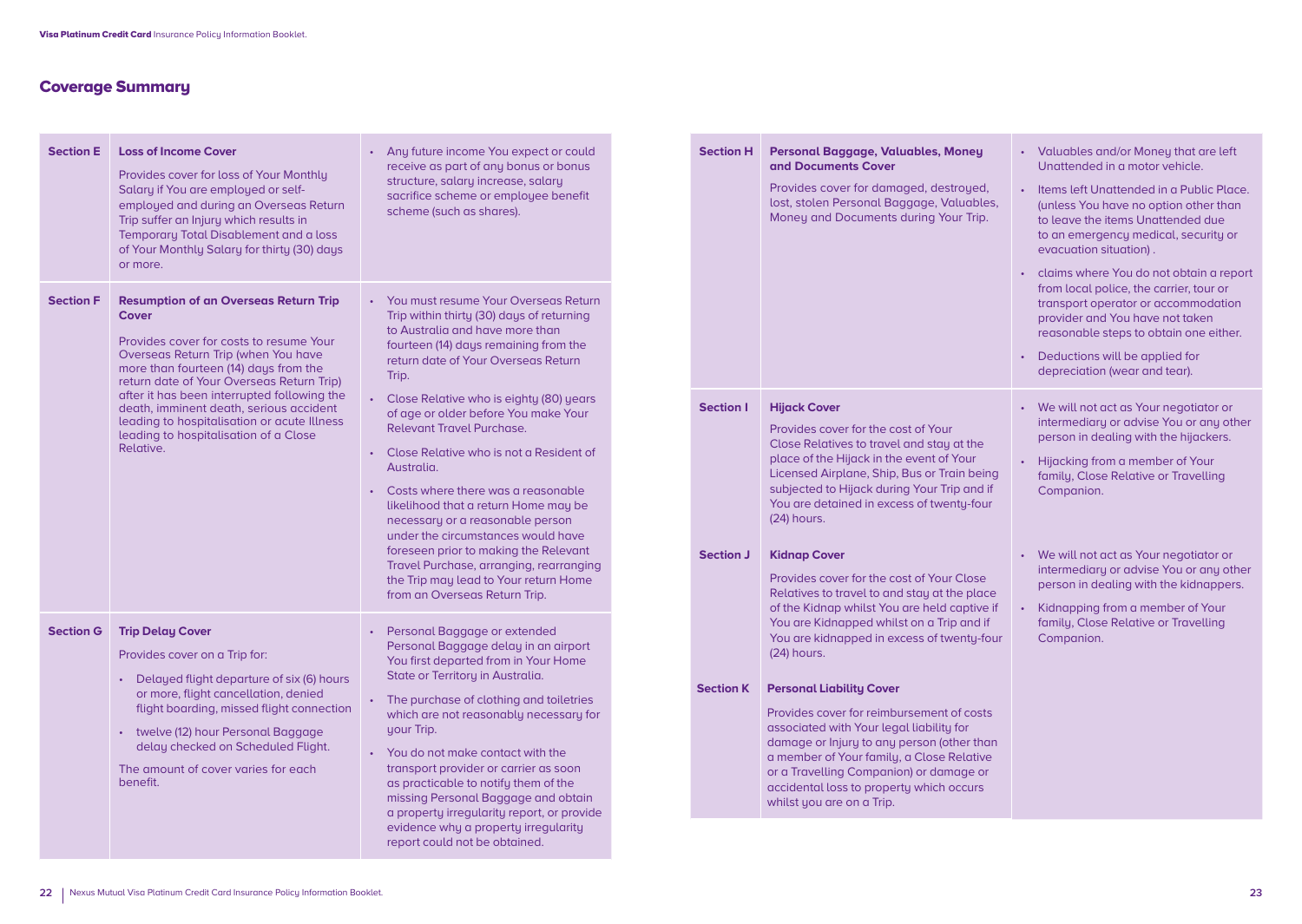# Coverage Summary

| <b>Section E</b> | <b>Loss of Income Cover</b><br>Provides cover for loss of Your Monthly<br>Salary if You are employed or self-<br>employed and during an Overseas Return<br>Trip suffer an Injury which results in<br>Temporary Total Disablement and a loss<br>of Your Monthly Salary for thirty (30) days<br>or more.                                                                                                                              | Any future income You expect or could<br>$\bullet$<br>receive as part of any bonus or bonus<br>structure, salary increase, salary<br>sacrifice scheme or employee benefit<br>scheme (such as shares).                                                                                                                                                                                                                                                                                                                                                                                                                                                                                                                            |
|------------------|-------------------------------------------------------------------------------------------------------------------------------------------------------------------------------------------------------------------------------------------------------------------------------------------------------------------------------------------------------------------------------------------------------------------------------------|----------------------------------------------------------------------------------------------------------------------------------------------------------------------------------------------------------------------------------------------------------------------------------------------------------------------------------------------------------------------------------------------------------------------------------------------------------------------------------------------------------------------------------------------------------------------------------------------------------------------------------------------------------------------------------------------------------------------------------|
| <b>Section F</b> | <b>Resumption of an Overseas Return Trip</b><br><b>Cover</b><br>Provides cover for costs to resume Your<br>Overseas Return Trip (when You have<br>more than fourteen (14) days from the<br>return date of Your Overseas Return Trip)<br>after it has been interrupted following the<br>death, imminent death, serious accident<br>leading to hospitalisation or acute Illness<br>leading to hospitalisation of a Close<br>Relative. | You must resume Your Overseas Return<br>Trip within thirty (30) days of returning<br>to Australia and have more than<br>fourteen (14) days remaining from the<br>return date of Your Overseas Return<br>Trip.<br>Close Relative who is eighty (80) years<br>$\bullet$<br>of age or older before You make Your<br><b>Relevant Travel Purchase.</b><br>Close Relative who is not a Resident of<br>Australia.<br>Costs where there was a reasonable<br>likelihood that a return Home may be<br>necessary or a reasonable person<br>under the circumstances would have<br>foreseen prior to making the Relevant<br>Travel Purchase, arranging, rearranging<br>the Trip may lead to Your return Home<br>from an Overseas Return Trip. |
| <b>Section G</b> | <b>Trip Delay Cover</b><br>Provides cover on a Trip for:<br>Delayed flight departure of six (6) hours<br>or more, flight cancellation, denied<br>flight boarding, missed flight connection<br>twelve (12) hour Personal Baggage<br>$\bullet$ .<br>delay checked on Scheduled Flight.<br>The amount of cover varies for each<br>benefit.                                                                                             | Personal Baggage or extended<br>$\bullet$<br>Personal Baggage delay in an airport<br>You first departed from in Your Home<br>State or Territory in Australia.<br>The purchase of clothing and toiletries<br>$\bullet$<br>which are not reasonably necessary for<br>your Trip.<br>You do not make contact with the<br>transport provider or carrier as soon<br>as practicable to notify them of the<br>missing Personal Baggage and obtain<br>a property irregularity report, or provide<br>evidence why a property irregularity<br>report could not be obtained.                                                                                                                                                                 |

| <b>Section H</b>                     | Personal Baggage, Valuables, Money<br>and Documents Cover<br>Provides cover for damaged, destroyed,<br>lost, stolen Personal Baggage, Valuables,<br>Money and Documents during Your Trip.                                                                                                                                                                                                                                                                                                                                                                                                   | Valuables and/or Money that are left<br>$\bullet$<br>Unattended in a motor vehicle.<br>Items left Unattended in a Public Place.<br>$\bullet$<br>(unless You have no option other than<br>to leave the items Unattended due<br>to an emergency medical, security or<br>evacuation situation).<br>claims where You do not obtain a report<br>$\bullet$<br>from local police, the carrier, tour or<br>transport operator or accommodation<br>provider and You have not taken<br>reasonable steps to obtain one either.<br>Deductions will be applied for<br>$\bullet$<br>depreciation (wear and tear). |
|--------------------------------------|---------------------------------------------------------------------------------------------------------------------------------------------------------------------------------------------------------------------------------------------------------------------------------------------------------------------------------------------------------------------------------------------------------------------------------------------------------------------------------------------------------------------------------------------------------------------------------------------|-----------------------------------------------------------------------------------------------------------------------------------------------------------------------------------------------------------------------------------------------------------------------------------------------------------------------------------------------------------------------------------------------------------------------------------------------------------------------------------------------------------------------------------------------------------------------------------------------------|
| <b>Section I</b><br><b>Section J</b> | <b>Hijack Cover</b><br>Provides cover for the cost of Your<br>Close Relatives to travel and stay at the<br>place of the Hijack in the event of Your<br>Licensed Airplane, Ship, Bus or Train being<br>subjected to Hijack during Your Trip and if<br>You are detained in excess of twenty-four<br>(24) hours.<br><b>Kidnap Cover</b><br>Provides cover for the cost of Your Close<br>Relatives to travel to and stay at the place<br>of the Kidnap whilst You are held captive if<br>You are Kidnapped whilst on a Trip and if<br>You are kidnapped in excess of twenty-four<br>(24) hours. | We will not act as Your negotiator or<br>$\bullet$<br>intermediary or advise You or any other<br>person in dealing with the hijackers.<br>Hijacking from a member of Your<br>family, Close Relative or Travelling<br>Companion.<br>We will not act as Your negotiator or<br>$\bullet$<br>intermediary or advise You or any other<br>person in dealing with the kidnappers.<br>Kidnapping from a member of Your<br>$\bullet$<br>family, Close Relative or Travelling<br>Companion.                                                                                                                   |
| <b>Section K</b>                     | <b>Personal Liability Cover</b><br>Provides cover for reimbursement of costs<br>associated with Your legal liability for<br>damage or Injury to any person (other than<br>a member of Your family, a Close Relative<br>or a Travelling Companion) or damage or<br>accidental loss to property which occurs<br>whilst you are on a Trip.                                                                                                                                                                                                                                                     |                                                                                                                                                                                                                                                                                                                                                                                                                                                                                                                                                                                                     |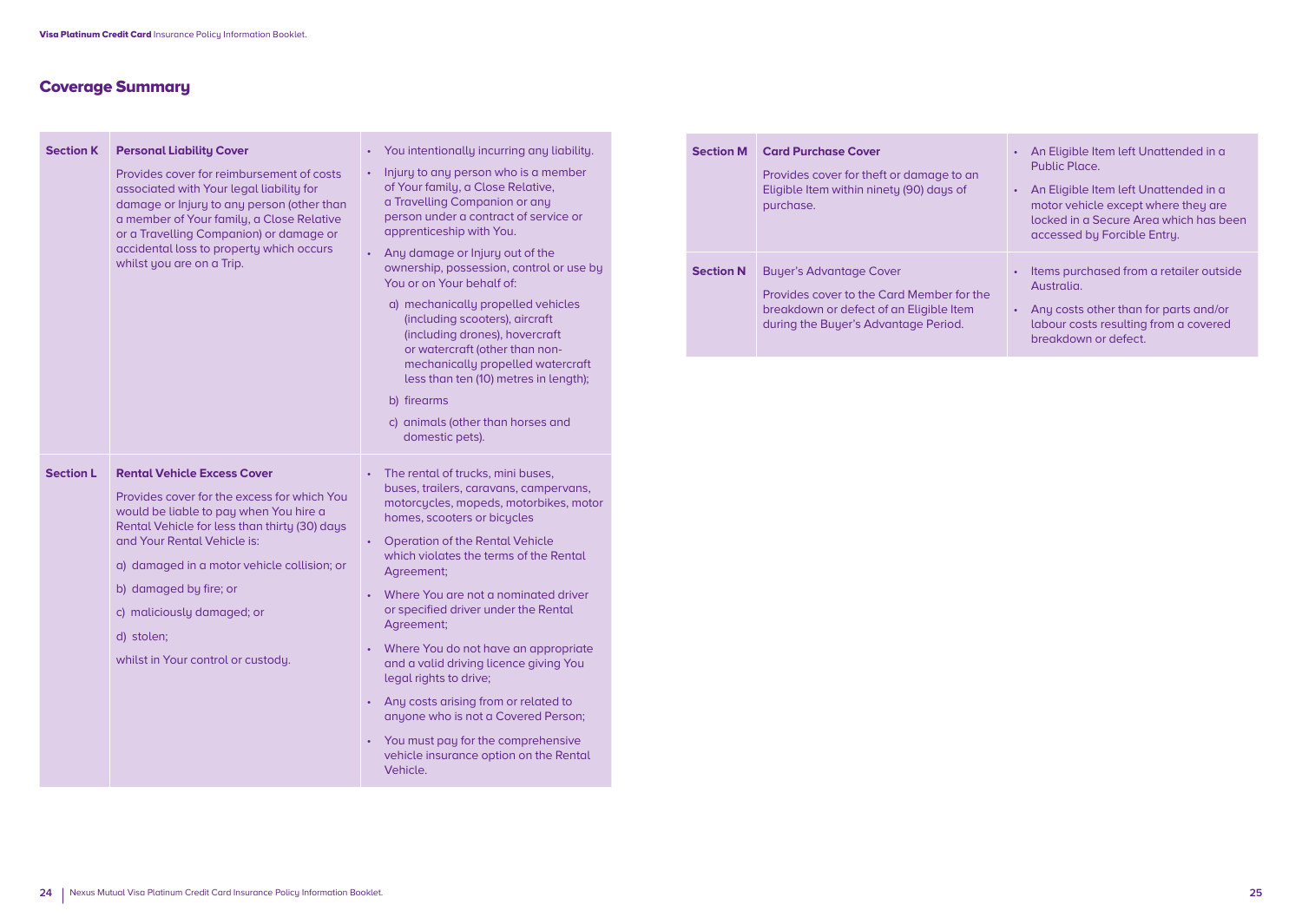# Coverage Summary

| <b>Section K</b> | <b>Personal Liability Cover</b>                                                                                                                                                                                                                                                                      | You intentionally incurring any liability.                                                                                                                                                                                                                                                    |  |  |
|------------------|------------------------------------------------------------------------------------------------------------------------------------------------------------------------------------------------------------------------------------------------------------------------------------------------------|-----------------------------------------------------------------------------------------------------------------------------------------------------------------------------------------------------------------------------------------------------------------------------------------------|--|--|
|                  | Provides cover for reimbursement of costs<br>associated with Your legal liability for<br>damage or Injury to any person (other than<br>a member of Your family, a Close Relative<br>or a Travelling Companion) or damage or<br>accidental loss to property which occurs<br>whilst you are on a Trip. | Injury to any person who is a member<br>of Your family, a Close Relative,<br>a Travelling Companion or any<br>person under a contract of service or<br>apprenticeship with You.<br>Any damage or Injury out of the<br>ownership, possession, control or use by                                |  |  |
|                  |                                                                                                                                                                                                                                                                                                      | You or on Your behalf of:                                                                                                                                                                                                                                                                     |  |  |
|                  |                                                                                                                                                                                                                                                                                                      | a) mechanically propelled vehicles<br>(including scooters), aircraft<br>(including drones), hovercraft<br>or watercraft (other than non-<br>mechanically propelled watercraft<br>less than ten (10) metres in length);<br>b) firearms<br>c) animals (other than horses and<br>domestic pets). |  |  |
| <b>Section L</b> | <b>Rental Vehicle Excess Cover</b>                                                                                                                                                                                                                                                                   | The rental of trucks, mini buses,                                                                                                                                                                                                                                                             |  |  |
|                  | Provides cover for the excess for which You<br>would be liable to pay when You hire a<br>Rental Vehicle for less than thirty (30) days<br>and Your Rental Vehicle is:                                                                                                                                | buses, trailers, caravans, campervans,<br>motorcycles, mopeds, motorbikes, motor<br>homes, scooters or bicycles                                                                                                                                                                               |  |  |
|                  |                                                                                                                                                                                                                                                                                                      | • Operation of the Rental Vehicle<br>which violates the terms of the Rental                                                                                                                                                                                                                   |  |  |
|                  | a) damaged in a motor vehicle collision; or                                                                                                                                                                                                                                                          | Agreement;                                                                                                                                                                                                                                                                                    |  |  |
|                  | b) damaged by fire; or<br>c) maliciously damaged; or<br>d) stolen;<br>whilst in Your control or custody.                                                                                                                                                                                             | • Where You are not a nominated driver<br>or specified driver under the Rental<br>Agreement;                                                                                                                                                                                                  |  |  |
|                  |                                                                                                                                                                                                                                                                                                      | • Where You do not have an appropriate<br>and a valid driving licence giving You<br>legal rights to drive;                                                                                                                                                                                    |  |  |
|                  |                                                                                                                                                                                                                                                                                                      | • Any costs arising from or related to<br>anyone who is not a Covered Person;                                                                                                                                                                                                                 |  |  |
|                  |                                                                                                                                                                                                                                                                                                      | • You must pay for the comprehensive<br>vehicle insurance option on the Rental<br>Vehicle.                                                                                                                                                                                                    |  |  |
|                  |                                                                                                                                                                                                                                                                                                      |                                                                                                                                                                                                                                                                                               |  |  |

| <b>Section M</b> | <b>Card Purchase Cover</b><br>Provides cover for theft or damage to an<br>Eligible Item within ninety (90) days of<br>purchase.                                | An Eligible Item left Unattended in a<br>Public Place<br>An Eligible Item left Unattended in a<br>motor vehicle except where they are<br>locked in a Secure Area which has been<br>accessed by Forcible Entry. |
|------------------|----------------------------------------------------------------------------------------------------------------------------------------------------------------|----------------------------------------------------------------------------------------------------------------------------------------------------------------------------------------------------------------|
| <b>Section N</b> | <b>Buyer's Advantage Cover</b><br>Provides cover to the Card Member for the<br>breakdown or defect of an Eligible Item<br>during the Buyer's Advantage Period. | Items purchased from a retailer outside<br><b>Australia</b><br>Any costs other than for parts and/or<br>۰<br>labour costs resulting from a covered<br>breakdown or defect.                                     |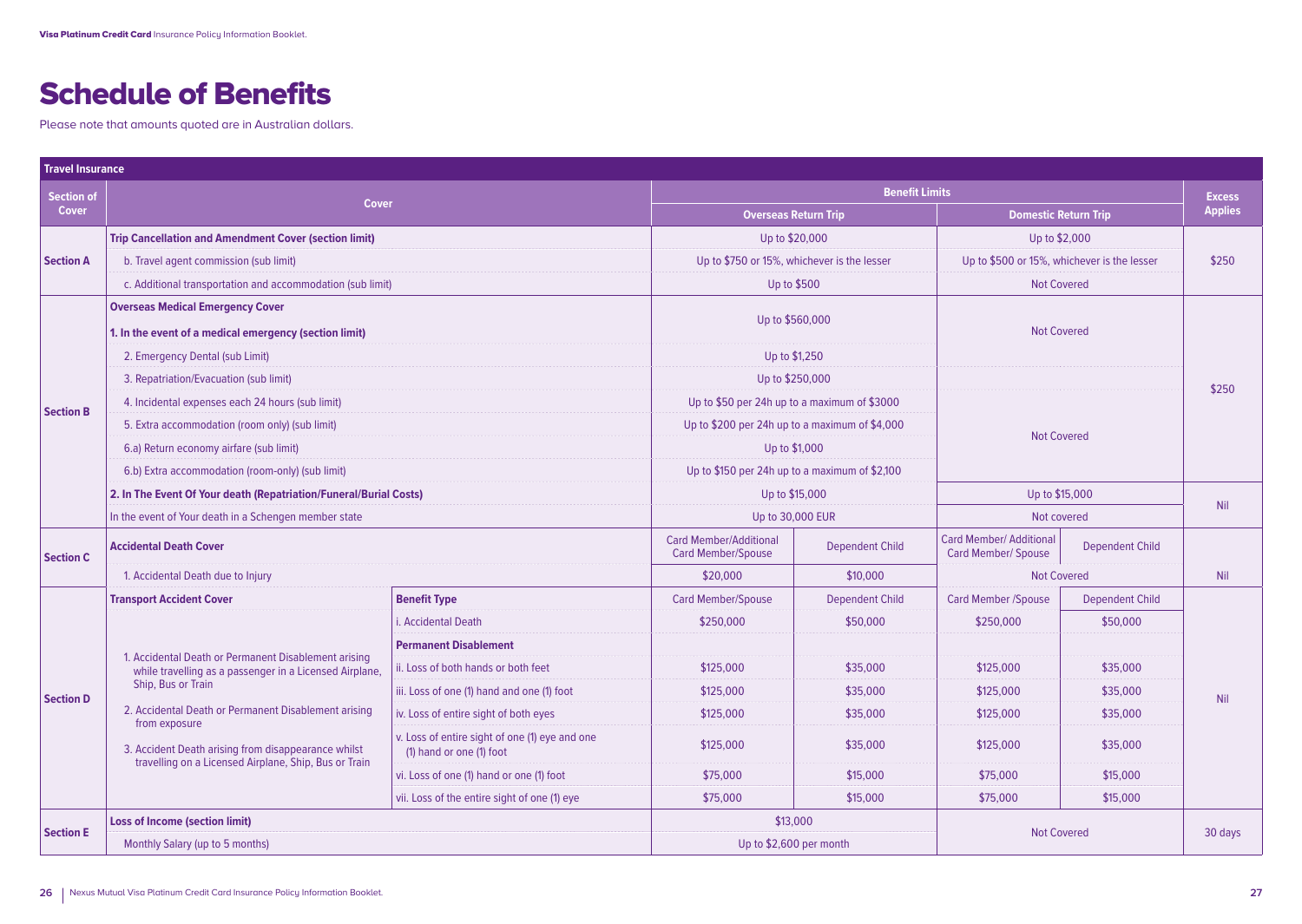# Schedule of Benefits

Please note that amounts quoted are in Australian dollars.

| <b>Travel Insurance</b> |                                                                                                                               |                                                                            |                                                            |                                             |                                                              |                                             |                |
|-------------------------|-------------------------------------------------------------------------------------------------------------------------------|----------------------------------------------------------------------------|------------------------------------------------------------|---------------------------------------------|--------------------------------------------------------------|---------------------------------------------|----------------|
| Section of              | <b>Cover</b>                                                                                                                  |                                                                            | <b>Benefit Limits</b>                                      |                                             |                                                              | <b>Excess</b>                               |                |
| <b>Cover</b>            |                                                                                                                               |                                                                            | <b>Overseas Return Trip</b>                                |                                             | <b>Domestic Return Trip</b>                                  |                                             | <b>Applies</b> |
| <b>Section A</b>        | <b>Trip Cancellation and Amendment Cover (section limit)</b>                                                                  |                                                                            | Up to \$20,000                                             |                                             | Up to \$2,000                                                |                                             |                |
|                         | b. Travel agent commission (sub limit)                                                                                        |                                                                            |                                                            | Up to \$750 or 15%, whichever is the lesser |                                                              | Up to \$500 or 15%, whichever is the lesser |                |
|                         | c. Additional transportation and accommodation (sub limit)                                                                    |                                                                            |                                                            | Up to \$500                                 |                                                              | <b>Not Covered</b>                          |                |
|                         | <b>Overseas Medical Emergency Cover</b>                                                                                       |                                                                            |                                                            |                                             |                                                              |                                             |                |
|                         | 1. In the event of a medical emergency (section limit)                                                                        |                                                                            | Up to \$560,000<br><b>Not Covered</b>                      |                                             |                                                              |                                             |                |
|                         | 2. Emergency Dental (sub Limit)                                                                                               |                                                                            | Up to \$1,250                                              |                                             |                                                              |                                             |                |
|                         | 3. Repatriation/Evacuation (sub limit)                                                                                        |                                                                            | Up to \$250,000                                            |                                             |                                                              |                                             | \$250          |
|                         | 4. Incidental expenses each 24 hours (sub limit)                                                                              |                                                                            | Up to \$50 per 24h up to a maximum of \$3000               |                                             |                                                              |                                             |                |
| <b>Section B</b>        | 5. Extra accommodation (room only) (sub limit)                                                                                |                                                                            | Up to \$200 per 24h up to a maximum of \$4,000             |                                             |                                                              |                                             |                |
|                         | 6.a) Return economy airfare (sub limit)                                                                                       |                                                                            | Up to \$1,000                                              |                                             | <b>Not Covered</b>                                           |                                             |                |
|                         | 6.b) Extra accommodation (room-only) (sub limit)                                                                              |                                                                            | Up to \$150 per 24h up to a maximum of \$2,100             |                                             |                                                              |                                             |                |
|                         | 2. In The Event Of Your death (Repatriation/Funeral/Burial Costs)                                                             |                                                                            | Up to \$15,000                                             |                                             | Up to \$15,000                                               |                                             |                |
|                         | In the event of Your death in a Schengen member state                                                                         |                                                                            | Up to 30,000 EUR                                           |                                             | Not covered                                                  |                                             | Nil            |
| <b>Section C</b>        | <b>Accidental Death Cover</b>                                                                                                 |                                                                            | <b>Card Member/Additional</b><br><b>Card Member/Spouse</b> | <b>Dependent Child</b>                      | <b>Card Member/ Additional</b><br><b>Card Member/ Spouse</b> | <b>Dependent Child</b>                      |                |
|                         | 1. Accidental Death due to Injury                                                                                             |                                                                            | \$20,000                                                   | \$10,000                                    | <b>Not Covered</b>                                           |                                             | Nil            |
|                         | <b>Transport Accident Cover</b>                                                                                               | <b>Benefit Type</b>                                                        | <b>Card Member/Spouse</b>                                  | <b>Dependent Child</b>                      | <b>Card Member /Spouse</b>                                   | <b>Dependent Child</b>                      |                |
|                         |                                                                                                                               | i. Accidental Death                                                        | \$250,000                                                  | \$50,000                                    | \$250,000                                                    | \$50,000                                    |                |
|                         |                                                                                                                               | <b>Permanent Disablement</b>                                               |                                                            |                                             |                                                              |                                             |                |
|                         | 1. Accidental Death or Permanent Disablement arising<br>while travelling as a passenger in a Licensed Airplane,               | ii. Loss of both hands or both feet                                        | \$125,000                                                  | \$35,000                                    | \$125,000                                                    | \$35,000                                    | Nil            |
| <b>Section D</b>        | Ship, Bus or Train                                                                                                            | iii. Loss of one (1) hand and one (1) foot                                 | \$125,000                                                  | \$35,000                                    | \$125,000                                                    | \$35,000                                    |                |
|                         | 2. Accidental Death or Permanent Disablement arising                                                                          | iv. Loss of entire sight of both eyes                                      | \$125,000                                                  | \$35,000                                    | \$125,000                                                    | \$35,000                                    |                |
|                         | from exposure<br>3. Accident Death arising from disappearance whilst<br>travelling on a Licensed Airplane, Ship, Bus or Train | v. Loss of entire sight of one (1) eye and one<br>(1) hand or one (1) foot | \$125,000                                                  | \$35,000                                    | \$125,000                                                    | \$35,000                                    |                |
|                         |                                                                                                                               | vi. Loss of one (1) hand or one (1) foot                                   | \$75,000                                                   | \$15,000                                    | \$75,000                                                     | \$15,000                                    |                |
|                         |                                                                                                                               | vii. Loss of the entire sight of one (1) eye                               | \$75,000                                                   | \$15,000                                    | \$75,000                                                     | \$15,000                                    |                |
| <b>Section E</b>        | <b>Loss of Income (section limit)</b>                                                                                         |                                                                            | \$13,000                                                   |                                             |                                                              |                                             |                |
|                         | Monthly Salary (up to 5 months)                                                                                               |                                                                            | Up to \$2,600 per month                                    |                                             | <b>Not Covered</b>                                           |                                             | 30 days        |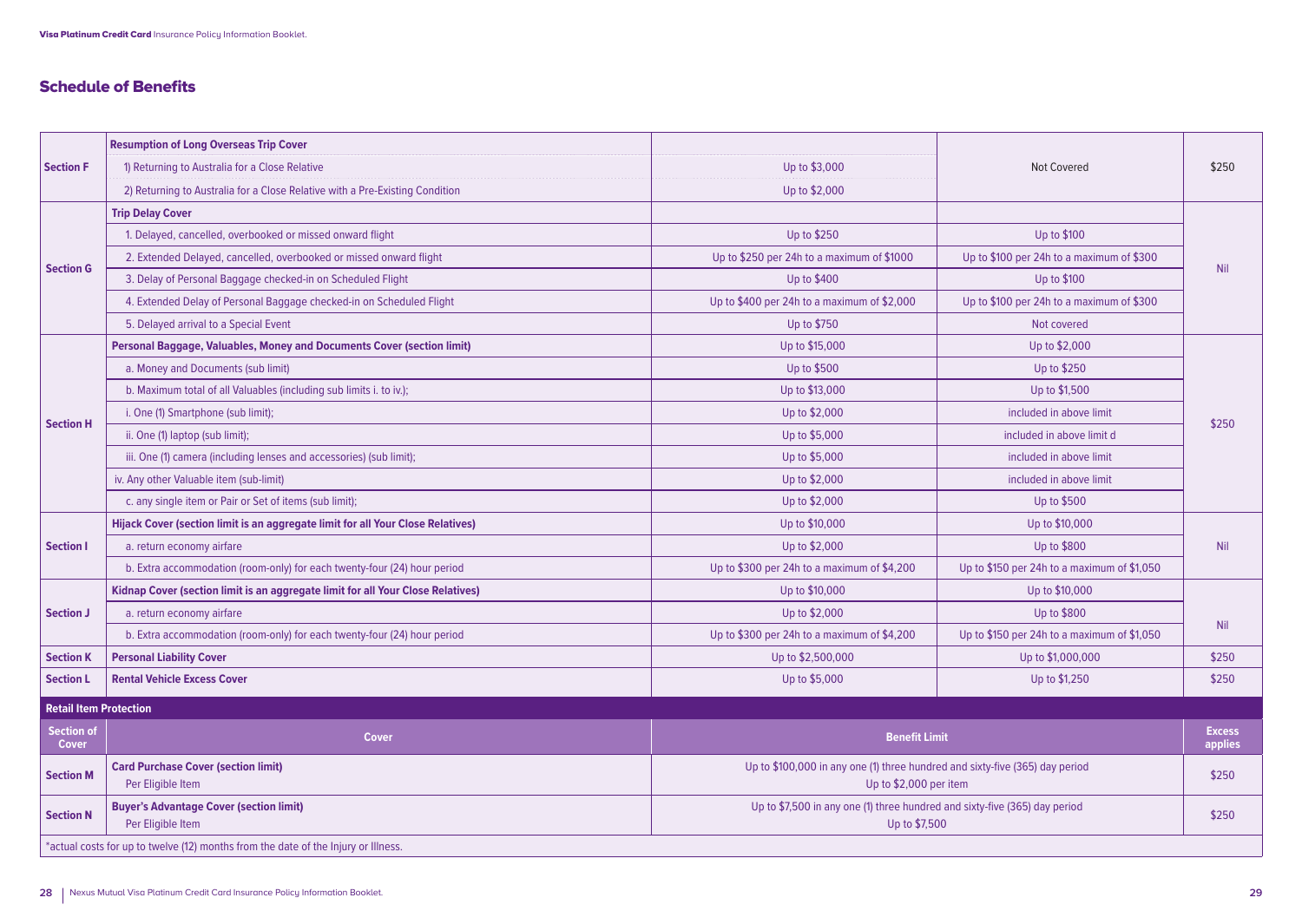# Schedule of Benefits

|                                   | <b>Resumption of Long Overseas Trip Cover</b>                                      |                                                                                                        |                                             |                          |  |
|-----------------------------------|------------------------------------------------------------------------------------|--------------------------------------------------------------------------------------------------------|---------------------------------------------|--------------------------|--|
| <b>Section F</b>                  | 1) Returning to Australia for a Close Relative                                     | Up to \$3,000                                                                                          | <b>Not Covered</b>                          | \$250                    |  |
|                                   | 2) Returning to Australia for a Close Relative with a Pre-Existing Condition       | Up to \$2,000                                                                                          |                                             |                          |  |
|                                   | <b>Trip Delay Cover</b>                                                            |                                                                                                        |                                             |                          |  |
|                                   | 1. Delayed, cancelled, overbooked or missed onward flight                          | Up to \$250                                                                                            | Up to \$100                                 |                          |  |
|                                   | 2. Extended Delayed, cancelled, overbooked or missed onward flight                 | Up to \$250 per 24h to a maximum of \$1000                                                             | Up to \$100 per 24h to a maximum of \$300   |                          |  |
| <b>Section G</b>                  | 3. Delay of Personal Baggage checked-in on Scheduled Flight                        | Up to \$400                                                                                            | Up to \$100                                 | <b>Nil</b>               |  |
|                                   | 4. Extended Delay of Personal Baggage checked-in on Scheduled Flight               | Up to \$400 per 24h to a maximum of \$2,000                                                            | Up to \$100 per 24h to a maximum of \$300   |                          |  |
|                                   | 5. Delayed arrival to a Special Event                                              | Up to \$750                                                                                            | Not covered                                 |                          |  |
|                                   | Personal Baggage, Valuables, Money and Documents Cover (section limit)             | Up to \$15,000                                                                                         | Up to \$2,000                               |                          |  |
|                                   | a. Money and Documents (sub limit)                                                 | Up to \$500                                                                                            | Up to \$250                                 |                          |  |
|                                   | b. Maximum total of all Valuables (including sub limits i. to iv.);                | Up to \$13,000                                                                                         | Up to \$1,500                               |                          |  |
|                                   | i. One (1) Smartphone (sub limit);                                                 | Up to \$2,000                                                                                          | included in above limit                     |                          |  |
| <b>Section H</b>                  | ii. One (1) laptop (sub limit);                                                    | Up to \$5,000                                                                                          | included in above limit d                   | \$250                    |  |
|                                   | iii. One (1) camera (including lenses and accessories) (sub limit);                | Up to \$5,000                                                                                          | included in above limit                     |                          |  |
|                                   | iv. Any other Valuable item (sub-limit)                                            | Up to \$2,000                                                                                          | included in above limit                     |                          |  |
|                                   | c. any single item or Pair or Set of items (sub limit);                            | Up to \$2,000                                                                                          | Up to \$500                                 |                          |  |
|                                   | Hijack Cover (section limit is an aggregate limit for all Your Close Relatives)    | Up to \$10,000                                                                                         | Up to \$10,000                              |                          |  |
| <b>Section I</b>                  | a. return economy airfare                                                          | Up to \$2,000                                                                                          | Up to \$800                                 | Nil                      |  |
|                                   | b. Extra accommodation (room-only) for each twenty-four (24) hour period           | Up to \$300 per 24h to a maximum of \$4,200                                                            | Up to \$150 per 24h to a maximum of \$1,050 |                          |  |
|                                   | Kidnap Cover (section limit is an aggregate limit for all Your Close Relatives)    | Up to \$10,000                                                                                         | Up to \$10,000                              |                          |  |
| <b>Section J</b>                  | a. return economy airfare                                                          | Up to \$2,000                                                                                          | Up to \$800                                 |                          |  |
|                                   | b. Extra accommodation (room-only) for each twenty-four (24) hour period           | Up to \$300 per 24h to a maximum of \$4,200                                                            | Up to \$150 per 24h to a maximum of \$1,050 | Nil                      |  |
| <b>Section K</b>                  | <b>Personal Liability Cover</b>                                                    | Up to \$2,500,000                                                                                      | Up to \$1,000,000                           | \$250                    |  |
| <b>Section L</b>                  | <b>Rental Vehicle Excess Cover</b>                                                 | Up to \$5,000                                                                                          | Up to \$1,250                               | \$250                    |  |
| <b>Retail Item Protection</b>     |                                                                                    |                                                                                                        |                                             |                          |  |
| <b>Section of</b><br><b>Cover</b> | <b>Cover</b>                                                                       | <b>Benefit Limit</b>                                                                                   |                                             | <b>Excess</b><br>applies |  |
| <b>Section M</b>                  | <b>Card Purchase Cover (section limit)</b><br>Per Eligible Item                    | Up to \$100,000 in any one (1) three hundred and sixty-five (365) day period<br>Up to \$2,000 per item |                                             | \$250                    |  |
| <b>Section N</b>                  | <b>Buyer's Advantage Cover (section limit)</b><br>Per Eligible Item                | Up to \$7,500 in any one (1) three hundred and sixty-five (365) day period<br>Up to \$7,500            |                                             | \$250                    |  |
|                                   | *actual costs for up to twelve (12) months from the date of the Injury or Illness. |                                                                                                        |                                             |                          |  |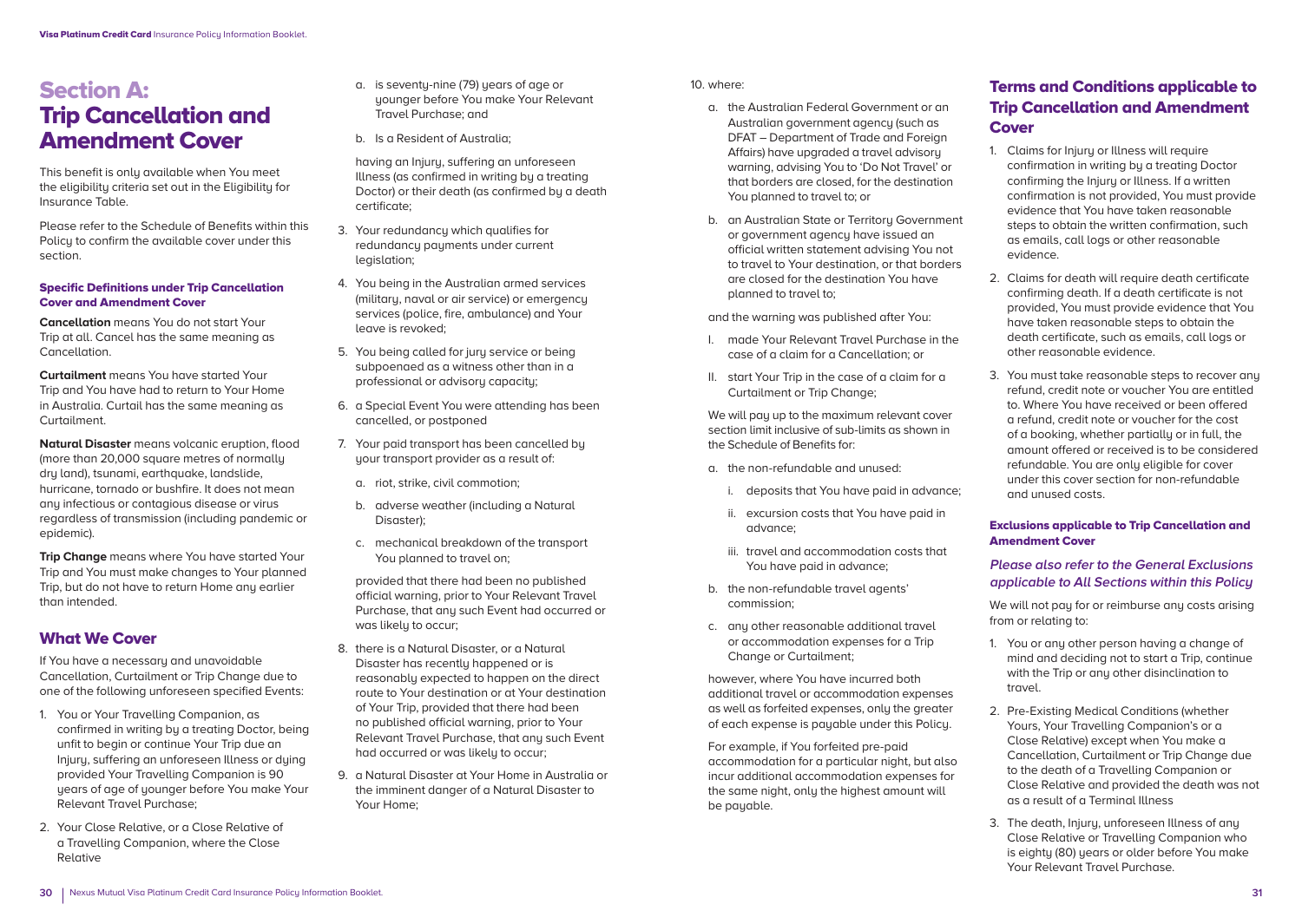# Section A: Trip Cancellation and Amendment Cover

This benefit is only available when You meet the eligibility criteria set out in the Eligibility for Insurance Table.

Please refer to the Schedule of Benefits within this Policu to confirm the available cover under this section.

#### Specific Definitions under Trip Cancellation Cover and Amendment Cover

**Cancellation** means You do not start Your Trip at all. Cancel has the same meaning as Cancellation.

**Curtailment** means You have started Your Trip and You have had to return to Your Home in Australia. Curtail has the same meaning as Curtailment.

**Natural Disaster** means volcanic eruption, flood (more than 20,000 square metres of normally dry land), tsunami, earthquake, landslide, hurricane, tornado or bushfire. It does not mean any infectious or contagious disease or virus regardless of transmission (including pandemic or epidemic).

**Trip Change** means where You have started Your Trip and You must make changes to Your planned Trip, but do not have to return Home any earlier than intended.

# What We Cover

If You have a necessary and unavoidable Cancellation, Curtailment or Trip Change due to one of the following unforeseen specified Events:

- 1. You or Your Travelling Companion, as confirmed in writing by a treating Doctor, being unfit to begin or continue Your Trip due an Injury, suffering an unforeseen Illness or duing provided Your Travelling Companion is 90 years of age of younger before You make Your Relevant Travel Purchase;
- 2. Your Close Relative, or a Close Relative of a Travelling Companion, where the Close Relative
- a. is seventu-nine (79) years of age or younger before You make Your Relevant Travel Purchase; and
- b. Is a Resident of Australia;

 having an Injury, suffering an unforeseen Illness (as confirmed in writing by a treating Doctor) or their death (as confirmed by a death certificate;

- 3. Your redundancy which qualifies for redundancu payments under current legislation;
- 4. You being in the Australian armed services (military, naval or air service) or emergency services (police, fire, ambulance) and Your leave is revoked;
- 5. You being called for jury service or being subpoenaed as a witness other than in a professional or advisory capacity;
- 6. a Special Event You were attending has been cancelled, or postponed
- 7. Your paid transport has been cancelled by your transport provider as a result of:
	- a. riot, strike, civil commotion;
	- b. adverse weather (including a Natural Disaster);
	- c. mechanical breakdown of the transport You planned to travel on;

 provided that there had been no published official warning, prior to Your Relevant Travel Purchase, that any such Event had occurred or was likely to occur;

- 8. there is a Natural Disaster, or a Natural Disaster has recently happened or is reasonably expected to happen on the direct route to Your destination or at Your destination of Your Trip, provided that there had been no published official warning, prior to Your Relevant Travel Purchase, that any such Event had occurred or was likely to occur;
- 9. a Natural Disaster at Your Home in Australia or the imminent danger of a Natural Disaster to Your Home;

10. where:

- a. the Australian Federal Government or an Australian government agency (such as DFAT – Department of Trade and Foreign Affairs) have upgraded a travel advisory warning, advising You to 'Do Not Travel' or that borders are closed, for the destination You planned to travel to; or
- b. an Australian State or Territory Government or government agency have issued an official written statement advising You not to travel to Your destination, or that borders are closed for the destination You have planned to travel to;

and the warning was published after You:

- I. made Your Relevant Travel Purchase in the case of a claim for a Cancellation; or
- II. start Your Trip in the case of a claim for a Curtailment or Trip Change;

 We will pay up to the maximum relevant cover section limit inclusive of sub-limits as shown in the Schedule of Benefits for:

- a. the non-refundable and unused:
	- i. deposits that You have paid in advance;
	- ii. excursion costs that You have paid in advance;
	- iii. travel and accommodation costs that You have paid in advance;
- b. the non-refundable travel agents' commission;
- c. any other reasonable additional travel or accommodation expenses for a Trip Change or Curtailment;

 however, where You have incurred both additional travel or accommodation expenses as well as forfeited expenses, only the greater of each expense is payable under this Policy.

 For example, if You forfeited pre-paid accommodation for a particular night, but also incur additional accommodation expenses for the same night, only the highest amount will be payable.

# Terms and Conditions applicable to Trip Cancellation and Amendment **Cover**

- 1. Claims for Injury or Illness will require confirmation in writing by a treating Doctor confirming the Injury or Illness. If a written confirmation is not provided, You must provide evidence that You have taken reasonable steps to obtain the written confirmation, such as emails, call logs or other reasonable evidence.
- 2. Claims for death will require death certificate confirming death. If a death certificate is not provided, You must provide evidence that You have taken reasonable steps to obtain the death certificate, such as emails, call logs or other reasonable evidence.
- 3. You must take reasonable steps to recover any refund, credit note or voucher You are entitled to. Where You have received or been offered a refund, credit note or voucher for the cost of a booking, whether partially or in full, the amount offered or received is to be considered refundable. You are only eligible for cover under this cover section for non-refundable and unused costs.

#### Exclusions applicable to Trip Cancellation and Amendment Cover

### **Please also refer to the General Exclusions applicable to All Sections within this Policy**

We will not pay for or reimburse any costs arising from or relating to:

- 1. You or any other person having a change of mind and deciding not to start a Trip, continue with the Trip or any other disinclination to travel.
- 2. Pre-Existing Medical Conditions (whether Yours, Your Travelling Companion's or a Close Relative) except when You make a Cancellation, Curtailment or Trip Change due to the death of a Travelling Companion or Close Relative and provided the death was not as a result of a Terminal Illness
- 3. The death, Injury, unforeseen Illness of any Close Relative or Travelling Companion who is eighty (80) years or older before You make Your Relevant Travel Purchase.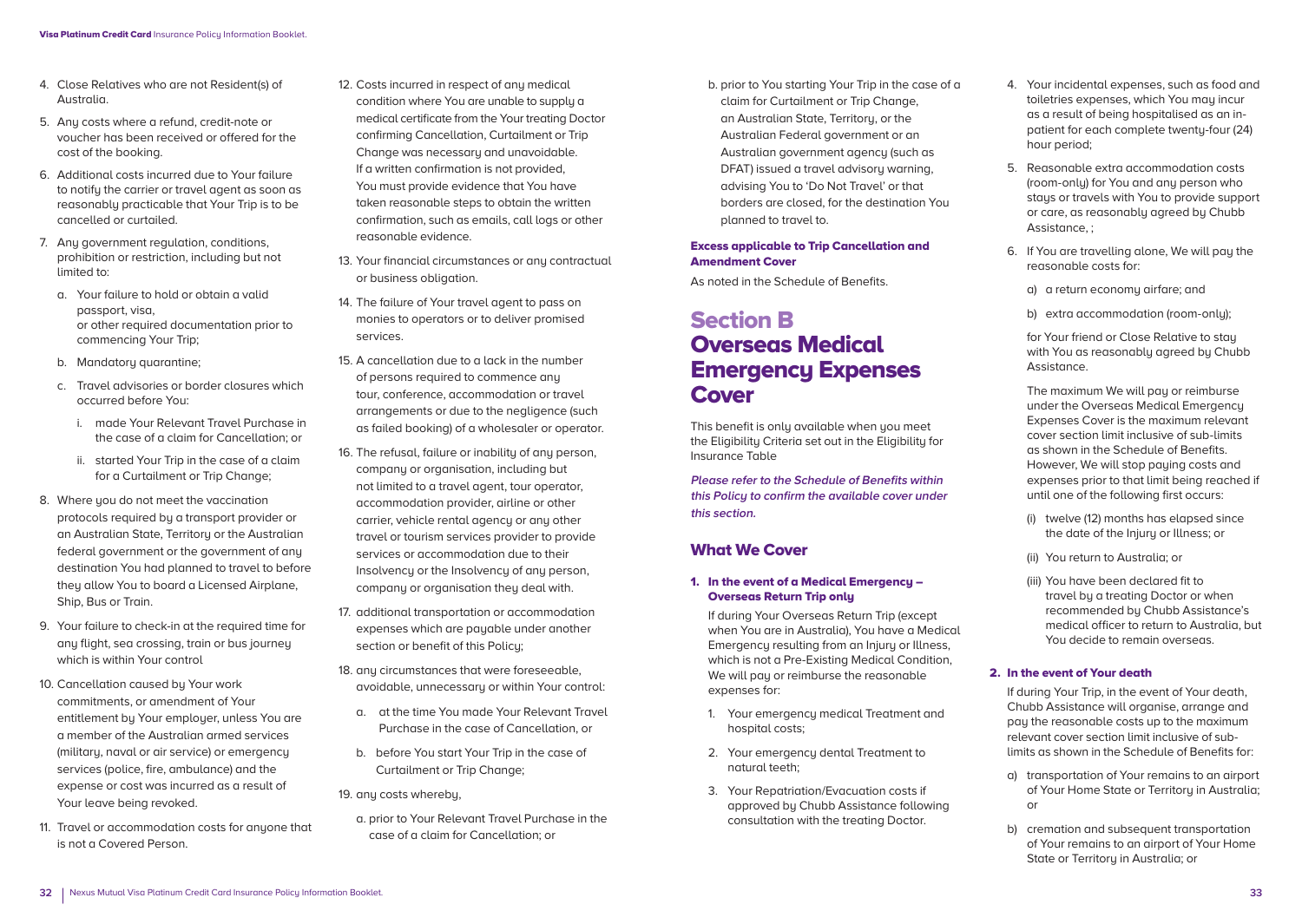- 4. Close Relatives who are not Resident(s) of Australia.
- 5. Any costs where a refund, credit-note or voucher has been received or offered for the cost of the booking.
- 6. Additional costs incurred due to Your failure to notify the carrier or travel agent as soon as reasonably practicable that Your Trip is to be cancelled or curtailed.
- 7. Any government regulation, conditions, prohibition or restriction, including but not limited to:
	- a. Your failure to hold or obtain a valid passport, visa, or other required documentation prior to commencing Your Trip;
	- b. Mandatoru quarantine:
	- c. Travel advisories or border closures which occurred before You:
		- i. made Your Relevant Travel Purchase in the case of a claim for Cancellation; or
		- ii. started Your Trip in the case of a claim for a Curtailment or Trip Change;
- 8. Where you do not meet the vaccination protocols required by a transport provider or an Australian State, Territory or the Australian federal government or the government of any destination You had planned to travel to before they allow You to board a Licensed Airplane, Ship, Bus or Train.
- 9. Your failure to check-in at the required time for any flight, sea crossing, train or bus journey which is within Your control
- 10. Cancellation caused by Your work commitments, or amendment of Your entitlement bu Your emplouer, unless You are a member of the Australian armed services (military, naval or air service) or emergency services (police, fire, ambulance) and the expense or cost was incurred as a result of Your leave being revoked.
- 11. Travel or accommodation costs for anyone that is not a Covered Person.
- 12. Costs incurred in respect of any medical condition where You are unable to supply a medical certificate from the Your treating Doctor confirming Cancellation, Curtailment or Trip Change was necessary and unavoidable. If a written confirmation is not provided, You must provide evidence that You have taken reasonable steps to obtain the written confirmation, such as emails, call logs or other reasonable evidence.
- 13. Your financial circumstances or any contractual or business obligation.
- 14. The failure of Your travel agent to pass on monies to operators or to deliver promised services.
- 15. A cancellation due to a lack in the number of persons required to commence any tour, conference, accommodation or travel arrangements or due to the negligence (such as failed booking) of a wholesaler or operator.
- 16. The refusal, failure or inability of any person, company or organisation, including but not limited to a travel agent, tour operator, accommodation provider, airline or other carrier, vehicle rental agency or any other travel or tourism services provider to provide services or accommodation due to their Insolvency or the Insolvency of any person, company or organisation they deal with.
- 17. additional transportation or accommodation expenses which are payable under another section or benefit of this Policu:
- 18. any circumstances that were foreseeable. avoidable, unnecessary or within Your control:
	- a. at the time You made Your Relevant Travel Purchase in the case of Cancellation, or
	- b. before You start Your Trip in the case of Curtailment or Trip Change;

19. any costs whereby,

a. prior to Your Relevant Travel Purchase in the case of a claim for Cancellation; or

b. prior to You starting Your Trip in the case of a claim for Curtailment or Trip Change, an Australian State, Territory, or the Australian Federal government or an Australian government agency (such as DFAT) issued a travel advisory warning, advising You to 'Do Not Travel' or that borders are closed, for the destination You planned to travel to.

#### Excess applicable to Trip Cancellation and Amendment Cover

As noted in the Schedule of Benefits.

# Section B Overseas Medical Emergency Expenses **Cover**

This benefit is only available when you meet the Eligibility Criteria set out in the Eligibility for Insurance Table

**Please refer to the Schedule of Benefits within this Policy to confirm the available cover under this section.**

# What We Cover

#### 1. In the event of a Medical Emergency – Overseas Return Trip only

 If during Your Overseas Return Trip (except when You are in Australia), You have a Medical Emergency resulting from an Injury or Illness, which is not a Pre-Existing Medical Condition, We will pay or reimburse the reasonable expenses for:

- 1. Your emergency medical Treatment and hospital costs;
- 2. Your emergency dental Treatment to natural teeth;
- 3. Your Repatriation/Evacuation costs if approved by Chubb Assistance following consultation with the treating Doctor.
- 4. Your incidental expenses, such as food and toiletries expenses, which You may incuras a result of being hospitalised as an inpatient for each complete twenty-four (24) hour period;
- 5. Reasonable extra accommodation costs (room-only) for You and any person who stays or travels with You to provide support or care, as reasonably agreed by Chubb Assistance, ;
- 6. If You are travelling alone, We will pay the reasonable costs for:
	- a) a return economy airfare; and
	- b) extra accommodation (room-onlu);

 for Your friend or Close Relative to stay with You as reasonablu agreed by Chubb Assistance.

The maximum We will pay or reimburse under the Overseas Medical Emergency Expenses Cover is the maximum relevant cover section limit inclusive of sub-limits as shown in the Schedule of Benefits. However, We will stop pauing costs and expenses prior to that limit being reached if until one of the following first occurs:

- (i) twelve (12) months has elapsed since the date of the Injury or Illness; or
- (ii) You return to Australia; or
- (iii) You have been declared fit to travel by a treating Doctor or when recommended by Chubb Assistance's medical officer to return to Australia, but You decide to remain overseas.

#### 2. In the event of Your death

 If during Your Trip, in the event of Your death, Chubb Assistance will organise, arrange and pay the reasonable costs up to the maximum relevant cover section limit inclusive of sublimits as shown in the Schedule of Benefits for:

- a) transportation of Your remains to an airport of Your Home State or Territory in Australia; or
- b) cremation and subsequent transportation of Your remains to an airport of Your Home State or Territory in Australia; or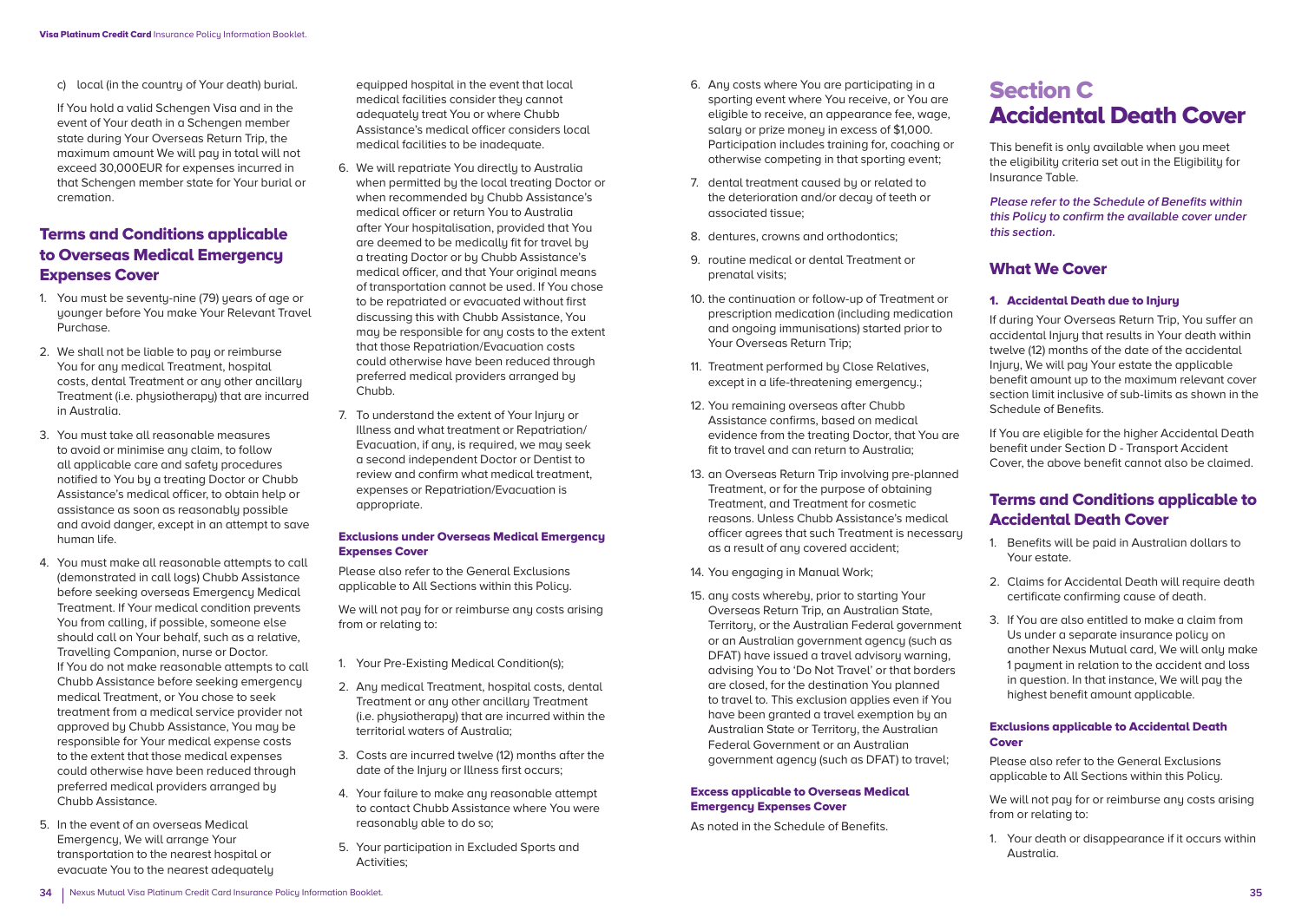c) local (in the countru of Your death) burial.

 If You hold a valid Schengen Visa and in the event of Your death in a Schengen member state during Your Overseas Return Trip, the maximum amount We will pay in total will not exceed 30,000EUR for expenses incurred in that Schengen member state for Your burial or cremation.

# Terms and Conditions applicable to Overseas Medical Emergency Expenses Cover

- 1. You must be seventy-nine (79) years of age or younger before You make Your Relevant Travel Purchase.
- 2. We shall not be liable to pay or reimburse You for any medical Treatment, hospital costs, dental Treatment or any other ancillary Treatment (i.e. physiotherapy) that are incurred in Australia.
- 3. You must take all reasonable measures to avoid or minimise any claim, to follow all applicable care and safety procedures notified to You by a treating Doctor or Chubb Assistance's medical officer, to obtain help or assistance as soon as reasonably possible and avoid danger, except in an attempt to save human life.
- 4. You must make all reasonable attempts to call (demonstrated in call logs) Chubb Assistance before seeking overseas Emergency Medical Treatment. If Your medical condition prevents You from calling, if possible, someone else should call on Your behalf, such as a relative, Travelling Companion, nurse or Doctor. If You do not make reasonable attempts to call Chubb Assistance before seeking emergency medical Treatment, or You chose to seek treatment from a medical service provider not approved by Chubb Assistance, You may be responsible for Your medical expense costs to the extent that those medical expenses could otherwise have been reduced through preferred medical providers arranged by Chubb Assistance.
- 5. In the event of an overseas Medical Emergency, We will arrange Your transportation to the nearest hospital or evacuate You to the nearest adequately

equipped hospital in the event that local medical facilities consider they cannot adequately treat You or where Chubb Assistance's medical officer considers local medical facilities to be inadequate.

- 6. We will repatriate You directly to Australia when permitted by the local treating Doctor or when recommended bu Chubb Assistance's medical officer or return You to Australia after Your hospitalisation, provided that You are deemed to be medically fit for travel by a treating Doctor or by Chubb Assistance's medical officer, and that Your original means of transportation cannot be used. If You chose to be repatriated or evacuated without first discussing this with Chubb Assistance, You may be responsible for any costs to the extent that those Repatriation/Evacuation costs could otherwise have been reduced through preferred medical providers arranged by Chubb.
- 7. To understand the extent of Your Injury or Illness and what treatment or Repatriation/ Evacuation, if any, is required, we may seek a second independent Doctor or Dentist to review and confirm what medical treatment, expenses or Repatriation/Evacuation is appropriate.

#### Exclusions under Overseas Medical Emergency Expenses Cover

Please also refer to the General Exclusions applicable to All Sections within this Policy.

We will not pay for or reimburse any costs arising from or relating to:

- 1. Your Pre-Existing Medical Condition(s);
- 2. Any medical Treatment, hospital costs, dental Treatment or any other ancillary Treatment (i.e. physiotherapy) that are incurred within the territorial waters of Australia;
- 3. Costs are incurred twelve (12) months after the date of the Injury or Illness first occurs;
- 4. Your failure to make any reasonable attempt to contact Chubb Assistance where You were reasonably able to do so;
- 5. Your participation in Excluded Sports and Activities;
- 6. Any costs where You are participating in a sporting event where You receive, or You are eligible to receive, an appearance fee, wage, salary or prize money in excess of \$1,000. Participation includes training for, coaching or otherwise competing in that sporting event;
- 7. dental treatment caused by or related to the deterioration and/or decay of teeth or associated tissue;
- 8. dentures, crowns and orthodontics;
- 9. routine medical or dental Treatment or prenatal visits;
- 10. the continuation or follow-up of Treatment or prescription medication (including medication and ongoing immunisations) started prior to Your Overseas Return Trip;
- 11. Treatment performed by Close Relatives, except in a life-threatening emergency.;
- 12. You remaining overseas after Chubb Assistance confirms, based on medical evidence from the treating Doctor, that You are fit to travel and can return to Australia;
- 13. an Overseas Return Trip involving pre-planned Treatment, or for the purpose of obtaining Treatment, and Treatment for cosmetic reasons. Unless Chubb Assistance's medical officer agrees that such Treatment is necessary as a result of any covered accident;
- 14. You engaging in Manual Work;
- 15. any costs whereby, prior to starting Your Overseas Return Trip, an Australian State, Territory, or the Australian Federal government or an Australian government agency (such as DFAT) have issued a travel advisory warning, advising You to 'Do Not Travel' or that borders are closed, for the destination You planned to travel to. This exclusion applies even if You have been granted a travel exemption by an Australian State or Territory, the Australian Federal Government or an Australian government agency (such as DFAT) to travel;

#### Excess applicable to Overseas Medical Emergency Expenses Cover

As noted in the Schedule of Benefits.

# Section C Accidental Death Cover

This benefit is only available when you meet the eligibility criteria set out in the Eligibility for Insurance Table.

**Please refer to the Schedule of Benefits within this Policy to confirm the available cover under this section.**

# What We Cover

#### 1. Accidental Death due to Injury

If during Your Overseas Return Trip, You suffer an accidental Injury that results in Your death within twelve (12) months of the date of the accidental Injury, We will pay Your estate the applicable benefit amount up to the maximum relevant cover section limit inclusive of sub-limits as shown in the Schedule of Benefits.

If You are eligible for the higher Accidental Death benefit under Section D - Transport Accident Cover, the above benefit cannot also be claimed.

# Terms and Conditions applicable to Accidental Death Cover

- 1. Benefits will be paid in Australian dollars to Your estate.
- 2. Claims for Accidental Death will require death certificate confirming cause of death.
- 3. If You are also entitled to make a claim from Us under a separate insurance policy on another Nexus Mutual card, We will only make 1 payment in relation to the accident and loss in question. In that instance, We will pay the highest benefit amount applicable.

#### Exclusions applicable to Accidental Death Cover

Please also refer to the General Exclusions applicable to All Sections within this Policy.

We will not pay for or reimburse any costs arising from or relating to:

1. Your death or disappearance if it occurs within Australia.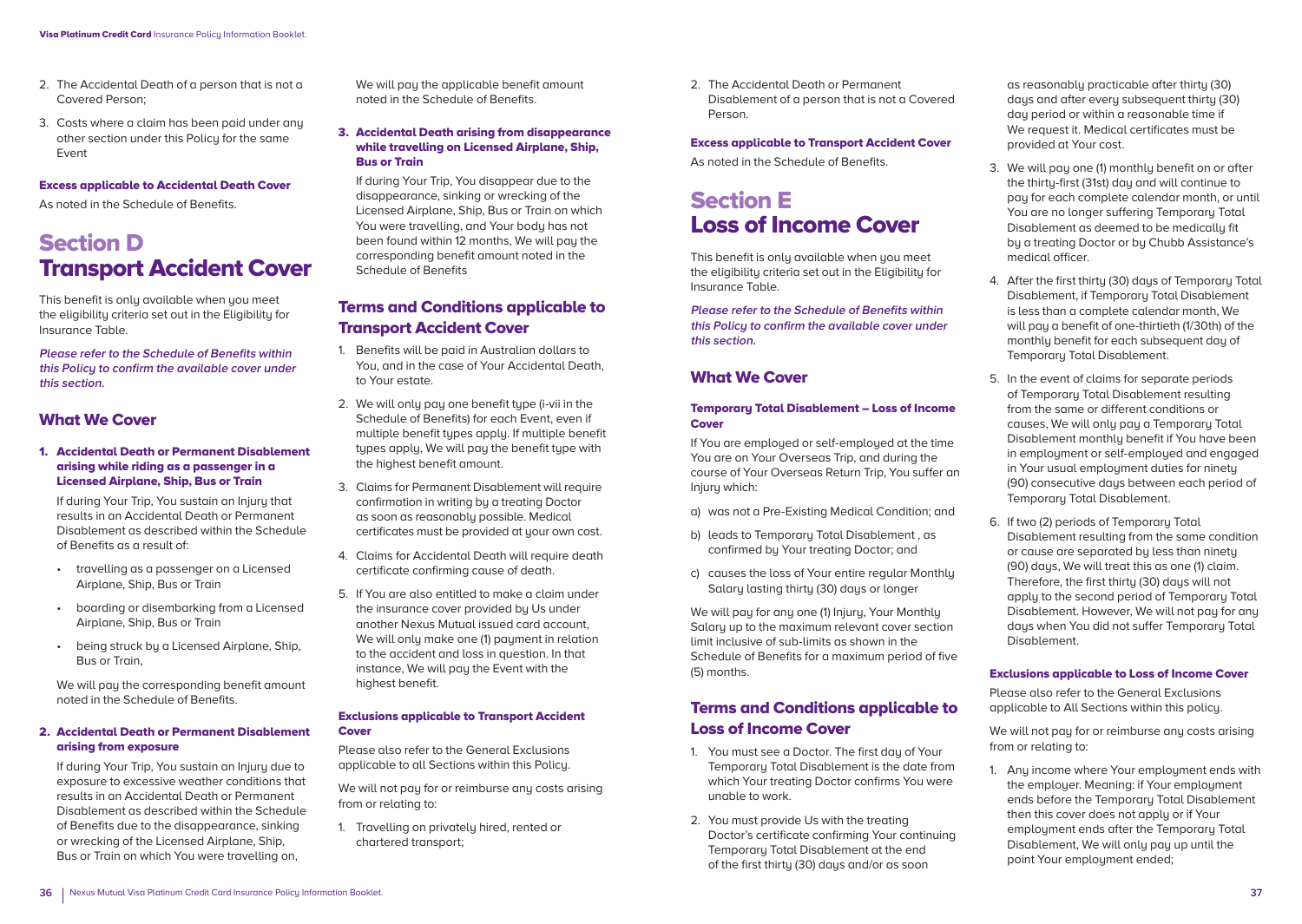- 2. The Accidental Death of a person that is not a Covered Person;
- 3. Costs where a claim has been paid under any other section under this Policu for the same Event

#### Excess applicable to Accidental Death Cover

As noted in the Schedule of Benefits.

# Section D Transport Accident Cover

This benefit is only available when you meet the eligibility criteria set out in the Eligibility for Insurance Table.

**Please refer to the Schedule of Benefits within this Policy to confirm the available cover under this section.**

### What We Cover

#### 1. Accidental Death or Permanent Disablement arising while riding as a passenger in a Licensed Airplane, Ship, Bus or Train

 If during Your Trip, You sustain an Injury that results in an Accidental Death or Permanent Disablement as described within the Schedule of Benefits as a result of:

- travelling as a passenger on a Licensed Airplane, Ship, Bus or Train
- boarding or disembarking from a Licensed Airplane, Ship, Bus or Train
- being struck by a Licensed Airplane, Ship, Bus or Train,

 We will pay the corresponding benefit amount noted in the Schedule of Benefits.

#### 2. Accidental Death or Permanent Disablement arising from exposure

 If during Your Trip, You sustain an Injury due to exposure to excessive weather conditions that results in an Accidental Death or Permanent Disablement as described within the Schedule of Benefits due to the disappearance, sinking or wrecking of the Licensed Airplane, Ship, Bus or Train on which You were travelling on,

We will pay the applicable benefit amount noted in the Schedule of Benefits.

3. Accidental Death arising from disappearance while travelling on Licensed Airplane, Ship, Bus or Train

 If during Your Trip, You disappear due to the disappearance, sinking or wrecking of the Licensed Airplane, Ship, Bus or Train on which You were travelling, and Your body has not been found within 12 months, We will pay the corresponding benefit amount noted in the Schedule of Benefits

# Terms and Conditions applicable to Transport Accident Cover

- 1. Benefits will be paid in Australian dollars to You, and in the case of Your Accidental Death, to Your estate.
- 2. We will only pay one benefit type (i-vii in the Schedule of Benefits) for each Event, even if multiple benefit types apply. If multiple benefit tupes apply. We will pay the benefit type with the highest benefit amount.
- 3. Claims for Permanent Disablement will require confirmation in writing by a treating Doctor as soon as reasonably possible. Medical certificates must be provided at your own cost.
- 4. Claims for Accidental Death will require death certificate confirming cause of death.
- 5. If You are also entitled to make a claim under the insurance cover provided by Us under another Nexus Mutual issued card account, We will only make one (1) payment in relation to the accident and loss in question. In that instance, We will pay the Event with the highest benefit.

#### Exclusions applicable to Transport Accident **Cover**

Please also refer to the General Exclusions applicable to all Sections within this Policy.

We will not pay for or reimburse any costs arising from or relating to:

1. Travelling on privately hired, rented or chartered transport;

2. The Accidental Death or Permanent Disablement of a person that is not a Covered Person.

#### Excess applicable to Transport Accident Cover

As noted in the Schedule of Benefits.

# Section E Loss of Income Cover

This benefit is only available when you meet the eligibility criteria set out in the Eligibility for Insurance Table.

**Please refer to the Schedule of Benefits within this Policy to confirm the available cover under this section.**

# What We Cover

#### Temporary Total Disablement – Loss of Income **Cover**

If You are employed or self-employed at the time You are on Your Overseas Trip, and during the course of Your Overseas Return Trip, You suffer an Injury which:

- a) was not a Pre-Existing Medical Condition; and
- b) leads to Temporary Total Disablement , as confirmed by Your treating Doctor; and
- c) causes the loss of Your entire regular Monthly Salary lasting thirty (30) days or longer

We will pay for any one (1) Injury, Your Monthly Salary up to the maximum relevant cover section limit inclusive of sub-limits as shown in the Schedule of Benefits for a maximum period of five (5) months.

# Terms and Conditions applicable to Loss of Income Cover

- 1. You must see a Doctor. The first day of Your Temporary Total Disablement is the date from which Your treating Doctor confirms You were unable to work.
- 2. You must provide Us with the treating Doctor's certificate confirming Your continuing Temporary Total Disablement at the end of the first thirtu (30) days and/or as soon

as reasonably practicable after thirty (30) days and after every subsequent thirty (30) day period or within a reasonable time if We request it. Medical certificates must be provided at Your cost.

- 3. We will pay one (1) monthly benefit on or after the thirty-first (31st) day and will continue to pay for each complete calendar month, or until You are no longer suffering Temporary Total Disablement as deemed to be medically fit by a treating Doctor or by Chubb Assistance's medical officer.
- 4. After the first thirty (30) days of Temporary Total Disablement, if Temporary Total Disablement is less than a complete calendar month, We will pay a benefit of one-thirtieth (1/30th) of the monthly benefit for each subsequent day of Temporary Total Disablement.
- 5. In the event of claims for separate periods of Temporary Total Disablement resulting from the same or different conditions or causes, We will only pay a Temporary Total Disablement monthly benefit if You have been in employment or self-employed and engaged in Your usual employment duties for ninety (90) consecutive days between each period of Temporary Total Disablement.
- 6. If two (2) periods of Temporary Total Disablement resulting from the same condition or cause are separated by less than ninety (90) days, We will treat this as one (1) claim. Therefore, the first thirtu (30) days will not apply to the second period of Temporary Total Disablement. However, We will not pay for any days when You did not suffer Temporary Total Disablement.

#### Exclusions applicable to Loss of Income Cover

Please also refer to the General Exclusions applicable to All Sections within this policy.

We will not pay for or reimburse any costs arising from or relating to:

1. Any income where Your employment ends with the employer. Meaning: if Your employment ends before the Temporary Total Disablement then this cover does not apply or if Your employment ends after the Temporary Total Disablement, We will only pay up until the point Your employment ended;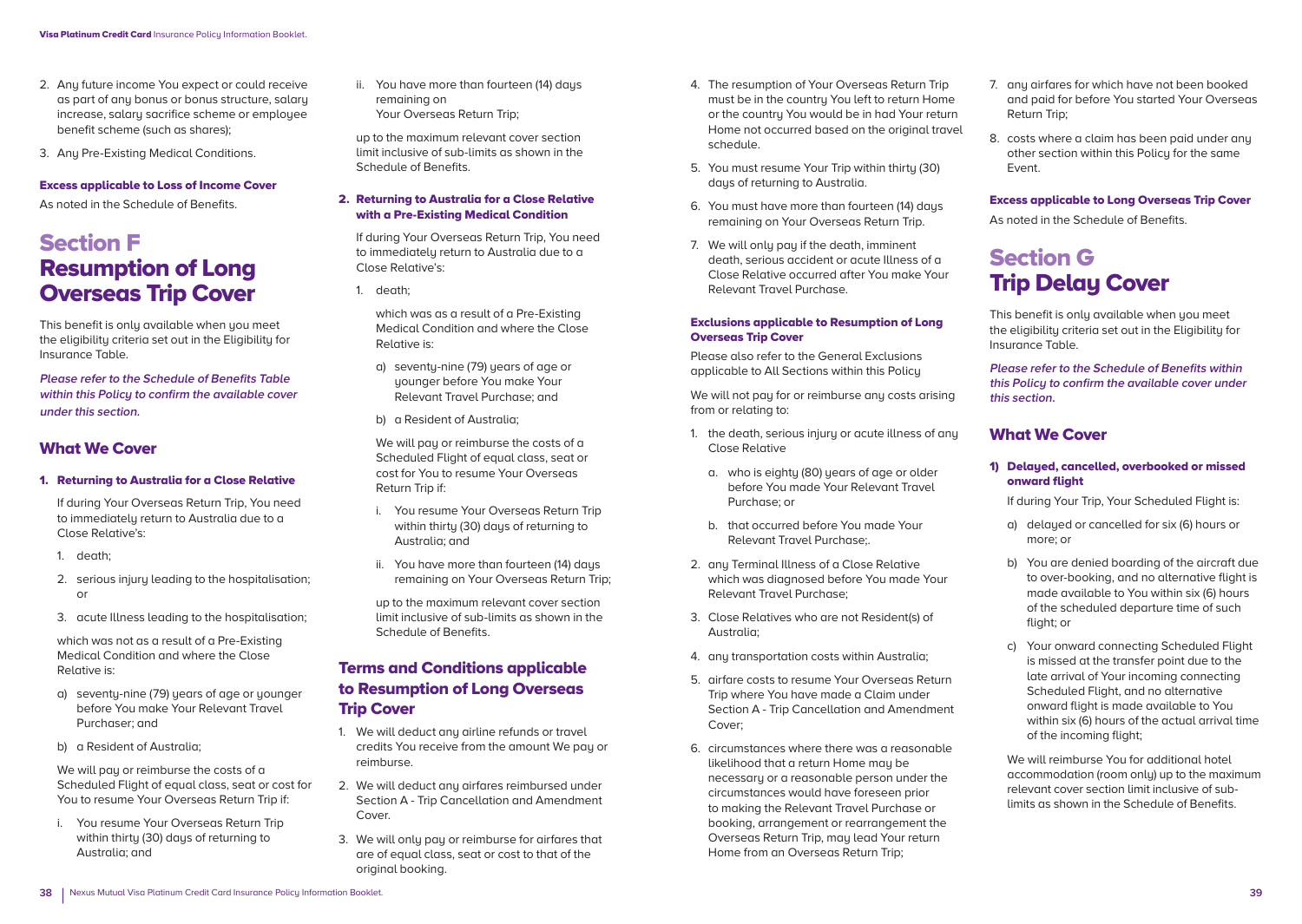- 2. Any future income You expect or could receive as part of any bonus or bonus structure, salary increase, salary sacrifice scheme or employee benefit scheme (such as shares);
- 3. Any Pre-Existing Medical Conditions.

#### Excess applicable to Loss of Income Cover

As noted in the Schedule of Benefits.

# Section F Resumption of Long Overseas Trip Cover

This benefit is only available when you meet the eligibility criteria set out in the Eligibility for Insurance Table.

**Please refer to the Schedule of Benefits Table within this Policy to confirm the available cover under this section.**

### What We Cover

1. Returning to Australia for a Close Relative

 If during Your Overseas Return Trip, You need to immediately return to Australia due to a Close Relative's:

- 1. death;
- 2. serious injury leading to the hospitalisation; or
- 3. acute Illness leading to the hospitalisation;

 which was not as a result of a Pre-Existing Medical Condition and where the Close Relative is:

- a) seventy-nine (79) years of age or younger before You make Your Relevant Travel Purchaser; and
- b) a Resident of Australia;

 We will pay or reimburse the costs of a Scheduled Flight of equal class, seat or cost for You to resume Your Overseas Return Trip if:

i. You resume Your Overseas Return Trip within thirtu (30) daus of returning to Australia; and

ii. You have more than fourteen (14) days remaining on Your Overseas Return Trip;

 up to the maximum relevant cover section limit inclusive of sub-limits as shown in the Schedule of Benefits.

#### 2. Returning to Australia for a Close Relative with a Pre-Existing Medical Condition

 If during Your Overseas Return Trip, You need to immediately return to Australia due to a Close Relative's:

1. death;

 which was as a result of a Pre-Existing Medical Condition and where the Close Relative is:

- a) seventy-nine (79) years of age or younger before You make Your Relevant Travel Purchase; and
- b) a Resident of Australia;

 We will pay or reimburse the costs of a Scheduled Flight of equal class, seat or cost for You to resume Your Overseas Return Trip if:

- i. You resume Your Overseas Return Trip within thirty (30) days of returning to Australia; and
- ii. You have more than fourteen (14) days remaining on Your Overseas Return Trip;

 up to the maximum relevant cover section limit inclusive of sub-limits as shown in the Schedule of Benefits.

# Terms and Conditions applicable to Resumption of Long Overseas Trip Cover

- 1. We will deduct any airline refunds or travel credits You receive from the amount We pay or reimburse.
- 2. We will deduct any airfares reimbursed under Section A - Trip Cancellation and Amendment Cover.
- 3. We will only pay or reimburse for airfares that are of equal class, seat or cost to that of the original booking.
- 4. The resumption of Your Overseas Return Trip must be in the country You left to return Home or the country You would be in had Your return Home not occurred based on the original travel schedule.
- 5. You must resume Your Trip within thirty (30) days of returning to Australia.
- 6. You must have more than fourteen (14) days remaining on Your Overseas Return Trip.
- 7. We will only pay if the death, imminent death, serious accident or acute Illness of a Close Relative occurred after You make Your Relevant Travel Purchase.

#### Exclusions applicable to Resumption of Long Overseas Trip Cover

Please also refer to the General Exclusions applicable to All Sections within this Policy

We will not pay for or reimburse any costs arising from or relating to:

- 1. the death, serious injury or acute illness of any Close Relative
	- a. who is eighty (80) years of age or older before You made Your Relevant Travel Purchase; or
	- b. that occurred before You made Your Relevant Travel Purchase;.
- 2. any Terminal Illness of a Close Relative which was diagnosed before You made Your Relevant Travel Purchase;
- 3. Close Relatives who are not Resident(s) of Australia;
- 4. any transportation costs within Australia;
- 5. airfare costs to resume Your Overseas Return Trip where You have made a Claim under Section A - Trip Cancellation and Amendment Cover;
- 6. circumstances where there was a reasonable likelihood that a return Home may be necessary or a reasonable person under the circumstances would have foreseen prior to making the Relevant Travel Purchase or booking, arrangement or rearrangement the Overseas Return Trip, may lead Your return Home from an Overseas Return Trip;
- 7. any airfares for which have not been booked and paid for before You started Your Overseas Return Trip;
- 8. costs where a claim has been paid under any other section within this Policu for the same Event.

#### Excess applicable to Long Overseas Trip Cover

As noted in the Schedule of Benefits.

# Section G **Trip Delay Cover**

This benefit is only available when you meet the eligibility criteria set out in the Eligibility for Insurance Table.

**Please refer to the Schedule of Benefits within this Policy to confirm the available cover under this section.**

### What We Cover

#### 1) Delayed, cancelled, overbooked or missed onward flight

If during Your Trip, Your Scheduled Flight is:

- a) delayed or cancelled for six (6) hours or more; or
- b) You are denied boarding of the aircraft due to over-booking, and no alternative flight is made available to You within six (6) hours of the scheduled departure time of such flight: or
- c) Your onward connecting Scheduled Flight is missed at the transfer point due to the late arrival of Your incoming connecting Scheduled Flight, and no alternative onward flight is made available to You within six (6) hours of the actual arrival time of the incoming flight;

We will reimburse You for additional hotel accommodation (room only) up to the maximum relevant cover section limit inclusive of sublimits as shown in the Schedule of Benefits.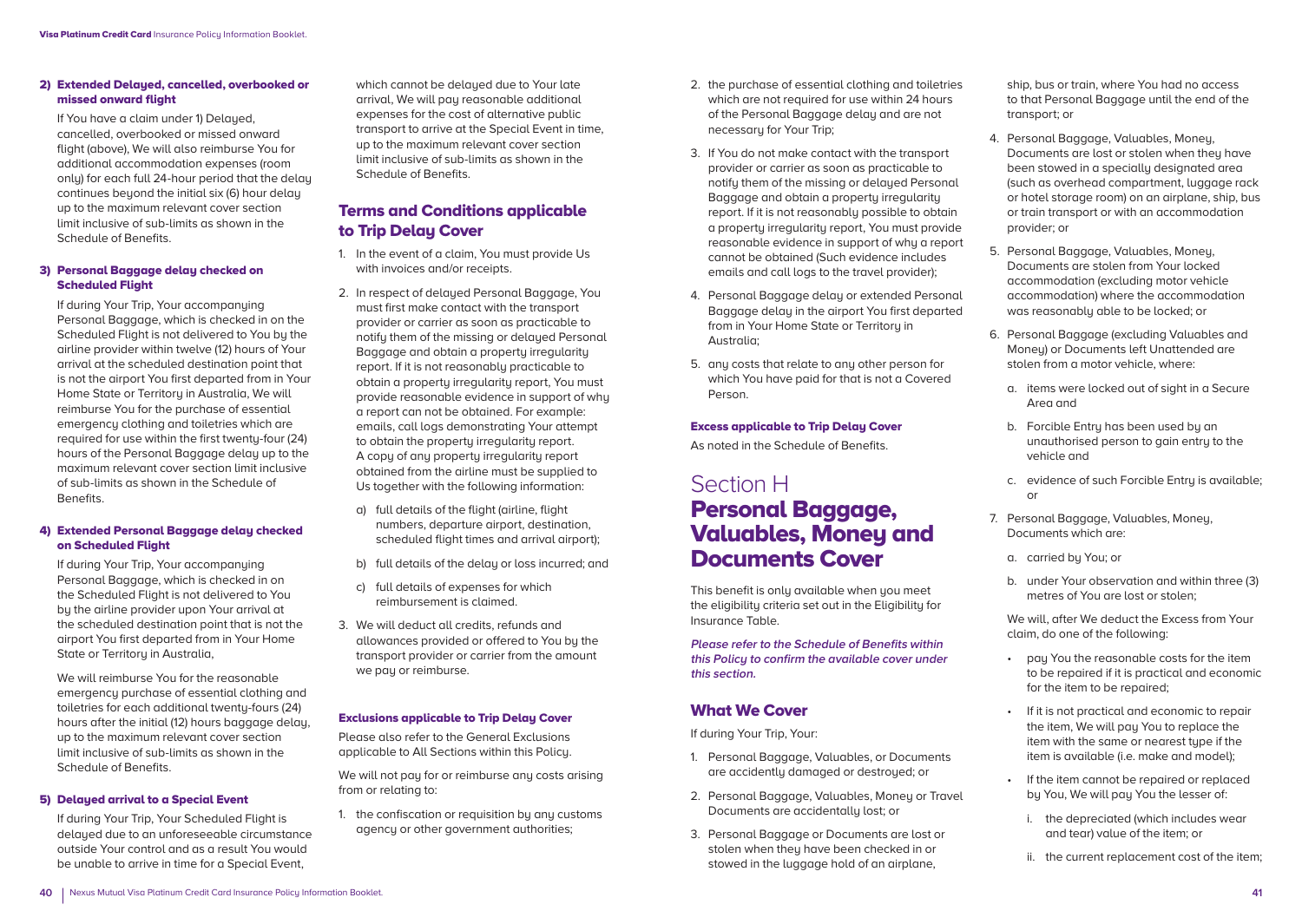#### 2) Extended Delaued, cancelled, overbooked or missed onward flight

If You have a claim under 1) Delayed. cancelled, overbooked or missed onward flight (above), We will also reimburse You for additional accommodation expenses (room only) for each full 24-hour period that the delay continues beyond the initial six (6) hour delay up to the maximum relevant cover section limit inclusive of sub-limits as shown in the Schedule of Benefits.

#### 3) Personal Baggage delay checked on Scheduled Flight

 If during Your Trip, Your accompanying Personal Baggage, which is checked in on the Scheduled Flight is not delivered to You by the airline provider within twelve (12) hours of Your arrival at the scheduled destination point that is not the airport You first departed from in Your Home State or Territoru in Australia, We will reimburse You for the purchase of essential emergency clothing and toiletries which are required for use within the first twenty-four (24) hours of the Personal Baggage delay up to the maximum relevant cover section limit inclusive of sub-limits as shown in the Schedule of Benefits.

#### 4) Extended Personal Baggage delay checked on Scheduled Flight

 If during Your Trip, Your accompanying Personal Baggage, which is checked in on the Scheduled Flight is not delivered to You by the airline provider upon Your arrival at the scheduled destination point that is not the airport You first departed from in Your Home State or Territory in Australia,

 We will reimburse You for the reasonable emergency purchase of essential clothing and toiletries for each additional twenty-fours (24) hours after the initial (12) hours baggage delay, up to the maximum relevant cover section limit inclusive of sub-limits as shown in the Schedule of Benefits.

#### 5) Delayed arrival to a Special Event

 If during Your Trip, Your Scheduled Flight is delayed due to an unforeseeable circumstance outside Your control and as a result You would be unable to arrive in time for a Special Event,

which cannot be delayed due to Your late arrival, We will pay reasonable additional expenses for the cost of alternative public transport to arrive at the Special Event in time, up to the maximum relevant cover section limit inclusive of sub-limits as shown in the Schedule of Benefits.

# Terms and Conditions applicable to Trip Delay Cover

- 1. In the event of a claim, You must provide Us with invoices and/or receipts.
- 2. In respect of delayed Personal Baggage, You must first make contact with the transport provider or carrier as soon as practicable to notify them of the missing or delayed Personal Baggage and obtain a property irregularity report. If it is not reasonably practicable to obtain a property irregularity report, You must provide reasonable evidence in support of why a report can not be obtained. For example: emails, call logs demonstrating Your attempt to obtain the propertu irregularity report. A copy of any property irregularity report obtained from the airline must be supplied to Us together with the following information:
	- a) full details of the flight (airline, flight numbers, departure airport, destination, scheduled flight times and arrival airport);
	- b) full details of the delay or loss incurred; and
	- c) full details of expenses for which reimbursement is claimed.
- 3. We will deduct all credits, refunds and allowances provided or offered to You by the transport provider or carrier from the amount we pay or reimburse.

#### Exclusions applicable to Trip Delay Cover

Please also refer to the General Exclusions applicable to All Sections within this Policy.

We will not pay for or reimburse any costs arising from or relating to:

1. the confiscation or requisition by any customs agency or other government authorities;

- 2. the purchase of essential clothing and toiletries which are not required for use within 24 hours of the Personal Baggage delay and are not necessary for Your Trip;
- 3. If You do not make contact with the transport provider or carrier as soon as practicable to notify them of the missing or delayed Personal Baggage and obtain a property irregularity report. If it is not reasonably possible to obtain a property irregularity report, You must provide reasonable evidence in support of why a report cannot be obtained (Such evidence includes emails and call logs to the travel provider);
- 4. Personal Baggage delay or extended Personal Baggage delay in the airport You first departed from in Your Home State or Territoru in Australia;
- 5. any costs that relate to any other person for which You have paid for that is not a Covered Person.

#### Excess applicable to Trip Delay Cover

As noted in the Schedule of Benefits.

# Section H Personal Baggage, Valuables, Money and Documents Cover

This benefit is only available when you meet the eligibility criteria set out in the Eligibility for Insurance Table.

**Please refer to the Schedule of Benefits within this Policy to confirm the available cover under this section.**

### What We Cover

If during Your Trip, Your:

- 1. Personal Baggage, Valuables, or Documents are accidently damaged or destroyed; or
- 2. Personal Baggage, Valuables, Money or Travel Documents are accidentally lost; or
- 3. Personal Baggage or Documents are lost or stolen when they have been checked in or stowed in the luggage hold of an airplane,

ship, bus or train, where You had no access to that Personal Baggage until the end of the transport; or

- 4. Personal Baggage, Valuables, Money, Documents are lost or stolen when they have been stowed in a specially designated area (such as overhead compartment, luggage rack or hotel storage room) on an airplane, ship, bus or train transport or with an accommodation provider; or
- 5. Personal Baggage, Valuables, Money, Documents are stolen from Your locked accommodation (excluding motor vehicle accommodation) where the accommodation was reasonably able to be locked; or
- 6. Personal Baggage (excluding Valuables and Money) or Documents left Unattended are stolen from a motor vehicle, where:
	- a. items were locked out of sight in a Secure Area and
	- b. Forcible Entru has been used bu an unauthorised person to gain entry to the vehicle and
	- c. evidence of such Forcible Entry is available; or
- 7. Personal Baggage, Valuables, Money, Documents which are:
	- a. carried by You; or
	- b. under Your observation and within three (3) metres of You are lost or stolen;

We will, after We deduct the Excess from Your claim, do one of the following:

- pay You the reasonable costs for the item to be repaired if it is practical and economic for the item to be repaired;
- If it is not practical and economic to repair the item, We will pay You to replace the item with the same or nearest tupe if the item is available (i.e. make and model);
- If the item cannot be repaired or replaced by You, We will pay You the lesser of:
	- i. the depreciated (which includes wear and tear) value of the item; or
	- ii. the current replacement cost of the item;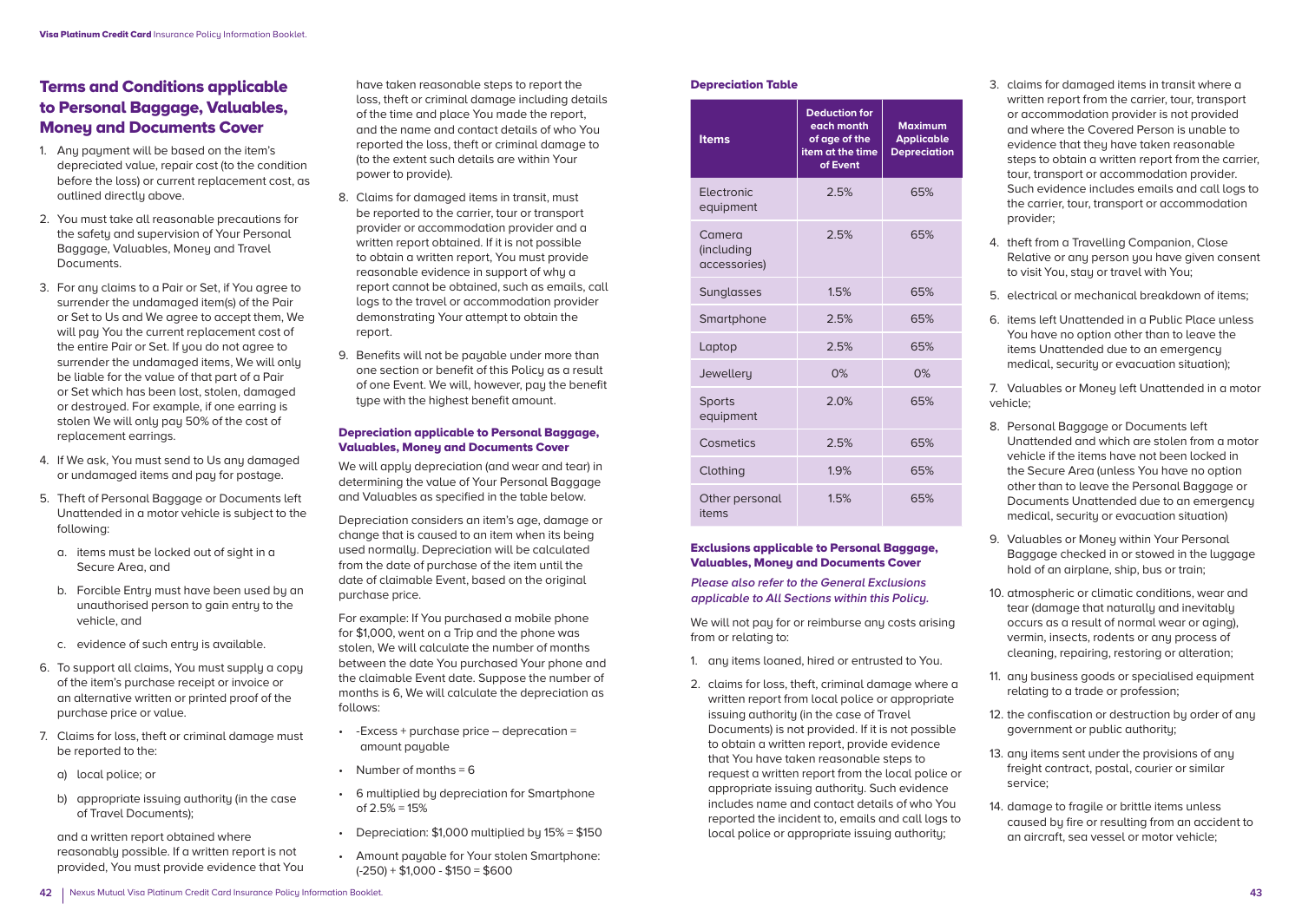# Terms and Conditions applicable to Personal Baggage, Valuables, **Moneu and Documents Cover**

- 1. Any payment will be based on the item's depreciated value, repair cost (to the condition before the loss) or current replacement cost, as outlined directly above.
- 2. You must take all reasonable precautions for the safetu and supervision of Your Personal Baggage, Valuables, Money and Travel Documents.
- 3. For any claims to a Pair or Set, if You agree to surrender the undamaged item(s) of the Pair or Set to Us and We agree to accept them, We will pay You the current replacement cost of the entire Pair or Set. If you do not agree to surrender the undamaged items, We will only be liable for the value of that part of a Pair or Set which has been lost, stolen, damaged or destroyed. For example, if one earring is stolen We will only pay 50% of the cost of replacement earrings.
- 4. If We ask, You must send to Us any damaged or undamaged items and pay for postage.
- 5. Theft of Personal Baggage or Documents left Unattended in a motor vehicle is subject to the following:
	- a. items must be locked out of sight in a Secure Area, and
	- b. Forcible Entru must have been used by an unauthorised person to gain entry to the vehicle, and
	- c. evidence of such entry is available.
- 6. To support all claims, You must supply a copy of the item's purchase receipt or invoice or an alternative written or printed proof of the purchase price or value.
- 7. Claims for loss, theft or criminal damage must be reported to the:
	- a) local police; or
	- b) appropriate issuing authority (in the case of Travel Documents);

 and a written report obtained where reasonably possible. If a written report is not provided, You must provide evidence that You have taken reasonable steps to report the loss, theft or criminal damage including details of the time and place You made the report, and the name and contact details of who You reported the loss, theft or criminal damage to (to the extent such details are within Your power to provide).

- 8. Claims for damaged items in transit, must be reported to the carrier, tour or transport provider or accommodation provider and a written report obtained. If it is not possible to obtain a written report, You must provide reasonable evidence in support of why a report cannot be obtained, such as emails, call logs to the travel or accommodation provider demonstrating Your attempt to obtain the report.
- 9. Benefits will not be pauable under more than one section or benefit of this Policu as a result of one Event. We will, however, pay the benefit tupe with the highest benefit amount.

#### Depreciation applicable to Personal Baggage, Valuables, Money and Documents Cover

We will apply depreciation (and wear and tear) in determining the value of Your Personal Baggage and Valuables as specified in the table below.

Depreciation considers an item's age, damage or change that is caused to an item when its being used normally. Depreciation will be calculated from the date of purchase of the item until the date of claimable Event, based on the original purchase price.

For example: If You purchased a mobile phone for \$1,000, went on a Trip and the phone was stolen, We will calculate the number of months between the date You purchased Your phone and the claimable Event date. Suppose the number of months is 6, We will calculate the depreciation as follows:

- -Excess + purchase price deprecation = amount payable
- Number of months  $= 6$
- 6 multiplied by depreciation for Smartphone of 2.5% = 15%
- Depreciation: \$1,000 multiplied by 15% = \$150
- Amount payable for Your stolen Smartphone:  $(-250) + $1,000 - $150 = $600$

#### Depreciation Table

| <b>Items</b>                         | <b>Deduction for</b><br>each month<br>of age of the<br>item at the time<br>of Event | <b>Maximum</b><br><b>Applicable</b><br><b>Depreciation</b> |
|--------------------------------------|-------------------------------------------------------------------------------------|------------------------------------------------------------|
| Electronic<br>equipment              | 2.5%                                                                                | 65%                                                        |
| Camera<br>(including<br>accessories) | 2.5%                                                                                | 65%                                                        |
| Sunglasses                           | 1.5%                                                                                | 65%                                                        |
| Smartphone                           | 2.5%                                                                                | 65%                                                        |
| Laptop                               | 2.5%                                                                                | 65%                                                        |
| Jewellery                            | 0%                                                                                  | 0%                                                         |
| <b>Sports</b><br>equipment           | 2.0%                                                                                | 65%                                                        |
| Cosmetics                            | 2.5%                                                                                | 65%                                                        |
| Clothing                             | 1.9%                                                                                | 65%                                                        |
| Other personal<br>items              | 1.5%                                                                                | 65%                                                        |

#### Exclusions applicable to Personal Baggage, Valuables, Money and Documents Cover

**Please also refer to the General Exclusions applicable to All Sections within this Policy.** 

We will not pay for or reimburse any costs arising from or relating to:

- 1. any items loaned, hired or entrusted to You.
- 2. claims for loss, theft, criminal damage where a written report from local police or appropriate issuing authority (in the case of Travel Documents) is not provided. If it is not possible to obtain a written report, provide evidence that You have taken reasonable steps to request a written report from the local police or appropriate issuing authority. Such evidence includes name and contact details of who You reported the incident to, emails and call logs to local police or appropriate issuing authority;
- 3. claims for damaged items in transit where a written report from the carrier, tour, transport or accommodation provider is not provided and where the Covered Person is unable to evidence that they have taken reasonable steps to obtain a written report from the carrier, tour, transport or accommodation provider. Such evidence includes emails and call logs to the carrier, tour, transport or accommodation provider;
- 4. theft from a Travelling Companion, Close Relative or any person you have given consent to visit You, stay or travel with You;
- 5. electrical or mechanical breakdown of items;
- 6. items left Unattended in a Public Place unless You have no option other than to leave the items Unattended due to an emergency medical, security or evacuation situation);

7. Valuables or Moneu left Unattended in a motor vehicle;

- 8. Personal Baggage or Documents left Unattended and which are stolen from a motor vehicle if the items have not been locked in the Secure Area (unless You have no option other than to leave the Personal Baggage or Documents Unattended due to an emergency medical, securitu or evacuation situation)
- 9. Valuables or Money within Your Personal Baggage checked in or stowed in the luggage hold of an airplane, ship, bus or train;
- 10. atmospheric or climatic conditions, wear and tear (damage that naturally and inevitably occurs as a result of normal wear or aging), vermin, insects, rodents or any process of cleaning, repairing, restoring or alteration;
- 11. any business goods or specialised equipment relating to a trade or profession;
- 12. the confiscation or destruction bu order of any government or public authority;
- 13. any items sent under the provisions of any freight contract, postal, courier or similar service;
- 14. damage to fragile or brittle items unless caused by fire or resulting from an accident to an aircraft, sea vessel or motor vehicle;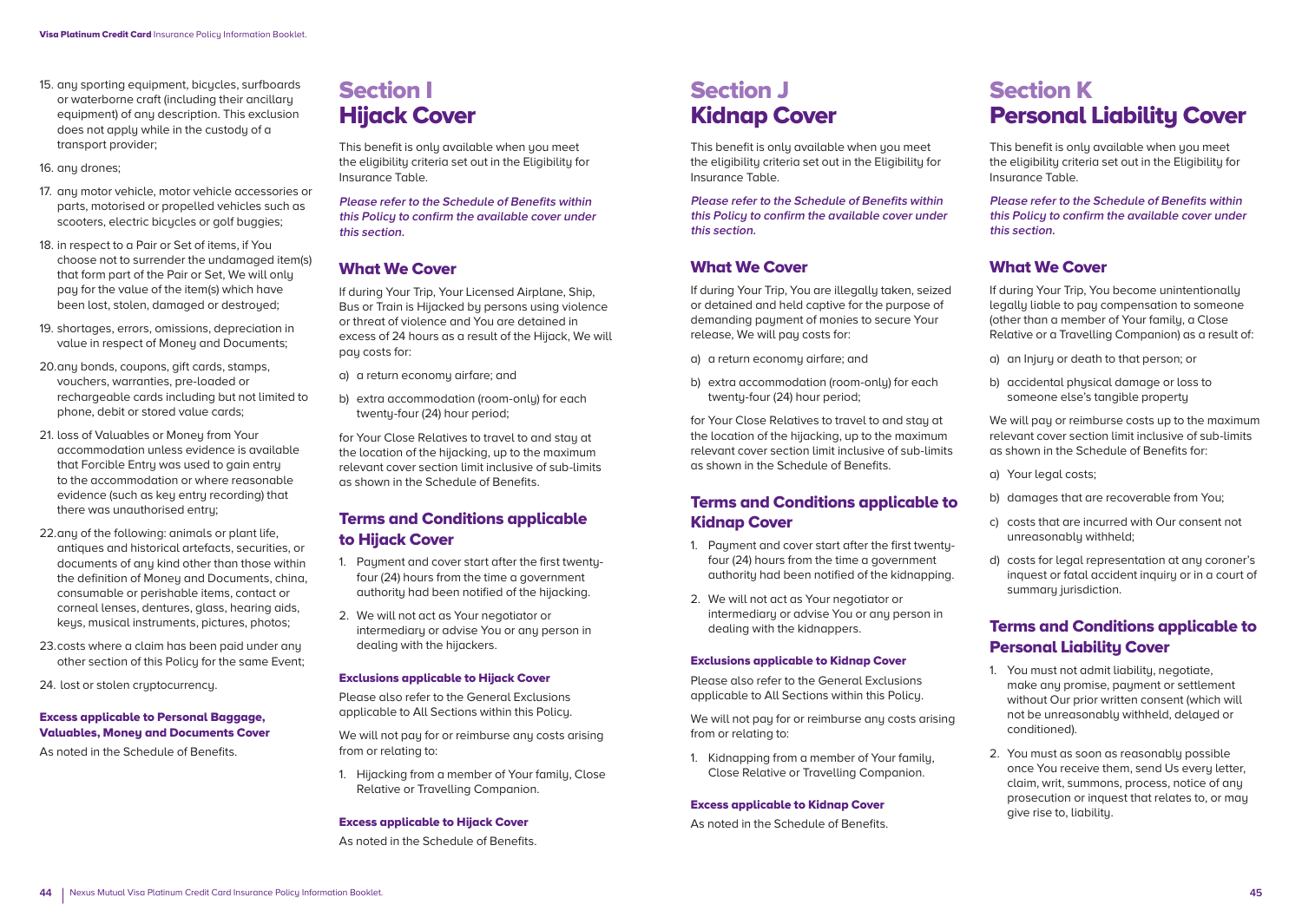- 15. any sporting equipment, bicucles, surfboards or waterborne craft (including their ancillary equipment) of any description. This exclusion does not apply while in the custody of a transport provider;
- 16. any drones:
- 17. any motor vehicle, motor vehicle accessories or parts, motorised or propelled vehicles such as scooters, electric bicycles or golf buggies;
- 18. in respect to a Pair or Set of items, if You choose not to surrender the undamaged item(s) that form part of the Pair or Set, We will only pay for the value of the item(s) which have been lost, stolen, damaged or destroyed;
- 19. shortages, errors, omissions, depreciation in value in respect of Money and Documents;
- 20. any bonds, coupons, gift cards, stamps, vouchers, warranties, pre-loaded or rechargeable cards including but not limited to phone, debit or stored value cards;
- 21. loss of Valuables or Money from Your accommodation unless evidence is available that Forcible Entru was used to gain entru to the accommodation or where reasonable evidence (such as key entry recording) that there was unauthorised entry;
- 22. any of the following: animals or plant life, antiques and historical artefacts, securities, or documents of any kind other than those within the definition of Money and Documents, china, consumable or perishable items, contact or corneal lenses, dentures, glass, hearing aids, keys, musical instruments, pictures, photos;
- 23. costs where a claim has been paid under any other section of this Policy for the same Event;

24. lost or stolen cryptocurrency.

#### Excess applicable to Personal Baggage, Valuables, Money and Documents Cover

As noted in the Schedule of Benefits.

# Section I **Hijack Cover**

This benefit is only available when you meet the eligibility criteria set out in the Eligibility for Insurance Table.

**Please refer to the Schedule of Benefits within this Policy to confirm the available cover under this section.**

### What We Cover

If during Your Trip, Your Licensed Airplane, Ship, Bus or Train is Hijacked by persons using violence or threat of violence and You are detained in excess of 24 hours as a result of the Hijack, We will pay costs for:

- a) a return economy airfare; and
- b) extra accommodation (room-only) for each twenty-four (24) hour period;

for Your Close Relatives to travel to and stay at the location of the hijacking, up to the maximum relevant cover section limit inclusive of sub-limits as shown in the Schedule of Benefits.

# Terms and Conditions applicable to Hijack Cover

- 1. Payment and cover start after the first twentyfour (24) hours from the time a government authority had been notified of the hijacking.
- 2. We will not act as Your negotiator or intermediary or advise You or any person in dealing with the hijackers.

#### Exclusions applicable to Hijack Cover

Please also refer to the General Exclusions applicable to All Sections within this Policy.

We will not pay for or reimburse any costs arising from or relating to:

1. Hijacking from a member of Your family, Close Relative or Travelling Companion.

#### Excess applicable to Hijack Cover

As noted in the Schedule of Benefits.

# Section J Kidnap Cover

This benefit is only available when you meet the eligibility criteria set out in the Eligibility for Insurance Table.

**Please refer to the Schedule of Benefits within this Policy to confirm the available cover under this section.**

# What We Cover

If during Your Trip, You are illegally taken, seized or detained and held captive for the purpose of demanding payment of monies to secure Your release, We will pay costs for:

- a) a return economy airfare; and
- b) extra accommodation (room-only) for each twenty-four (24) hour period;

for Your Close Relatives to travel to and stay at the location of the hijacking, up to the maximum relevant cover section limit inclusive of sub-limits as shown in the Schedule of Benefits.

### Terms and Conditions applicable to Kidnap Cover

- 1. Payment and cover start after the first twentyfour (24) hours from the time a government authority had been notified of the kidnapping.
- 2. We will not act as Your negotiator or intermediary or advise You or any person in dealing with the kidnappers.

#### Exclusions applicable to Kidnap Cover

Please also refer to the General Exclusions applicable to All Sections within this Policy.

We will not pay for or reimburse any costs arising from or relating to:

1. Kidnapping from a member of Your family, Close Relative or Travelling Companion.

#### Excess applicable to Kidnap Cover

As noted in the Schedule of Benefits.

# Section K Personal Liability Cover

This benefit is only available when you meet the eligibility criteria set out in the Eligibility for Insurance Table.

**Please refer to the Schedule of Benefits within this Policy to confirm the available cover under this section.**

### What We Cover

If during Your Trip, You become unintentionally legally liable to pay compensation to someone (other than a member of Your family, a Close Relative or a Travelling Companion) as a result of:

- a) an Injury or death to that person; or
- b) accidental physical damage or loss to someone else's tangible property

We will pay or reimburse costs up to the maximum relevant cover section limit inclusive of sub-limits as shown in the Schedule of Benefits for:

- a) Your legal costs;
- b) damages that are recoverable from You;
- c) costs that are incurred with Our consent not unreasonably withheld;
- d) costs for legal representation at any coroner's inquest or fatal accident inquiry or in a court of summary jurisdiction.

# Terms and Conditions applicable to Personal Liability Cover

- 1. You must not admit liability, negotiate, make any promise, payment or settlement without Our prior written consent (which will not be unreasonably withheld, delayed or conditioned).
- 2. You must as soon as reasonably possible once You receive them, send Us every letter, claim, writ, summons, process, notice of any prosecution or inquest that relates to, or may give rise to, liability.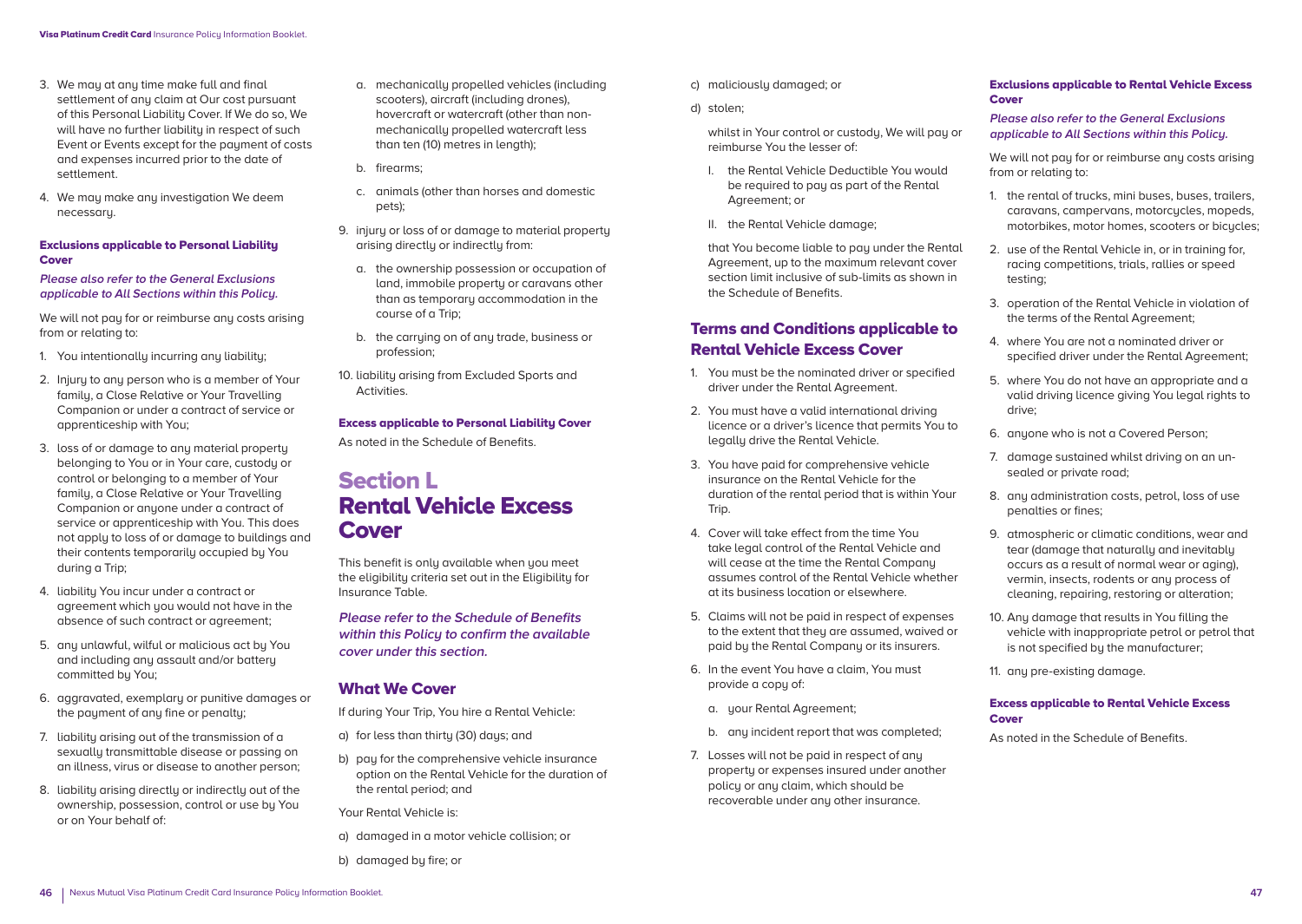- 3. We may at any time make full and final settlement of any claim at Our cost pursuant of this Personal Liability Cover. If We do so, We will have no further liability in respect of such Event or Events except for the payment of costs and expenses incurred prior to the date of settlement.
- 4. We may make any investigation We deem necessary.

#### Exclusions applicable to Personal Liability **Cover**

#### **Please also refer to the General Exclusions applicable to All Sections within this Policy.**

We will not pay for or reimburse any costs arising from or relating to:

- 1. You intentionally incurring any liability:
- 2. Injury to any person who is a member of Your family, a Close Relative or Your Travelling Companion or under a contract of service or apprenticeship with You;
- 3. loss of or damage to any material property belonging to You or in Your care, custody or control or belonging to a member of Your family, a Close Relative or Your Travelling Companion or anyone under a contract of service or apprenticeship with You. This does not apply to loss of or damage to buildings and their contents temporarily occupied by You during a Trip;
- 4. liability You incur under a contract or agreement which you would not have in the absence of such contract or agreement;
- 5. any unlawful, wilful or malicious act by You and including any assault and/or battery committed by You;
- 6. aggravated, exemplary or punitive damages or the payment of any fine or penalty:
- 7. liability arising out of the transmission of a sexually transmittable disease or passing on an illness, virus or disease to another person;
- 8. liability arising directly or indirectly out of the ownership, possession, control or use by You or on Your behalf of:
- a. mechanically propelled vehicles (including scooters), aircraft (including drones), hovercraft or watercraft (other than nonmechanically propelled watercraft less than ten (10) metres in length);
- b. firearms;
- c. animals (other than horses and domestic pets);
- 9. injury or loss of or damage to material property arising directly or indirectly from:
	- a. the ownership possession or occupation of land, immobile property or caravans other than as temporary accommodation in the course of a Trip;
- b. the carrying on of any trade, business or profession;
- 10. liability arising from Excluded Sports and Activities.

#### Excess applicable to Personal Liability Cover

As noted in the Schedule of Benefits.

# Section L Rental Vehicle Excess **Cover**

This benefit is only available when you meet the eligibility criteria set out in the Eligibility for Insurance Table.

**Please refer to the Schedule of Benefits within this Policy to confirm the available cover under this section.**

### What We Cover

- If during Your Trip, You hire a Rental Vehicle:
- a) for less than thirty (30) days; and
- b) pay for the comprehensive vehicle insurance option on the Rental Vehicle for the duration of the rental period; and

Your Rental Vehicle is:

- a) damaged in a motor vehicle collision; or
- b) damaged by fire; or
- c) maliciously damaged; or
- d) stolen;

 whilst in Your control or custody, We will pay or reimburse You the lesser of:

- I. the Rental Vehicle Deductible You would be required to pay as part of the Rental Agreement; or
- II. the Rental Vehicle damage;

 that You become liable to pay under the Rental Agreement, up to the maximum relevant cover section limit inclusive of sub-limits as shown in the Schedule of Benefits.

# Terms and Conditions applicable to Rental Vehicle Excess Cover

- 1. You must be the nominated driver or specified driver under the Rental Agreement.
- 2. You must have a valid international driving licence or a driver's licence that permits You to legally drive the Rental Vehicle.
- 3. You have paid for comprehensive vehicle insurance on the Rental Vehicle for the duration of the rental period that is within Your Trip.
- 4. Cover will take effect from the time You take legal control of the Rental Vehicle and will cease at the time the Rental Company assumes control of the Rental Vehicle whether at its business location or elsewhere.
- 5. Claims will not be paid in respect of expenses to the extent that they are assumed, waived or paid by the Rental Company or its insurers.
- 6. In the event You have a claim, You must provide a copy of:
	- a. your Rental Agreement;
	- b. any incident report that was completed;
- 7. Losses will not be paid in respect of any property or expenses insured under another policy or any claim, which should be recoverable under any other insurance.

#### Exclusions applicable to Rental Vehicle Excess Cover

#### **Please also refer to the General Exclusions applicable to All Sections within this Policy.**

We will not pay for or reimburse any costs arising from or relating to:

- 1. the rental of trucks, mini buses, buses, trailers, caravans, campervans, motorcucles, mopeds, motorbikes, motor homes, scooters or bicycles;
- 2. use of the Rental Vehicle in, or in training for, racing competitions, trials, rallies or speed testing;
- 3. operation of the Rental Vehicle in violation of the terms of the Rental Agreement;
- 4. where You are not a nominated driver or specified driver under the Rental Agreement;
- 5. where You do not have an appropriate and a valid driving licence giving You legal rights to drive;
- 6. anyone who is not a Covered Person;
- 7. damage sustained whilst driving on an unsealed or private road;
- 8. any administration costs, petrol, loss of use penalties or fines;
- 9. atmospheric or climatic conditions, wear and tear (damage that naturally and inevitably occurs as a result of normal wear or aging), vermin, insects, rodents or any process of cleaning, repairing, restoring or alteration;
- 10. Any damage that results in You filling the vehicle with inappropriate petrol or petrol that is not specified by the manufacturer;
- 11. any pre-existing damage.

#### Excess applicable to Rental Vehicle Excess Cover

As noted in the Schedule of Benefits.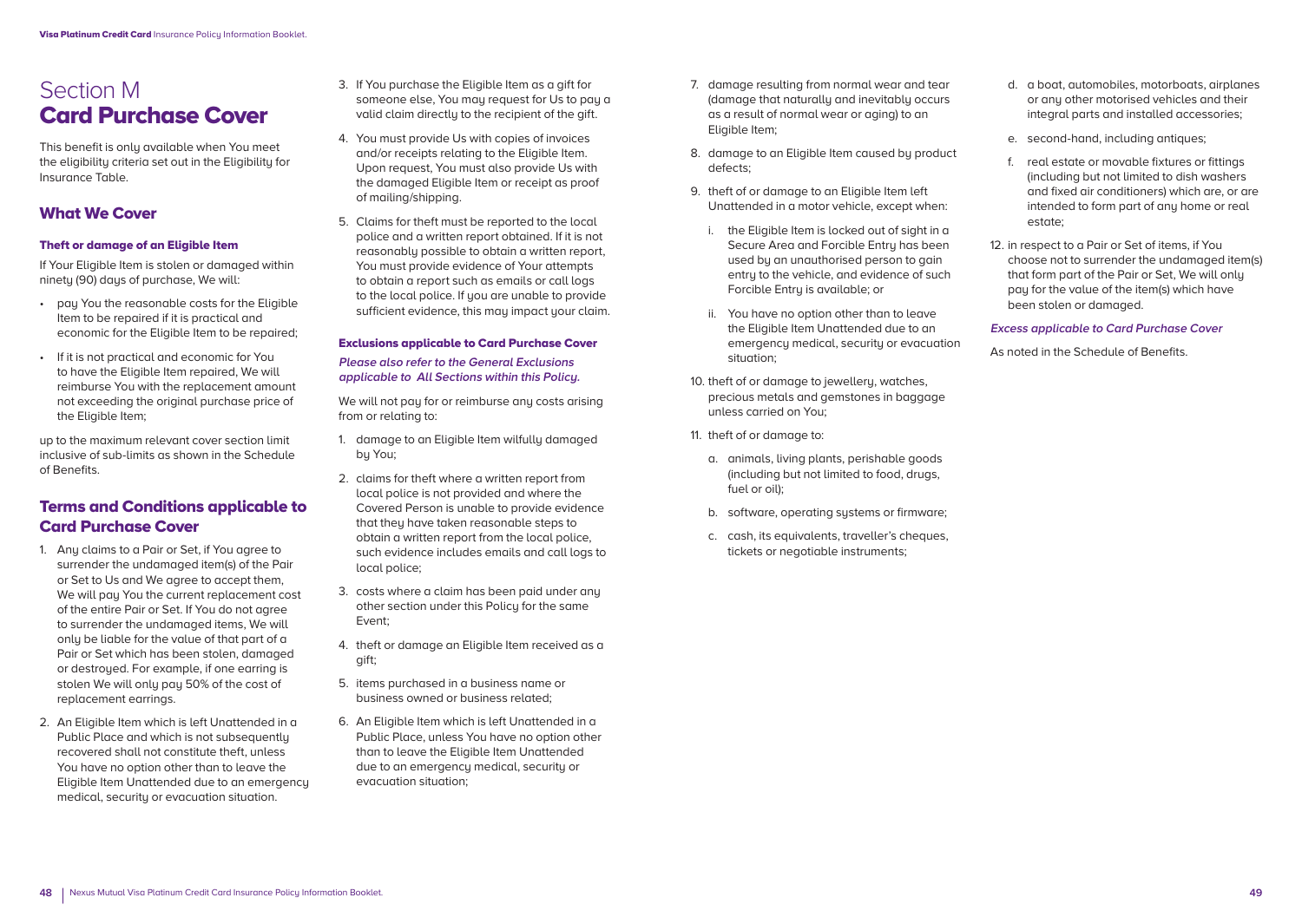# Section M Card Purchase Cover

This benefit is only available when You meet the eligibility criteria set out in the Eligibility for Insurance Table.

# What We Cover

#### Theft or damage of an Eligible Item

If Your Eligible Item is stolen or damaged within ninety (90) days of purchase. We will:

- pay You the reasonable costs for the Eligible Item to be repaired if it is practical and economic for the Eligible Item to be repaired;
- If it is not practical and economic for You to have the Eligible Item repaired, We will reimburse You with the replacement amount not exceeding the original purchase price of the Eligible Item;

up to the maximum relevant cover section limit inclusive of sub-limits as shown in the Schedule of Benefits.

# Terms and Conditions applicable to Card Purchase Cover

- 1. Any claims to a Pair or Set, if You agree to surrender the undamaged item(s) of the Pair or Set to Us and We agree to accept them, We will pay You the current replacement cost of the entire Pair or Set. If You do not agree to surrender the undamaged items, We will only be liable for the value of that part of a Pair or Set which has been stolen, damaged or destroyed. For example, if one earring is stolen We will only pay 50% of the cost of replacement earrings.
- 2. An Eligible Item which is left Unattended in a Public Place and which is not subsequently recovered shall not constitute theft, unless You have no option other than to leave the Eligible Item Unattended due to an emergency medical, security or evacuation situation.
- 3. If You purchase the Eligible Item as a gift for someone else. You may request for Us to pay a valid claim directly to the recipient of the gift.
- 4. You must provide Us with copies of invoices and/or receipts relating to the Eligible Item. Upon request, You must also provide Us with the damaged Eligible Item or receipt as proof of mailing/shipping.
- 5. Claims for theft must be reported to the local police and a written report obtained. If it is not reasonably possible to obtain a written report, You must provide evidence of Your attempts to obtain a report such as emails or call logs to the local police. If you are unable to provide sufficient evidence, this may impact your claim.

#### Exclusions applicable to Card Purchase Cover

**Please also refer to the General Exclusions applicable to All Sections within this Policy.** 

We will not pay for or reimburse any costs arising from or relating to:

- 1. damage to an Eligible Item wilfully damaged by You;
- 2. claims for theft where a written report from local police is not provided and where the Covered Person is unable to provide evidence that they have taken reasonable steps to obtain a written report from the local police, such evidence includes emails and call logs to local police;
- 3. costs where a claim has been paid under any other section under this Policy for the same Event;
- 4. theft or damage an Eligible Item received as a gift;
- 5. items purchased in a business name or business owned or business related;
- 6. An Eligible Item which is left Unattended in a Public Place, unless You have no option other than to leave the Eligible Item Unattended due to an emergency medical, security or evacuation situation;
- 7. damage resulting from normal wear and tear (damage that naturally and inevitably occurs as a result of normal wear or aging) to an Eligible Item;
- 8. damage to an Eligible Item caused by product defects;
- 9. theft of or damage to an Eligible Item left Unattended in a motor vehicle, except when:
	- i. the Eligible Item is locked out of sight in a Secure Area and Forcible Entru has been used by an unauthorised person to gain entry to the vehicle, and evidence of such Forcible Entry is available; or
	- ii. You have no option other than to leave the Eligible Item Unattended due to an emergency medical, security or evacuation situation;
- 10. theft of or damage to jewellery, watches, precious metals and gemstones in baggage unless carried on You;
- 11. theft of or damage to:
	- a. animals, living plants, perishable goods (including but not limited to food, drugs, fuel or oil);
	- b. software, operating sustems or firmware:
	- c. cash, its equivalents, traveller's cheques, tickets or negotiable instruments;
- d. a boat, automobiles, motorboats, airplanes or any other motorised vehicles and their integral parts and installed accessories;
- e. second-hand, including antiques;
- f. real estate or movable fixtures or fittings (including but not limited to dish washers and fixed air conditioners) which are, or are intended to form part of any home or real estate;
- 12. in respect to a Pair or Set of items, if You choose not to surrender the undamaged item(s) that form part of the Pair or Set, We will only pay for the value of the item(s) which have been stolen or damaged.

#### **Excess applicable to Card Purchase Cover**

As noted in the Schedule of Benefits.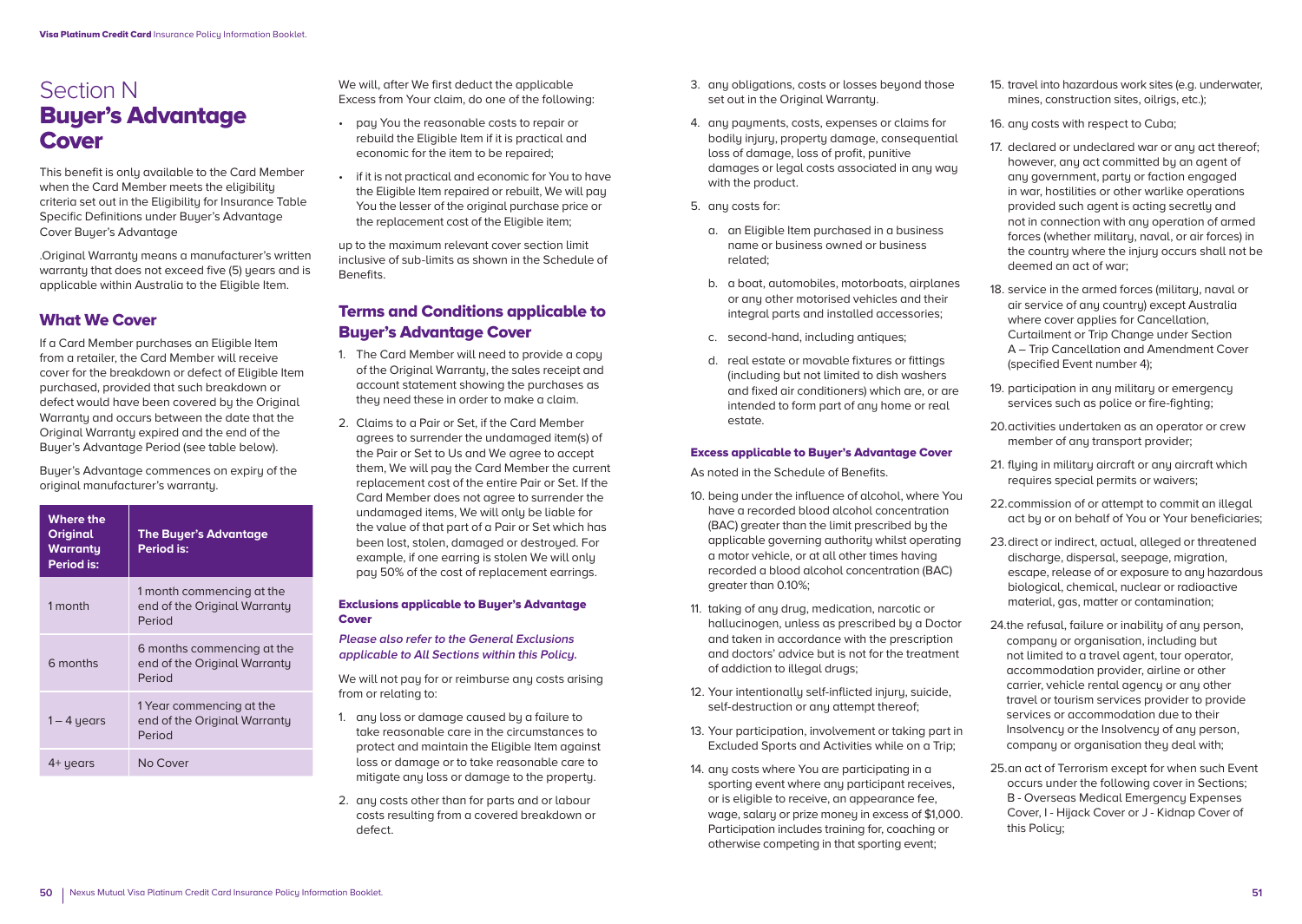# Section N Buyer's Advantage Cover

This benefit is only available to the Card Member when the Card Member meets the eligibility criteria set out in the Eligibility for Insurance Table Specific Definitions under Buyer's Advantage Cover Buyer's Advantage

.Original Warranty means a manufacturer's written warranty that does not exceed five (5) years and is applicable within Australia to the Eligible Item.

# What We Cover

If a Card Member purchases an Eligible Item from a retailer, the Card Member will receive cover for the breakdown or defect of Eligible Item purchased, provided that such breakdown or defect would have been covered by the Original Warrantu and occurs between the date that the Original Warrantu expired and the end of the Buyer's Advantage Period (see table below).

Buyer's Advantage commences on expiry of the original manufacturer's warranty.

| <b>Where the</b><br><b>Original</b><br><b>Warranty</b><br>Period is: | <b>The Buyer's Advantage</b><br>Period is:                           |  |
|----------------------------------------------------------------------|----------------------------------------------------------------------|--|
| 1 month                                                              | 1 month commencing at the<br>end of the Original Warranty<br>Period  |  |
| 6 months                                                             | 6 months commencing at the<br>end of the Original Warranty<br>Period |  |
| $1 - 4$ years                                                        | 1 Year commencing at the<br>end of the Original Warranty<br>Period   |  |
| 4+ years                                                             | No Cover                                                             |  |

We will, after We first deduct the applicable Excess from Your claim, do one of the following:

- pay You the reasonable costs to repair or rebuild the Eligible Item if it is practical and economic for the item to be repaired;
- if it is not practical and economic for You to have the Eligible Item repaired or rebuilt, We will pay You the lesser of the original purchase price or the replacement cost of the Eligible item;

up to the maximum relevant cover section limit inclusive of sub-limits as shown in the Schedule of **Benefits** 

# Terms and Conditions applicable to Buyer's Advantage Cover

- 1. The Card Member will need to provide a copy of the Original Warranty, the sales receipt and account statement showing the purchases as they need these in order to make a claim.
- 2. Claims to a Pair or Set, if the Card Member agrees to surrender the undamaged item(s) of the Pair or Set to Us and We agree to accept them, We will pay the Card Member the current replacement cost of the entire Pair or Set. If the Card Member does not agree to surrender the undamaged items, We will only be liable for the value of that part of a Pair or Set which has been lost, stolen, damaged or destroyed. For example, if one earring is stolen We will only pay 50% of the cost of replacement earrings.

#### Exclusions applicable to Buyer's Advantage Cover

**Please also refer to the General Exclusions applicable to All Sections within this Policy.** 

We will not pay for or reimburse any costs arising from or relating to:

- 1. any loss or damage caused by a failure to take reasonable care in the circumstances to protect and maintain the Eligible Item against loss or damage or to take reasonable care to mitigate any loss or damage to the property.
- 2. any costs other than for parts and or labour costs resulting from a covered breakdown or defect.
- 3. any obligations, costs or losses beyond those set out in the Original Warranty.
- 4. any payments, costs, expenses or claims for bodily injury, property damage, consequential loss of damage, loss of profit, punitive damages or legal costs associated in any way with the product.
- 5. any costs for:
	- a. an Eligible Item purchased in a business name or business owned or business related;
	- b. a boat, automobiles, motorboats, airplanes or any other motorised vehicles and their integral parts and installed accessories;
	- c. second-hand, including antiques;
	- d. real estate or movable fixtures or fittings (including but not limited to dish washers and fixed air conditioners) which are, or are intended to form part of any home or real estate.

#### Excess applicable to Buyer's Advantage Cover

As noted in the Schedule of Benefits.

- 10. being under the influence of alcohol, where You have a recorded blood alcohol concentration (BAC) greater than the limit prescribed by the applicable governing authority whilst operating a motor vehicle, or at all other times having recorded a blood alcohol concentration (BAC) greater than 0.10%;
- 11. taking of any drug, medication, narcotic or hallucinogen, unless as prescribed by a Doctor and taken in accordance with the prescription and doctors' advice but is not for the treatment of addiction to illegal drugs;
- 12. Your intentionally self-inflicted injury, suicide, self-destruction or any attempt thereof;
- 13. Your participation, involvement or taking part in Excluded Sports and Activities while on a Trip;
- 14. any costs where You are participating in a sporting event where any participant receives. or is eligible to receive, an appearance fee, wage, salary or prize money in excess of \$1,000. Participation includes training for, coaching or otherwise competing in that sporting event;
- 15. travel into hazardous work sites (e.g. underwater, mines, construction sites, oilrigs, etc.);
- 16. any costs with respect to Cuba;
- 17. declared or undeclared war or any act thereof; however, any act committed by an agent of any government, party or faction engaged in war, hostilities or other warlike operations provided such agent is acting secretly and not in connection with any operation of armed forces (whether military, naval, or air forces) in the countru where the injury occurs shall not be deemed an act of war;
- 18. service in the armed forces (military, naval or air service of any country) except Australia where cover applies for Cancellation. Curtailment or Trip Change under Section A – Trip Cancellation and Amendment Cover (specified Event number 4);
- 19. participation in anu militaru or emergencu services such as police or fire-fighting;
- 20. activities undertaken as an operator or crew member of any transport provider:
- 21. flying in military aircraft or any aircraft which requires special permits or waivers;
- 22. commission of or attempt to commit an illegal act by or on behalf of You or Your beneficiaries;
- 23. direct or indirect, actual, alleged or threatened discharge, dispersal, seepage, migration, escape, release of or exposure to any hazardous biological, chemical, nuclear or radioactive material, gas, matter or contamination;
- 24.the refusal, failure or inability of any person, company or organisation, including but not limited to a travel agent, tour operator, accommodation provider, airline or other carrier, vehicle rental agency or any other travel or tourism services provider to provide services or accommodation due to their Insolvency or the Insolvency of any person, company or organisation they deal with;
- 25.an act of Terrorism except for when such Event occurs under the following cover in Sections; B - Overseas Medical Emergency Expenses Cover, I - Hijack Cover or J - Kidnap Cover of this Policu: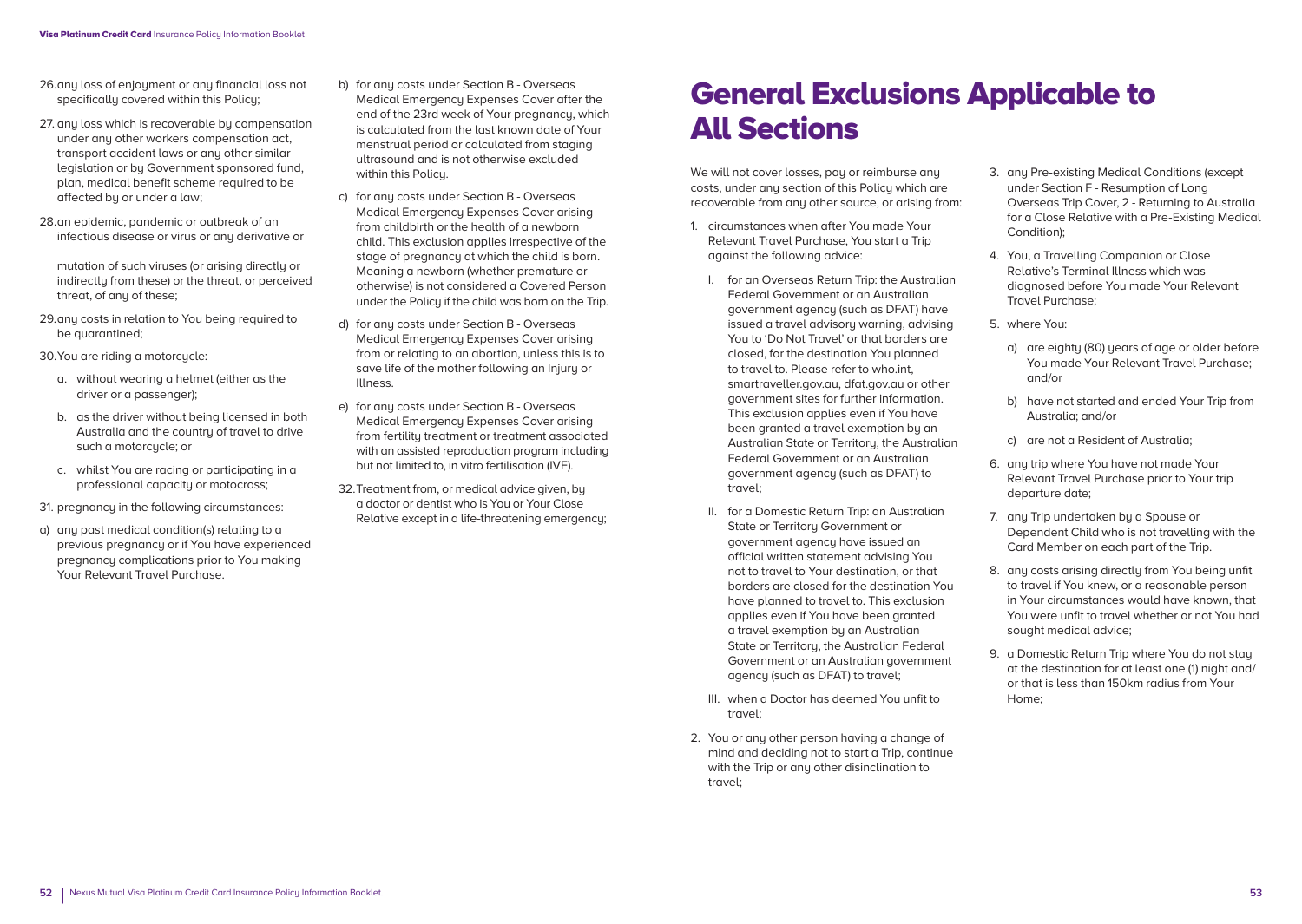- 26. any loss of enjoyment or any financial loss not specifically covered within this Policy;
- 27. any loss which is recoverable by compensation under any other workers compensation act, transport accident laws or any other similar legislation or by Government sponsored fund, plan, medical benefit scheme required to be affected by or under a law;
- 28. an epidemic, pandemic or outbreak of an infectious disease or virus or any derivative or

mutation of such viruses (or arising directly or indirectly from these) or the threat, or perceived threat, of any of these;

29. any costs in relation to You being required to be quarantined;

30. You are riding a motorcucle:

- a. without wearing a helmet (either as the driver or a passenger);
- b. as the driver without being licensed in both Australia and the country of travel to drive such a motorcycle; or
- c. whilst You are racing or participating in a professional capacity or motocross;
- 31. pregnancy in the following circumstances:
- a) any past medical condition(s) relating to a previous pregnancy or if You have experienced pregnancy complications prior to You making Your Relevant Travel Purchase.
- b) for any costs under Section B Overseas Medical Emergency Expenses Cover after the end of the 23rd week of Your pregnancy, which is calculated from the last known date of Your menstrual period or calculated from staging ultrasound and is not otherwise excluded within this Policu.
- c) for any costs under Section B Overseas Medical Emergency Expenses Cover arising from childbirth or the health of a newborn child. This exclusion applies irrespective of the stage of pregnancy at which the child is born. Meaning a newborn (whether premature or otherwise) is not considered a Covered Person under the Policy if the child was born on the Trip.
- d) for any costs under Section B Overseas Medical Emergency Expenses Cover arising from or relating to an abortion, unless this is to save life of the mother following an Injury or Illness.
- e) for any costs under Section B Overseas Medical Emergency Expenses Cover arising from fertility treatment or treatment associated with an assisted reproduction program including but not limited to, in vitro fertilisation (IVF).
- 32. Treatment from, or medical advice given, by a doctor or dentist who is You or Your Close Relative except in a life-threatening emergency;

# General Exclusions Applicable to All Sections

We will not cover losses, pay or reimburse any costs, under any section of this Policy which are recoverable from any other source, or arising from:

- 1. circumstances when after You made Your Relevant Travel Purchase, You start a Trip against the following advice:
	- I. for an Overseas Return Trip: the Australian Federal Government or an Australian government agency (such as DFAT) have issued a travel advisoru warning, advising You to 'Do Not Travel' or that borders are closed, for the destination You planned to travel to. Please refer to who.int, smartraveller.gov.au, dfat.gov.au or other government sites for further information. This exclusion applies even if You have been granted a travel exemption by an Australian State or Territory, the Australian Federal Government or an Australian government agency (such as DFAT) to travel;
	- II. for a Domestic Return Trip: an Australian State or Territoru Government or government agency have issued an official written statement advising You not to travel to Your destination, or that borders are closed for the destination You have planned to travel to. This exclusion applies even if You have been granted a travel exemption by an Australian State or Territory, the Australian Federal Government or an Australian government agency (such as DFAT) to travel;
	- III. when a Doctor has deemed You unfit to travel;
- 2. You or any other person having a change of mind and deciding not to start a Trip, continue with the Trip or any other disinclination to travel;
- 3. any Pre-existing Medical Conditions (except under Section F - Resumption of Long Overseas Trip Cover, 2 - Returning to Australia for a Close Relative with a Pre-Existing Medical Condition);
- 4. You, a Travelling Companion or Close Relative's Terminal Illness which was diagnosed before You made Your Relevant Travel Purchase;
- 5. where You:
	- a) are eighty (80) years of age or older before You made Your Relevant Travel Purchase; and/or
	- b) have not started and ended Your Trip from Australia; and/or
	- c) are not a Resident of Australia;
- 6. any trip where You have not made Your Relevant Travel Purchase prior to Your trip departure date;
- 7. any Trip undertaken by a Spouse or Dependent Child who is not travelling with the Card Member on each part of the Trip.
- 8. any costs arising directly from You being unfit to travel if You knew, or a reasonable person in Your circumstances would have known, that You were unfit to travel whether or not You had sought medical advice;
- 9. a Domestic Return Trip where You do not stay at the destination for at least one (1) night and/ or that is less than 150km radius from Your Home;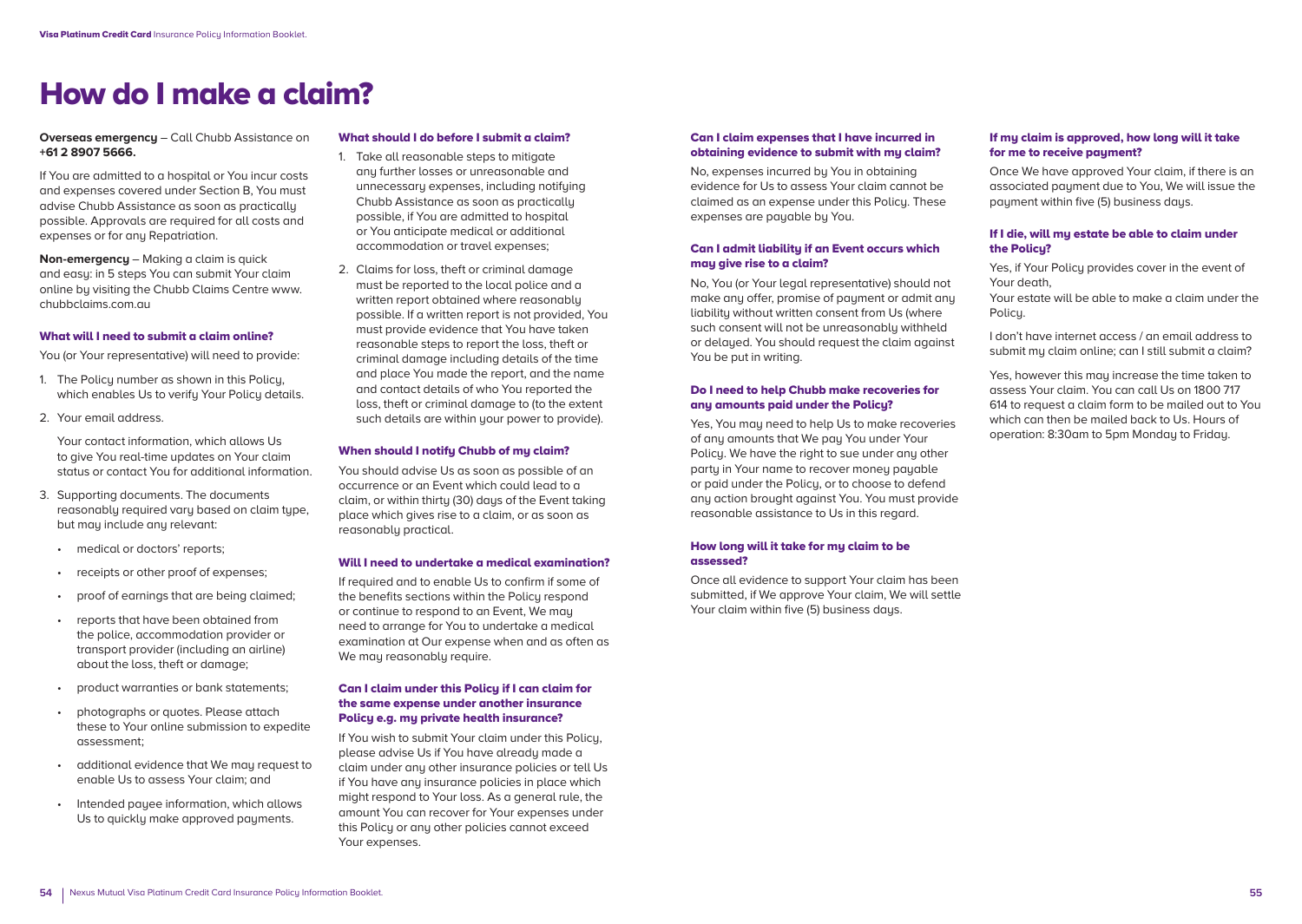# How do I make a claim?

#### **Overseas emergency** – Call Chubb Assistance on **+61 2 8907 5666.**

If You are admitted to a hospital or You incur costs and expenses covered under Section B, You must advise Chubb Assistance as soon as practically possible. Approvals are required for all costs and expenses or for any Repatriation.

**Non-emergency** – Making a claim is quick and easy: in 5 steps You can submit Your claim online by visiting the Chubb Claims Centre www. chubbclaims.com.au

#### What will I need to submit a claim online?

You (or Your representative) will need to provide:

- 1. The Policy number as shown in this Policy, which enables Us to verify Your Policy details.
- 2. Your email address.

 Your contact information, which allows Us to give You real-time updates on Your claim status or contact You for additional information.

- 3. Supporting documents. The documents reasonably required vary based on claim type, but may include any relevant:
	- medical or doctors' reports:
	- receipts or other proof of expenses;
	- proof of earnings that are being claimed;
	- reports that have been obtained from the police, accommodation provider or transport provider (including an airline) about the loss, theft or damage;
	- product warranties or bank statements;
	- photographs or quotes. Please attach these to Your online submission to expedite assessment;
	- additional evidence that We may request to enable Us to assess Your claim; and
	- Intended payee information, which allows Us to quickly make approved payments.

#### What should I do before I submit a claim?

- 1. Take all reasonable steps to mitigate any further losses or unreasonable and unnecessary expenses, including notifying Chubb Assistance as soon as practically possible, if You are admitted to hospital or You anticipate medical or additional accommodation or travel expenses;
- 2. Claims for loss, theft or criminal damage must be reported to the local police and a written report obtained where reasonably possible. If a written report is not provided, You must provide evidence that You have taken reasonable steps to report the loss, theft or criminal damage including details of the time and place You made the report, and the name and contact details of who You reported the loss, theft or criminal damage to (to the extent such details are within your power to provide).

#### When should I notify Chubb of my claim?

You should advise Us as soon as possible of an occurrence or an Event which could lead to a claim, or within thirty (30) days of the Event taking place which gives rise to a claim, or as soon as reasonably practical.

#### Will I need to undertake a medical examination?

If required and to enable Us to confirm if some of the benefits sections within the Policy respond or continue to respond to an Event, We may need to arrange for You to undertake a medical examination at Our expense when and as often as We may reasonably require.

#### Can I claim under this Policy if I can claim for the same expense under another insurance Policy e.g. my private health insurance?

If You wish to submit Your claim under this Policy, please advise Us if You have already made a claim under any other insurance policies or tell Us if You have any insurance policies in place which might respond to Your loss. As a general rule, the amount You can recover for Your expenses under this Policu or any other policies cannot exceed Your expenses.

#### Can I claim expenses that I have incurred in obtaining evidence to submit with my claim?

No, expenses incurred by You in obtaining evidence for Us to assess Your claim cannot be claimed as an expense under this Policy. These expenses are payable by You.

#### Can I admit liability if an Event occurs which may give rise to a claim?

No, You (or Your legal representative) should not make any offer, promise of payment or admit any liability without written consent from Us (where such consent will not be unreasonably withheld or delayed. You should request the claim against You be put in writing.

#### Do I need to help Chubb make recoveries for any amounts paid under the Policy?

Yes, You may need to help Us to make recoveries of any amounts that We pay You under Your Policy. We have the right to sue under any other party in Your name to recover money payable or paid under the Policy, or to choose to defend any action brought against You. You must provide reasonable assistance to Us in this regard.

#### How long will it take for my claim to be assessed?

Once all evidence to support Your claim has been submitted, if We approve Your claim, We will settle Your claim within five (5) business days.

#### If my claim is approved, how long will it take for me to receive payment?

Once We have approved Your claim, if there is an associated payment due to You, We will issue the payment within five (5) business days.

#### If I die, will my estate be able to claim under the Policy?

Yes, if Your Policu provides cover in the event of Your death,

Your estate will be able to make a claim under the Policy.

I don't have internet access / an email address to submit my claim online; can I still submit a claim?

Yes, however this may increase the time taken to assess Your claim. You can call Us on 1800 717 614 to request a claim form to be mailed out to You which can then be mailed back to Us. Hours of operation: 8:30am to 5pm Monday to Friday.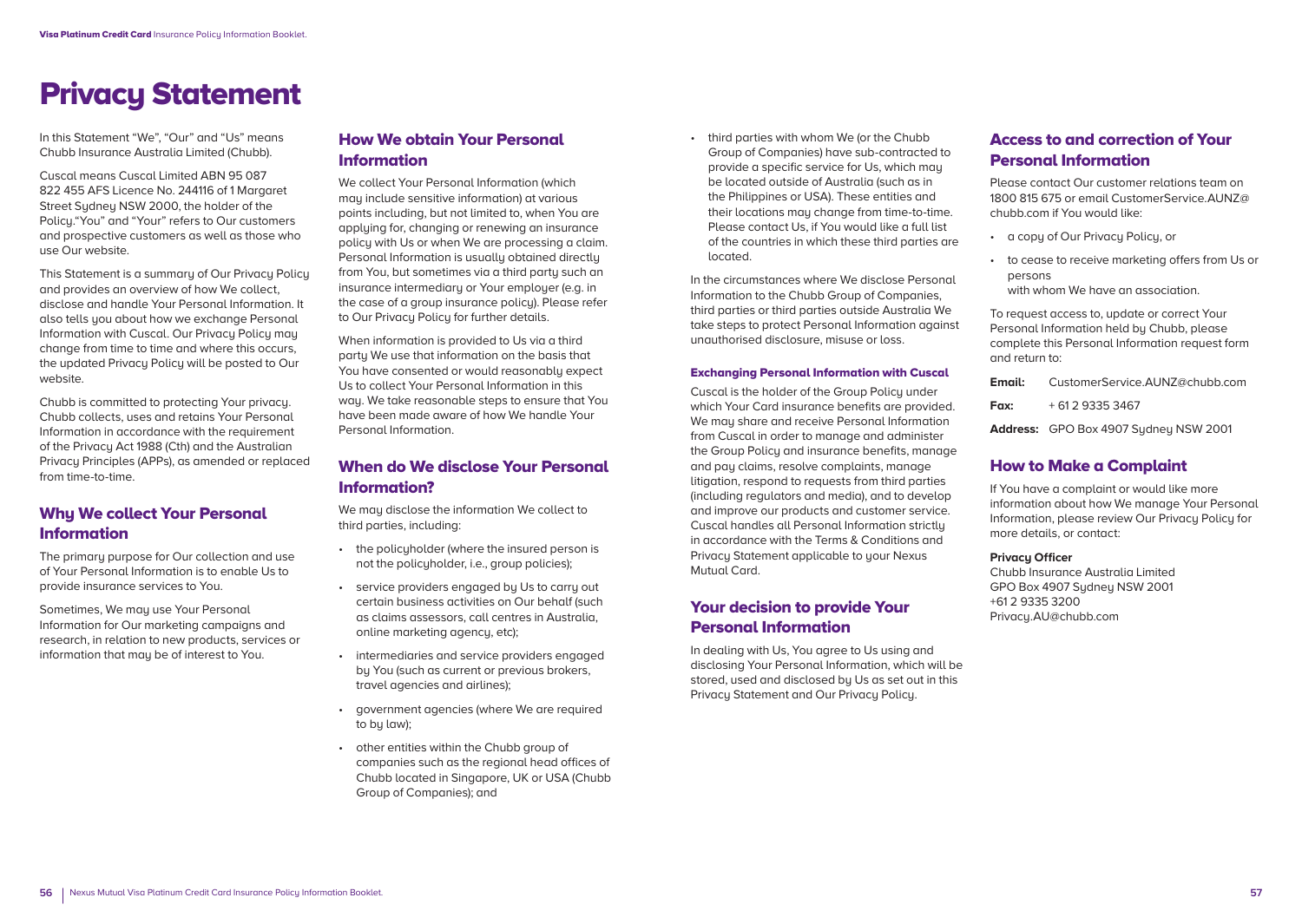# Privacy Statement

In this Statement "We", "Our" and "Us" means Chubb Insurance Australia Limited (Chubb).

Cuscal means Cuscal Limited ABN 95 087 822 455 AFS Licence No. 244116 of 1 Margaret Street Sydney NSW 2000, the holder of the Policu."You" and "Your" refers to Our customers and prospective customers as well as those who use Our website.

This Statement is a summaru of Our Privacu Policu and provides an overview of how We collect, disclose and handle Your Personal Information. It also tells you about how we exchange Personal Information with Cuscal. Our Privacu Policu mau change from time to time and where this occurs, the updated Privacy Policy will be posted to Our website.

Chubb is committed to protecting Your privacy. Chubb collects, uses and retains Your Personal Information in accordance with the requirement of the Privacy Act 1988 (Cth) and the Australian Privacy Principles (APPs), as amended or replaced from time-to-time.

# Why We collect Your Personal Information

The primaru purpose for Our collection and use of Your Personal Information is to enable Us to provide insurance services to You.

Sometimes, We may use Your Personal Information for Our marketing campaigns and research, in relation to new products, services or information that may be of interest to You.

# How We obtain Your Personal Information

We collect Your Personal Information (which may include sensitive information) at various points including, but not limited to, when You are applying for, changing or renewing an insurance policy with Us or when We are processing a claim. Personal Information is usually obtained directly from You, but sometimes via a third party such an insurance intermediary or Your employer (e.g. in the case of a group insurance policy). Please refer to Our Privacy Policy for further details.

When information is provided to Us via a third party We use that information on the basis that You have consented or would reasonably expect Us to collect Your Personal Information in this way. We take reasonable steps to ensure that You have been made aware of how We handle Your Personal Information.

# When do We disclose Your Personal Information?

We may disclose the information We collect to third parties, including:

- the policyholder (where the insured person is not the policuholder, i.e., group policies);
- service providers engaged by Us to carry out certain business activities on Our behalf (such as claims assessors, call centres in Australia, online marketing agency, etc);
- intermediaries and service providers engaged by You (such as current or previous brokers, travel agencies and airlines);
- government agencies (where We are required to bu law):
- other entities within the Chubb group of companies such as the regional head offices of Chubb located in Singapore, UK or USA (Chubb Group of Companies); and

• third parties with whom We (or the Chubb Group of Companies) have sub-contracted to provide a specific service for Us, which may be located outside of Australia (such as in the Philippines or USA). These entities and their locations may change from time-to-time. Please contact Us, if You would like a full list of the countries in which these third parties are located.

In the circumstances where We disclose Personal Information to the Chubb Group of Companies, third parties or third parties outside Australia We take steps to protect Personal Information against unauthorised disclosure, misuse or loss.

#### Exchanging Personal Information with Cuscal

Cuscal is the holder of the Group Policy under which Your Card insurance benefits are provided. We may share and receive Personal Information from Cuscal in order to manage and administer the Group Policy and insurance benefits, manage and pay claims, resolve complaints, manage litigation, respond to requests from third parties (including regulators and media), and to develop and improve our products and customer service. Cuscal handles all Personal Information strictly in accordance with the Terms & Conditions and Privacy Statement applicable to your Nexus Mutual Card.

# Your decision to provide Your Personal Information

In dealing with Us, You agree to Us using and disclosing Your Personal Information, which will be stored, used and disclosed by Us as set out in this Privacy Statement and Our Privacy Policy.

# Access to and correction of Your Personal Information

Please contact Our customer relations team on 1800 815 675 or email CustomerService.AUNZ@ chubb.com if You would like:

- a copy of Our Privacy Policy, or
- to cease to receive marketing offers from Us or persons with whom We have an association.

To request access to, update or correct Your Personal Information held by Chubb, please complete this Personal Information request form and return to:

**Email:** CustomerService.AUNZ@chubb.com

**Fax:** + 61 2 9335 3467

**Address:** GPO Box 4907 Sydney NSW 2001

### How to Make a Complaint

If You have a complaint or would like more information about how We manage Your Personal Information, please review Our Privacy Policy for more details, or contact:

#### **Privacy Officer**

Chubb Insurance Australia Limited GPO Box 4907 Sydney NSW 2001 +61 2 9335 3200 Privacy.AU@chubb.com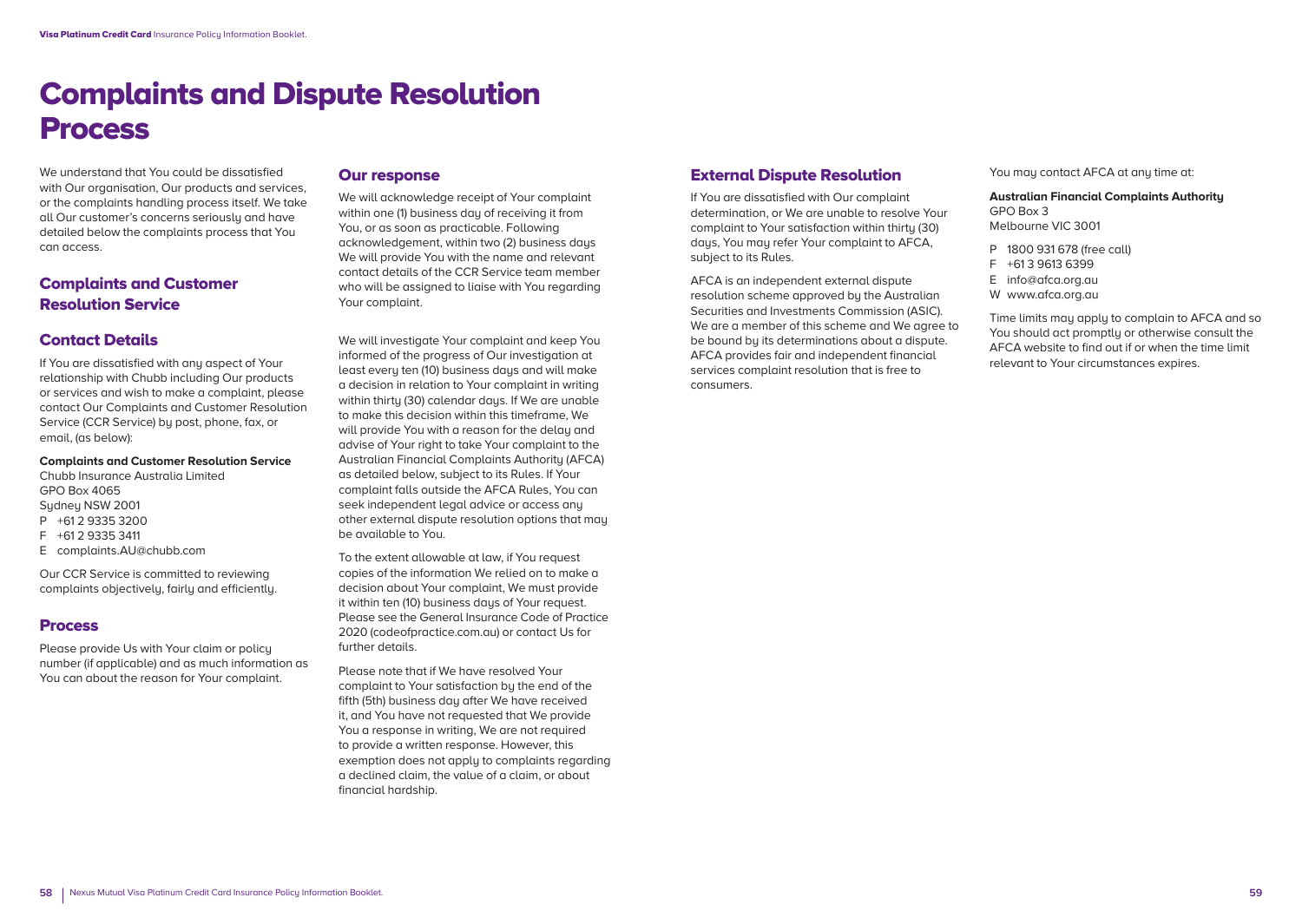# Complaints and Dispute Resolution Process

We understand that You could be dissatisfied with Our organisation, Our products and services, or the complaints handling process itself. We take all Our customer's concerns seriously and have detailed below the complaints process that You can access.

# Complaints and Customer Resolution Service

# Contact Details

If You are dissatisfied with any aspect of Your relationship with Chubb including Our products or services and wish to make a complaint, please contact Our Complaints and Customer Resolution Service (CCR Service) by post, phone, fax, or email, (as below):

**Complaints and Customer Resolution Service** Chubb Insurance Australia Limited GPO Box 4065 Sydney NSW 2001 P +61 2 9335 3200 F +61 2 9335 3411 E complaints.AU@chubb.com

Our CCR Service is committed to reviewing complaints objectively, fairly and efficiently.

### Process

Please provide Us with Your claim or policy number (if applicable) and as much information as You can about the reason for Your complaint.

#### Our response

We will acknowledge receipt of Your complaint within one (1) business day of receiving it from You, or as soon as practicable. Following acknowledgement, within two (2) business days We will provide You with the name and relevant contact details of the CCR Service team member who will be assigned to liaise with You regarding Your complaint.

We will investigate Your complaint and keep You informed of the progress of Our investigation at least every ten (10) business days and will make a decision in relation to Your complaint in writing within thirty (30) calendar days. If We are unable to make this decision within this timeframe, We will provide You with a reason for the delay and advise of Your right to take Your complaint to the Australian Financial Complaints Authority (AFCA) as detailed below, subject to its Rules. If Your complaint falls outside the AFCA Rules, You can seek independent legal advice or access any other external dispute resolution options that may be available to You.

To the extent allowable at law, if You request copies of the information We relied on to make a decision about Your complaint, We must provide it within ten (10) business days of Your request. Please see the General Insurance Code of Practice 2020 (codeofpractice.com.au) or contact Us for further details.

Please note that if We have resolved Your complaint to Your satisfaction by the end of the fifth (5th) business day after We have received it, and You have not requested that We provide You a response in writing, We are not required to provide a written response. However, this exemption does not apply to complaints regarding a declined claim, the value of a claim, or about financial hardship.

### External Dispute Resolution

If You are dissatisfied with Our complaint determination, or We are unable to resolve Your complaint to Your satisfaction within thirtu (30) days, You may refer Your complaint to AFCA, subject to its Rules.

AFCA is an independent external dispute resolution scheme approved by the Australian Securities and Investments Commission (ASIC). We are a member of this scheme and We agree to be bound by its determinations about a dispute. AFCA provides fair and independent financial services complaint resolution that is free to consumers.

You may contact AFCA at any time at:

#### **Australian Financial Complaints Authority**  GPO Box 3 Melbourne VIC 3001

- 
- P 1800 931 678 (free call)
- F +61 3 9613 6399
- E info@afca.org.au W www.afca.org.au
- Time limits may apply to complain to AFCA and so You should act promptly or otherwise consult the AFCA website to find out if or when the time limit relevant to Your circumstances expires.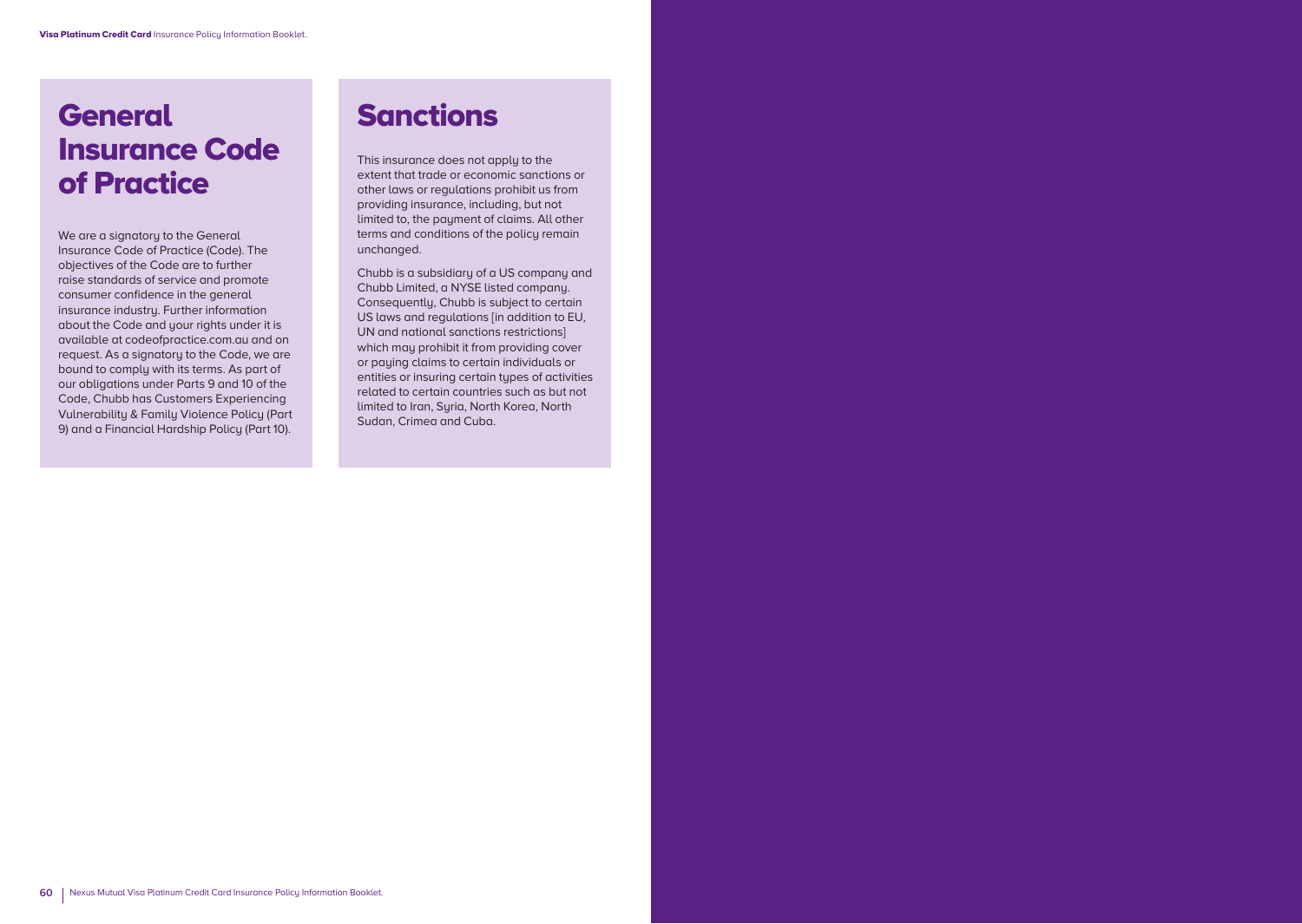# **General** Insurance Code of Practice

We are a signatory to the General Insurance Code of Practice (Code). The objectives of the Code are to further raise standards of service and promote consumer confidence in the general insurance industry. Further information about the Code and your rights under it is available at codeofpractice.com.au and on request. As a signatory to the Code, we are bound to comply with its terms. As part of our obligations under Parts 9 and 10 of the Code, Chubb has Customers Experiencing Vulnerability & Family Violence Policy (Part 9) and a Financial Hardship Policy (Part 10).

# Sanctions

This insurance does not apply to the extent that trade or economic sanctions or other laws or regulations prohibit us from providing insurance, including, but not limited to, the payment of claims. All other terms and conditions of the policy remain unchanged.

Chubb is a subsidiary of a US company and Chubb Limited, a NYSE listed company. Consequently, Chubb is subject to certain US laws and regulations [in addition to EU, UN and national sanctions restrictions] which may prohibit it from providing cover or paying claims to certain individuals or entities or insuring certain types of activities related to certain countries such as but not limited to Iran, Suria, North Korea, North Sudan, Crimea and Cuba.